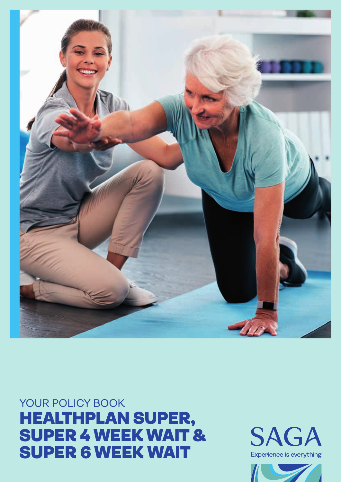YOUR POLICY BOOK HEALTHPLAN SUPER, SUPER 4 WEEK WAIT & SUPER 6 WEEK WAIT



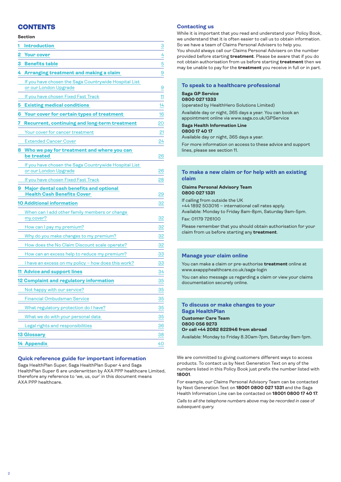# **CONTENTS**

### **Section**

| 1 | <b>Introduction</b>                                                            | 3               |
|---|--------------------------------------------------------------------------------|-----------------|
| 2 | <b>Your cover</b>                                                              | 4               |
| 3 | <b>Benefits table</b>                                                          | $\overline{5}$  |
| 4 | Arranging treatment and making a claim                                         | 9               |
|   | If you have chosen the Saga Countrywide Hospital List<br>or our London Upgrade | 9               |
|   | If you have chosen Fixed Fast Track                                            | 11              |
| 5 | <b>Existing medical conditions</b>                                             | 14              |
| 6 | Your cover for certain types of treatment                                      | 16              |
| 7 | <b>Recurrent, continuing and long-term treatment</b>                           | 20              |
|   | Your cover for cancer treatment                                                | 21              |
|   | <b>Extended Cancer Cover</b>                                                   | 24              |
| 8 | Who we pay for treatment and where you can<br>be treated                       | 26              |
|   | If you have chosen the Saga Countrywide Hospital List<br>or our London Upgrade | 26              |
|   | If you have chosen Fixed Fast Track                                            | 28              |
| 9 | Major dental cash benefits and optional<br><b>Health Cash Benefits Cover</b>   | 29              |
|   | 10 Additional information                                                      | 32              |
|   | When can I add other family members or change<br>my cover?                     | 32              |
|   | How can I pay my premium?                                                      | 32              |
|   | Why do you make changes to my premium?                                         | 32              |
|   | How does the No Claim Discount scale operate?                                  | 32              |
|   | How can an excess help to reduce my premium?                                   | 33              |
|   | I have an excess on my policy - how does this work?                            | 33              |
|   | <b>11 Advice and support lines</b>                                             | 34              |
|   | 12 Complaint and regulatory information                                        | 35              |
|   | Not happy with our service?                                                    | 35              |
|   | Financial Ombudsman Service                                                    | $\overline{35}$ |
|   | What regulatory protection do I have?                                          | 35              |
|   | What we do with your personal data                                             | 35              |
|   | Legal rights and responsibilities                                              | 36              |
|   | <b>13 Glossary</b>                                                             | 38              |
|   | 14 Appendix                                                                    | 40              |

# **Quick reference guide for important information**

Saga HealthPlan Super, Saga HealthPlan Super 4 and Saga HealthPlan Super 6 are underwritten by AXA PPP healthcare Limited, therefore any reference to 'we, us, our' in this document means AXA PPP healthcare.

### **Contacting us**

While it is important that you read and understand your Policy Book, we understand that it is often easier to call us to obtain information. So we have a team of Claims Personal Advisers to help you. You should always call our Claims Personal Advisers on the number provided before starting **treatment**. Please be aware that if you do not obtain authorisation from us before starting **treatment** then we may be unable to pay for the **treatment** you receive in full or in part.

### **To speak to a healthcare professional**

#### **Saga GP Service 0800 027 1333**

(operated by HealthHero Solutions Limited)

Available day or night, 365 days a year. You can book an

appointment online via www.saga.co.uk/GPService

# **Saga Health Information Line**

**0800 17 40 17**

Available day or night, 365 days a year.

For more information on access to these advice and support lines, please see section 11.

# **To make a new claim or for help with an existing claim**

### **Claims Personal Advisory Team 0800 027 1331**

If calling from outside the UK

+44 1892 503016 – international call rates apply.

Available: Monday to Friday 8am-8pm, Saturday 9am-5pm. Fax: 01179 726100

Please remember that you should obtain authorisation for your claim from us before starting any **treatment**.

# **Manage your claim online**

You can make a claim or pre-authorise **treatment** online at www.axappphealthcare.co.uk/saga-login

You can also message us regarding a claim or view your claims documentation securely online.

# **To discuss or make changes to your Saga HealthPlan Customer Care Team 0800 056 9273 Or call +44 2082 822946 from abroad**

Available: Monday to Friday 8.30am-7pm, Saturday 9am-1pm.

We are committed to giving customers different ways to access products. To contact us by Next Generation Text on any of the numbers listed in this Policy Book just prefix the number listed with **18001**.

For example, our Claims Personal Advisory Team can be contacted by Next Generation Text on **18001 0800 027 1331** and the Saga Health Information Line can be contacted on **18001 0800 17 40 17**.

*Calls to all the telephone numbers above may be recorded in case of subsequent query.*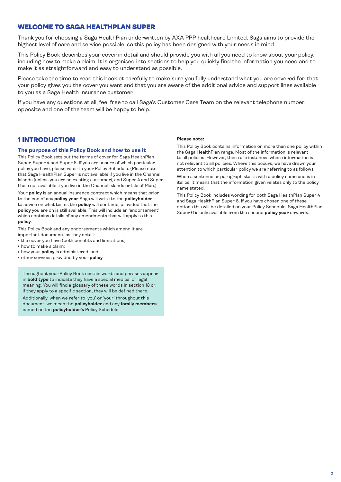# <span id="page-2-0"></span>WELCOME TO SAGA HEALTHPLAN SUPER

Thank you for choosing a Saga HealthPlan underwritten by AXA PPP healthcare Limited. Saga aims to provide the highest level of care and service possible, so this policy has been designed with your needs in mind.

This Policy Book describes your cover in detail and should provide you with all you need to know about your policy, including how to make a claim. It is organised into sections to help you quickly find the information you need and to make it as straightforward and easy to understand as possible.

Please take the time to read this booklet carefully to make sure you fully understand what you are covered for, that your policy gives you the cover you want and that you are aware of the additional advice and support lines available to you as a Saga Health Insurance customer.

If you have any questions at all, feel free to call Saga's Customer Care Team on the relevant telephone number opposite and one of the team will be happy to help.

# 1 INTRODUCTION

### **The purpose of this Policy Book and how to use it**

This Policy Book sets out the terms of cover for Saga HealthPlan Super, Super 4 and Super 6. If you are unsure of which particular policy you have, please refer to your Policy Schedule. (Please note that Saga HealthPlan Super is not available if you live in the Channel Islands (unless you are an existing customer), and Super 4 and Super 6 are not available if you live in the Channel Islands or Isle of Man.)

Your **policy** is an annual insurance contract which means that prior to the end of any **policy year** Saga will write to the **policyholder** to advise on what terms the **policy** will continue, provided that the **policy** you are on is still available. This will include an 'endorsement' which contains details of any amendments that will apply to this **policy**.

This Policy Book and any endorsements which amend it are important documents as they detail:

- the cover you have (both benefits and limitations);
- how to make a claim;
- how your **policy** is administered; and
- **•** other services provided by your **policy**.

Throughout your Policy Book certain words and phrases appear in **bold type** to indicate they have a special medical or legal meaning. You will find a glossary of these words in section 13 or, if they apply to a specific section, they will be defined there.

Additionally, when we refer to 'you' or 'your' throughout this document, we mean the **policyholder** and any **family members** named on the **policyholder's** Policy Schedule.

#### **Please note:**

This Policy Book contains information on more than one policy within the Saga HealthPlan range. Most of the information is relevant to all policies. However, there are instances where information is not relevant to all policies. Where this occurs, we have drawn your attention to which particular policy we are referring to as follows:

When a sentence or paragraph starts with a policy name and is in italics, it means that the information given relates only to the policy name stated.

This Policy Book includes wording for both Saga HealthPlan Super 4 and Saga HealthPlan Super 6. If you have chosen one of these options this will be detailed on your Policy Schedule. Saga HealthPlan Super 6 is only available from the second **policy year** onwards.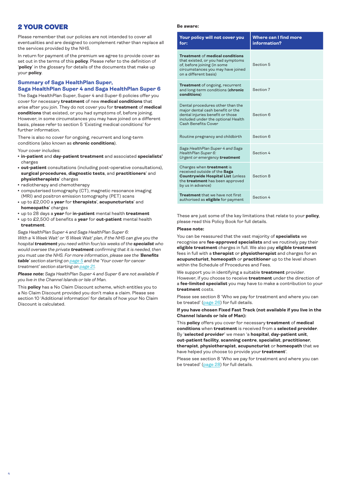# <span id="page-3-0"></span>2 YOUR COVER

Please remember that our policies are not intended to cover all eventualities and are designed to complement rather than replace all the services provided by the NHS.

In return for payment of the premium we agree to provide cover as set out in the terms of this **policy**. Please refer to the definition of '**policy**' in the glossary for details of the documents that make up your **policy**.

### **Summary of Saga HealthPlan Super, Saga HealthPlan Super 4 and Saga HealthPlan Super 6**

The Saga HealthPlan Super, Super 4 and Super 6 policies offer you cover for necessary **treatment** of new **medical conditions** that arise after you join. They do not cover you for **treatment** of **medical conditions** that existed, or you had symptoms of, before joining. However, in some circumstances you may have joined on a different basis, please refer to section 5 'Existing medical conditions' for further information.

There is also no cover for ongoing, recurrent and long-term conditions (also known as **chronic conditions**).

Your cover includes:

- <sup>l</sup> **in-patient** and **day-patient treatment** and associated **specialists'** charges
- **out-patient** consultations (including post-operative consultations), **surgical procedures**, **diagnostic tests**, and **practitioners**' and **physiotherapists**' charges
- radiotherapy and chemotherapy
- computerised tomography (CT), magnetic resonance imaging (MRI) and positron emission tomography (PET) scans
- <sup>l</sup> up to £2,000 a **year** for **therapists**', **acupuncturists**' and **homeopaths**' charges
- <sup>l</sup> up to 28 days a **year** for **in-patient** mental health **treatment**
- up to £2,500 of benefits a **year** for **out-patient** mental health **treatment**.

*Saga HealthPlan Super 4 and Saga HealthPlan Super 6: With a '4 Week Wait' or '6 Week Wait' plan, if the NHS can give you the hospital treatment you need within four/six weeks of the specialist who would oversee the private treatment confirming that it is needed, then you must use the NHS. For more information, please see the 'Benefits table' section starting on [page 5](#page-4-0) and the 'Your cover for cancer treatment' section starting on [page 21](#page-20-0).*

*Please note: Saga HealthPlan Super 4 and Super 6 are not available if you live in the Channel Islands or Isle of Man.*

This **policy** has a No Claim Discount scheme, which entitles you to a No Claim Discount provided you don't make a claim. Please see section 10 'Additional information' for details of how your No Claim Discount is calculated.

#### **Be aware:**

| Your policy will not cover you<br>for:                                                                                                                                       | <b>Where can I find more</b><br>information? |
|------------------------------------------------------------------------------------------------------------------------------------------------------------------------------|----------------------------------------------|
| <b>Treatment of medical conditions</b><br>that existed, or you had symptoms<br>of, before joining (in some<br>circumstances you may have joined<br>on a different basis)     | Section 5                                    |
| <b>Treatment</b> of ongoing, recurrent<br>and long-term conditions (chronic<br>conditions)                                                                                   | Section 7                                    |
| Dental procedures other than the<br>major dental cash benefit or the<br>dental injuries benefit or those<br>included under the optional Health<br>Cash Benefits Cover        | Section 6                                    |
| Routine pregnancy and childbirth                                                                                                                                             | Section 6                                    |
| Saga HealthPlan Super 4 and Saga<br>HealthPlan Super 6:<br>Urgent or emergency treatment                                                                                     | Section 4                                    |
| Charges when <b>treatment</b> is<br>received outside of the Saga<br><b>Countrywide Hospital List (unless)</b><br>the <b>treatment</b> has been approved<br>by us in advance) | Section 8                                    |
| <b>Treatment</b> that we have not first<br>authorised as <b>eligible</b> for payment                                                                                         | Section 4                                    |

These are just some of the key limitations that relate to your **policy**, please read this Policy Book for full details.

#### **Please note:**

You can be reassured that the vast majority of **specialists** we recognise are **fee-approved specialists** and we routinely pay their **eligible treatment** charges in full. We also pay **eligible treatment** fees in full with a **therapist** or **physiotherapist** and charges for an **acupuncturist**, **homeopath** or **practitioner** up to the level shown within the Schedule of Procedures and Fees.

We support you in identifying a suitable **treatment** provider. However, if you choose to receive **treatment** under the direction of a **fee-limited specialist** you may have to make a contribution to your **treatment** costs.

Please see section 8 'Who we pay for treatment and where you can be treated' ([page 26\)](#page-25-0) for full details.

### **If you have chosen Fixed Fast Track (not available if you live in the Channel Islands or Isle of Man):**

This **policy** offers you cover for necessary **treatment** of **medical conditions** when **treatment** is received from a **selected provider**. By '**selected provider**' we mean 'a **hospital**, **day-patient unit**, **out-patient facility**, **scanning centre**, **specialist**, **practitioner**, **therapist**, **physiotherapist**, **acupuncturist** or **homeopath** that we have helped you choose to provide your **treatment**'.

Please see section 8 'Who we pay for treatment and where you can be treated' ([page 28\)](#page-27-0) for full details.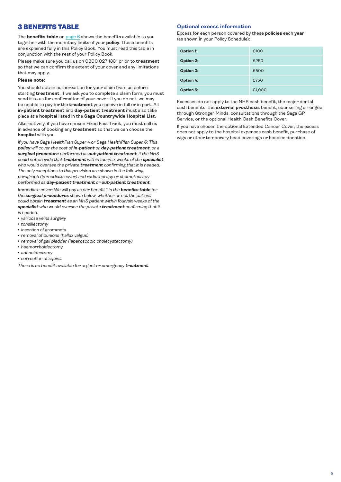# <span id="page-4-0"></span>3 BENEFITS TABLE

The **benefits table** on [page 6](#page-5-0) shows the benefits available to you together with the monetary limits of your **policy**. These benefits are explained fully in this Policy Book. You must read this table in conjunction with the rest of your Policy Book.

Please make sure you call us on 0800 027 1331 prior to **treatment** so that we can confirm the extent of your cover and any limitations that may apply.

### **Please note:**

You should obtain authorisation for your claim from us before starting **treatment**. If we ask you to complete a claim form, you must send it to us for confirmation of your cover. If you do not, we may be unable to pay for the **treatment** you receive in full or in part. All **in-patient treatment** and **day-patient treatment** must also take place at a **hospital** listed in the **Saga Countrywide Hospital List**.

Alternatively, if you have chosen Fixed Fast Track, you must call us in advance of booking any **treatment** so that we can choose the **hospital** with you.

*If you have Saga HealthPlan Super 4 or Saga HealthPlan Super 6: This policy will cover the cost of in-patient or day-patient treatment, or a surgical procedure performed as out-patient treatment, if the NHS could not provide that treatment within four/six weeks of the specialist who would oversee the private treatment confirming that it is needed. The only exceptions to this provision are shown in the following paragraph (Immediate cover) and radiotherapy or chemotherapy performed as day-patient treatment or out-patient treatment.*

*Immediate cover: We will pay as per benefit 1 in the benefits table for the surgical procedures shown below, whether or not the patient could obtain treatment as an NHS patient within four/six weeks of the specialist who would oversee the private treatment confirming that it is needed.*

- <sup>l</sup> *varicose veins surgery*
- tonsillectomy
- <sup>l</sup> *insertion of grommets*
- <sup>l</sup> *removal of bunions (hallux valgus)*
- <sup>l</sup> *removal of gall bladder (laparoscopic cholecystectomy)*
- <sup>l</sup> *haemorrhoidectomy*
- <sup>l</sup> *adenoidectomy*
- **correction of squint.**

*There is no benefit available for urgent or emergency treatment.*

#### **Optional excess information**

Excess for each person covered by these **policies** each **year**  (as shown in your Policy Schedule):

| <b>Option 1:</b> | £100   |
|------------------|--------|
| Option 2:        | £250   |
| Option 3:        | £500   |
| <b>Option 4:</b> | £750   |
| Option 5:        | £1,000 |

Excesses do not apply to the NHS cash benefit, the major dental cash benefits, the **external prosthesis** benefit, counselling arranged through Stronger Minds, consultations through the Saga GP Service, or the optional Health Cash Benefits Cover.

If you have chosen the optional Extended Cancer Cover, the excess does not apply to the hospital expenses cash benefit, purchase of wigs or other temporary head coverings or hospice donation.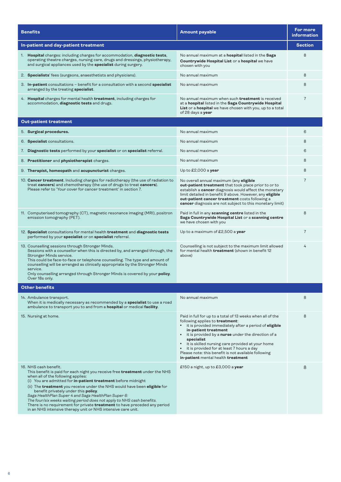<span id="page-5-0"></span>

| <b>Benefits</b>                                                                                                                                                                                                                                                                                                                                                                                                                                                                                                                                                                                                                       | <b>Amount payable</b>                                                                                                                                                                                                                                                                                                                                                                                                                                            | For more<br>information |
|---------------------------------------------------------------------------------------------------------------------------------------------------------------------------------------------------------------------------------------------------------------------------------------------------------------------------------------------------------------------------------------------------------------------------------------------------------------------------------------------------------------------------------------------------------------------------------------------------------------------------------------|------------------------------------------------------------------------------------------------------------------------------------------------------------------------------------------------------------------------------------------------------------------------------------------------------------------------------------------------------------------------------------------------------------------------------------------------------------------|-------------------------|
| In-patient and day-patient treatment                                                                                                                                                                                                                                                                                                                                                                                                                                                                                                                                                                                                  |                                                                                                                                                                                                                                                                                                                                                                                                                                                                  |                         |
| 1. Hospital charges: including charges for accommodation, diagnostic tests,<br>operating theatre charges, nursing care, drugs and dressings, physiotherapy,<br>and surgical appliances used by the specialist during surgery.                                                                                                                                                                                                                                                                                                                                                                                                         | No annual maximum at a <b>hospital</b> listed in the Saga<br>Countrywide Hospital List or a hospital we have<br>chosen with you                                                                                                                                                                                                                                                                                                                                  | 8                       |
| 2. Specialists' fees (surgeons, anaesthetists and physicians).                                                                                                                                                                                                                                                                                                                                                                                                                                                                                                                                                                        | No annual maximum                                                                                                                                                                                                                                                                                                                                                                                                                                                | 8                       |
| 3. In-patient consultations - benefit for a consultation with a second specialist<br>arranged by the treating specialist.                                                                                                                                                                                                                                                                                                                                                                                                                                                                                                             | No annual maximum                                                                                                                                                                                                                                                                                                                                                                                                                                                | 8                       |
| 4. Hospital charges for mental health treatment, including charges for<br>accommodation, diagnostic tests and drugs.                                                                                                                                                                                                                                                                                                                                                                                                                                                                                                                  | No annual maximum when such treatment is received<br>at a hospital listed in the Saga Countrywide Hospital<br>List or a hospital we have chosen with you, up to a total<br>of 28 days a year                                                                                                                                                                                                                                                                     | $\overline{7}$          |
| <b>Out-patient treatment</b>                                                                                                                                                                                                                                                                                                                                                                                                                                                                                                                                                                                                          |                                                                                                                                                                                                                                                                                                                                                                                                                                                                  |                         |
| 5. Surgical procedures.                                                                                                                                                                                                                                                                                                                                                                                                                                                                                                                                                                                                               | No annual maximum                                                                                                                                                                                                                                                                                                                                                                                                                                                | 6                       |
| 6. Specialist consultations.                                                                                                                                                                                                                                                                                                                                                                                                                                                                                                                                                                                                          | No annual maximum                                                                                                                                                                                                                                                                                                                                                                                                                                                | 8                       |
| 7. Diagnostic tests performed by your specialist or on specialist referral.                                                                                                                                                                                                                                                                                                                                                                                                                                                                                                                                                           | No annual maximum                                                                                                                                                                                                                                                                                                                                                                                                                                                | 6                       |
| 8. Practitioner and physiotherapist charges.                                                                                                                                                                                                                                                                                                                                                                                                                                                                                                                                                                                          | No annual maximum                                                                                                                                                                                                                                                                                                                                                                                                                                                | 8                       |
| 9. Therapist, homeopath and acupuncturist charges.                                                                                                                                                                                                                                                                                                                                                                                                                                                                                                                                                                                    | Up to $£2,000$ a year                                                                                                                                                                                                                                                                                                                                                                                                                                            | 8                       |
| 10. Cancer treatment. Including charges for radiotherapy (the use of radiation to<br>treat cancers) and chemotherapy (the use of drugs to treat cancers).<br>Please refer to 'Your cover for cancer treatment' in section 7.                                                                                                                                                                                                                                                                                                                                                                                                          | No overall annual maximum (any eligible<br>out-patient treatment that took place prior to or to<br>establish a cancer diagnosis would affect the monetary<br>limit detailed in benefit 9 above. However, any eligible<br>out-patient cancer treatment costs following a<br>cancer diagnosis are not subject to this monetary limit)                                                                                                                              | $\overline{7}$          |
| 11. Computerised tomography (CT), magnetic resonance imaging (MRI), positron<br>emission tomography (PET).                                                                                                                                                                                                                                                                                                                                                                                                                                                                                                                            | Paid in full in any scanning centre listed in the<br>Saga Countrywide Hospital List or a scanning centre<br>we have chosen with you                                                                                                                                                                                                                                                                                                                              | 8                       |
| 12. Specialist consultations for mental health treatment and diagnostic tests<br>performed by your specialist or on specialist referral.                                                                                                                                                                                                                                                                                                                                                                                                                                                                                              | Up to a maximum of £2,500 a year                                                                                                                                                                                                                                                                                                                                                                                                                                 | $\overline{7}$          |
| 13. Counselling sessions through Stronger Minds.<br>Sessions with a counsellor when this is directed by, and arranged through, the<br>Stronger Minds service.<br>This could be face-to-face or telephone counselling. The type and amount of<br>counselling will be arranged as clinically appropriate by the Stronger Minds<br>service.<br>Only counselling arranged through Stronger Minds is covered by your policy.<br>Over 18s only.                                                                                                                                                                                             | Counselling is not subject to the maximum limit allowed<br>for mental health <i>treatment</i> (shown in benefit 12<br>above)                                                                                                                                                                                                                                                                                                                                     | 4                       |
| <b>Other benefits</b>                                                                                                                                                                                                                                                                                                                                                                                                                                                                                                                                                                                                                 |                                                                                                                                                                                                                                                                                                                                                                                                                                                                  |                         |
| 14. Ambulance transport.<br>When it is medically necessary as recommended by a <b>specialist</b> to use a road<br>ambulance to transport you to and from a hospital or medical facility.                                                                                                                                                                                                                                                                                                                                                                                                                                              | No annual maximum                                                                                                                                                                                                                                                                                                                                                                                                                                                | 8                       |
| 15. Nursing at home.                                                                                                                                                                                                                                                                                                                                                                                                                                                                                                                                                                                                                  | Paid in full for up to a total of 13 weeks when all of the<br>following applies to treatment:<br>• it is provided immediately after a period of eligible<br>in-patient treatment<br>it is provided by a nurse under the direction of a<br>specialist<br>it is skilled nursing care provided at your home<br>$\bullet$<br>it is provided for at least 7 hours a day<br>Please note: this benefit is not available following<br>in-patient mental health treatment | 8                       |
| 16. NHS cash benefit.<br>This benefit is paid for each night you receive free treatment under the NHS<br>when all of the following applies:<br>(i) You are admitted for in-patient treatment before midnight<br>(ii) The <b>treatment</b> you receive under the NHS would have been <b>eligible</b> for<br>benefit privately under this policy.<br>Saga HealthPlan Super 4 and Saga HealthPlan Super 6:<br>The four/six weeks waiting period does not apply to NHS cash benefits.<br>There is no requirement for private <b>treatment</b> to have preceded any period<br>in an NHS intensive therapy unit or NHS intensive care unit. | £150 a night, up to £3,000 a year                                                                                                                                                                                                                                                                                                                                                                                                                                | 8                       |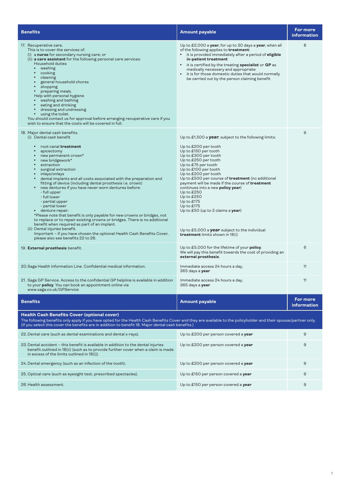| <b>Benefits</b>                                                                                                                                                                                                                                                                                                                                                                                                                                                                                                                                                                                                                                                                                                                                                                                                                                                                                                                              | <b>Amount payable</b>                                                                                                                                                                                                                                                                                                                                                                                                                                                                                                                                                      | For more<br><b>information</b> |
|----------------------------------------------------------------------------------------------------------------------------------------------------------------------------------------------------------------------------------------------------------------------------------------------------------------------------------------------------------------------------------------------------------------------------------------------------------------------------------------------------------------------------------------------------------------------------------------------------------------------------------------------------------------------------------------------------------------------------------------------------------------------------------------------------------------------------------------------------------------------------------------------------------------------------------------------|----------------------------------------------------------------------------------------------------------------------------------------------------------------------------------------------------------------------------------------------------------------------------------------------------------------------------------------------------------------------------------------------------------------------------------------------------------------------------------------------------------------------------------------------------------------------------|--------------------------------|
| 17. Recuperative care.<br>This is to cover the services of:<br>(i) a nurse for secondary nursing care; or<br>(ii) a care assistant for the following personal care services:<br><b>Household duties</b><br>$\bullet$<br>washing<br>cooking<br>$\bullet$<br>cleaning<br>$\bullet$<br>general household chores<br>$\bullet$<br>shopping<br>$\bullet$<br>$\bullet$<br>preparing meals.<br>Help with personal hygiene<br>washing and bathing<br>$\bullet$<br>eating and drinking<br>$\bullet$<br>dressing and undressing<br>$\bullet$<br>using the toilet.<br>$\bullet$<br>You should contact us for approval before arranging recuperative care if you<br>wish to ensure that the costs will be covered in full.                                                                                                                                                                                                                                | Up to $£2,000$ a year, for up to 30 days a year, when all<br>of the following applies to <b>treatment</b> :<br>• it is provided immediately after a period of eligible<br>in-patient treatment<br>• it is certified by the treating specialist or GP as<br>medically necessary and appropriate<br>it is for those domestic duties that would normally<br>$\bullet$<br>be carried out by the person claiming benefit                                                                                                                                                        | 8                              |
| 18. Major dental cash benefits.<br>(i) Dental cash benefit<br>root canal treatment<br>$\bullet$<br>apicectomy<br>new permanent crown*<br>$\bullet$<br>new bridgework*<br>$\bullet$<br>$\bullet$<br>extraction<br>surgical extraction<br>$\bullet$<br>inlays/onlays<br>$\bullet$<br>dental implants and all costs associated with the preparation and<br>fitting of device (including dental prosthesis i.e. crown)<br>new dentures if you have never worn dentures before:<br>- full upper<br>- full lower<br>- partial upper<br>- partial lower<br>denture repair.<br>$\bullet$<br>*Please note that benefit is only payable for new crowns or bridges, not<br>to replace or to repair existing crowns or bridges. There is no additional<br>benefit when required as part of an implant.<br>(ii) Dental injuries benefit.<br>Important - if you have chosen the optional Health Cash Benefits Cover,<br>please also see benefits 22 to 26. | Up to $£1,500$ a <b>year</b> , subject to the following limits:<br>Up to £200 per tooth<br>Up to £150 per tooth<br>Up to £300 per tooth<br>Up to £250 per tooth<br>Up to £75 per tooth<br>Up to £100 per tooth<br>Up to £200 per tooth<br>Up to £500 per course of treatment (no additional<br>payment will be made if the course of treatment<br>continues into a new policy year)<br>Up to £250<br>Up to £250<br>Up to $£175$<br>Up to $£175$<br>Up to £50 (up to 2 claims a year)<br>Up to $£5,000$ a year subject to the individual<br>treatment limits shown in 18(i) | 9                              |
| 19. External prosthesis benefit.                                                                                                                                                                                                                                                                                                                                                                                                                                                                                                                                                                                                                                                                                                                                                                                                                                                                                                             | Up to £5,000 for the lifetime of your policy.<br>We will pay this benefit towards the cost of providing an<br>external prosthesis.                                                                                                                                                                                                                                                                                                                                                                                                                                         | 6                              |
| 20. Saga Health Information Line. Confidential medical information.                                                                                                                                                                                                                                                                                                                                                                                                                                                                                                                                                                                                                                                                                                                                                                                                                                                                          | Immediate access 24 hours a day,<br>365 days a year                                                                                                                                                                                                                                                                                                                                                                                                                                                                                                                        | 11                             |
| 21. Saga GP Service. Access to the confidential GP helpline is available in addition<br>to your <b>policy</b> . You can book an appointment online via<br>www.saga.co.uk/GPService                                                                                                                                                                                                                                                                                                                                                                                                                                                                                                                                                                                                                                                                                                                                                           | Immediate access 24 hours a day,<br>365 days a year                                                                                                                                                                                                                                                                                                                                                                                                                                                                                                                        | 11                             |
| <b>Benefits</b>                                                                                                                                                                                                                                                                                                                                                                                                                                                                                                                                                                                                                                                                                                                                                                                                                                                                                                                              | <b>Amount payable</b>                                                                                                                                                                                                                                                                                                                                                                                                                                                                                                                                                      | For more<br>information        |
| <b>Health Cash Benefits Cover (optional cover)</b><br>The following benefits only apply if you have opted for the Health Cash Benefits Cover and they are available to the policyholder and their spouse/partner only.<br>(If you select this cover the benefits are in addition to benefit 18. Major dental cash benefits.)                                                                                                                                                                                                                                                                                                                                                                                                                                                                                                                                                                                                                 |                                                                                                                                                                                                                                                                                                                                                                                                                                                                                                                                                                            |                                |
| 22. Dental care (such as dental examinations and dental x-rays).                                                                                                                                                                                                                                                                                                                                                                                                                                                                                                                                                                                                                                                                                                                                                                                                                                                                             | Up to £200 per person covered a year                                                                                                                                                                                                                                                                                                                                                                                                                                                                                                                                       | 9                              |
| 23. Dental accident – this benefit is available in addition to the dental injuries<br>benefit outlined in 18(ii) (such as to provide further cover when a claim is made<br>in excess of the limits outlined in 18(i)).                                                                                                                                                                                                                                                                                                                                                                                                                                                                                                                                                                                                                                                                                                                       | Up to £200 per person covered a year                                                                                                                                                                                                                                                                                                                                                                                                                                                                                                                                       | 9                              |
| 24. Dental emergency (such as an infection of the tooth).                                                                                                                                                                                                                                                                                                                                                                                                                                                                                                                                                                                                                                                                                                                                                                                                                                                                                    | Up to £200 per person covered a year                                                                                                                                                                                                                                                                                                                                                                                                                                                                                                                                       | 9                              |
| 25. Optical care (such as eyesight test, prescribed spectacles).                                                                                                                                                                                                                                                                                                                                                                                                                                                                                                                                                                                                                                                                                                                                                                                                                                                                             | Up to £150 per person covered a year                                                                                                                                                                                                                                                                                                                                                                                                                                                                                                                                       | 9                              |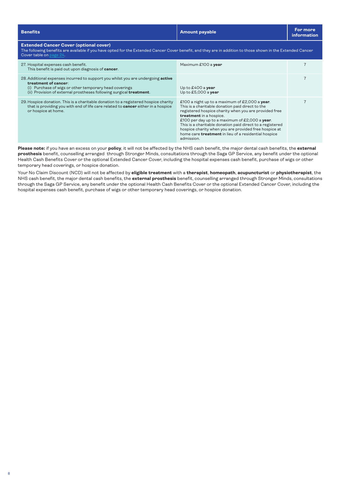<span id="page-7-0"></span>

| <b>Benefits</b>                                                                                                                                                                                                                                  | <b>Amount payable</b>                                                                                                                                                                                                                                                                                                                                                                                                                       | For more<br>information |
|--------------------------------------------------------------------------------------------------------------------------------------------------------------------------------------------------------------------------------------------------|---------------------------------------------------------------------------------------------------------------------------------------------------------------------------------------------------------------------------------------------------------------------------------------------------------------------------------------------------------------------------------------------------------------------------------------------|-------------------------|
| <b>Extended Cancer Cover (optional cover)</b><br>The following benefits are available if you have opted for the Extended Cancer Cover benefit, and they are in addition to those shown in the Extended Cancer<br>Cover table on page 24.         |                                                                                                                                                                                                                                                                                                                                                                                                                                             |                         |
| 27. Hospital expenses cash benefit.<br>This benefit is paid out upon diagnosis of cancer.                                                                                                                                                        | Maximum £100 a year                                                                                                                                                                                                                                                                                                                                                                                                                         |                         |
| 28. Additional expenses incurred to support you whilst you are undergoing <b>active</b><br>treatment of cancer:<br>(i) Purchase of wigs or other temporary head coverings<br>(ii) Provision of external prostheses following surgical treatment. | Up to $£400$ a year<br>Up to $£5,000$ a year                                                                                                                                                                                                                                                                                                                                                                                                |                         |
| 29. Hospice donation. This is a charitable donation to a registered hospice charity<br>that is providing you with end of life care related to <b>cancer</b> either in a hospice<br>or hospice at home.                                           | £100 a night up to a maximum of £2,000 a year.<br>This is a charitable donation paid direct to the<br>registered hospice charity when you are provided free<br>treatment in a hospice.<br>£100 per day up to a maximum of £2,000 a year.<br>This is a charitable donation paid direct to a registered<br>hospice charity when you are provided free hospice at<br>home care <i>treatment</i> in lieu of a residential hospice<br>admission. |                         |

**Please note:** if you have an excess on your **policy**, it will not be affected by the NHS cash benefit, the major dental cash benefits, the **external prosthesis** benefit, counselling arranged through Stronger Minds, consultations through the Saga GP Service, any benefit under the optional Health Cash Benefits Cover or the optional Extended Cancer Cover, including the hospital expenses cash benefit, purchase of wigs or other temporary head coverings, or hospice donation.

Your No Claim Discount (NCD) will not be affected by **eligible treatment** with a **therapist**, **homeopath**, **acupuncturist** or **physiotherapist**, the NHS cash benefit, the major dental cash benefits, the **external prosthesis** benefit, counselling arranged through Stronger Minds, consultations through the Saga GP Service, any benefit under the optional Health Cash Benefits Cover or the optional Extended Cancer Cover, including the hospital expenses cash benefit, purchase of wigs or other temporary head coverings, or hospice donation.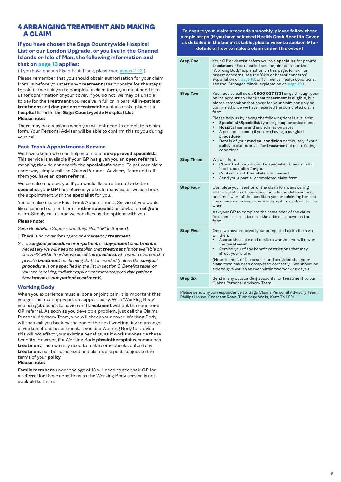# <span id="page-8-0"></span>4 ARRANGING TREATMENT AND MAKING A CLAIM

# **If you have chosen the Saga Countrywide Hospital List or our London Upgrade, or you live in the Channel Islands or Isle of Man, the following information and that on [page 13](#page-12-0) applies:**

(If you have chosen Fixed Fast Track, please see [pages 11-13](#page-10-0).)

Please remember that you should obtain authorisation for your claim from us before you start any **treatment** (see opposite for the steps to take). If we ask you to complete a claim form, you must send it to us for confirmation of your cover. If you do not, we may be unable to pay for the **treatment** you receive in full or in part. All **in-patient treatment** and **day-patient treatment** must also take place at a **hospital** listed in the **Saga Countrywide Hospital List**. **Please note:**

There may be occasions when you will not need to complete a claim form. Your Personal Adviser will be able to confirm this to you during your call.

### **Fast Track Appointments Service**

We have a team who can help you find a **fee-approved specialist**. This service is available if your **GP** has given you an **open referral**, meaning they do not specify the **specialist's** name. To get your claim underway, simply call the Claims Personal Advisory Team and tell them you have an **open referral**.

We can also support you if you would like an alternative to the **specialist** your **GP** has referred you to. In many cases we can book the appointment with the **specialist** for you.

You can also use our Fast Track Appointments Service if you would like a second opinion from another **specialist** as part of an **eligible** claim. Simply call us and we can discuss the options with you.

# *Please note:*

*Saga HealthPlan Super 4 and Saga HealthPlan Super 6:*

- *1. There is no cover for urgent or emergency treatment.*
- *2. If a surgical procedure or in-patient or day-patient treatment is necessary we will need to establish that treatment is not available on the NHS within four/six weeks of the specialist who would oversee the private treatment confirming that it is needed (unless the surgical procedure is one specified in the list in section 3 'Benefits table' or you are receiving radiotherapy or chemotherapy as day-patient treatment or out-patient treatment).*

### **Working Body**

When you experience muscle, bone or joint pain, it is important that you get the most appropriate support early. With 'Working Body' you can get access to advice and **treatment** without the need for a **GP** referral. As soon as you develop a problem, just call the Claims Personal Advisory Team, who will check your cover. Working Body will then call you back by the end of the next working day to arrange a free telephone assessment. If you use Working Body for advice this will not affect your existing benefits, as it works alongside these benefits. However, if a Working Body **physiotherapist** recommends **treatment**, then we may need to make some checks before any **treatment** can be authorised and claims are paid, subject to the terms of your **policy**.

### **Please note:**

**Family members** under the age of 18 will need to see their **GP** for a referral for these conditions as the Working Body service is not available to them.

**To ensure your claim proceeds smoothly, please follow these simple steps (If you have selected Health Cash Benefits Cover as detailed in the benefits table, please refer to section 9 for details of how to make a claim under this cover.)**

| Step One          | Your GP or dentist refers you to a specialist for private<br>treatment. (For muscle, bone or joint pain, see the<br>'Working Body' explanation on this page; for skin or<br>breast concerns, see the 'Skin or breast concerns'<br>explanation on page 10; or for mental health conditions,<br>see the 'Stronger Minds' explanation on page 10.)                                                                                                                                                                                                                                                                 |
|-------------------|-----------------------------------------------------------------------------------------------------------------------------------------------------------------------------------------------------------------------------------------------------------------------------------------------------------------------------------------------------------------------------------------------------------------------------------------------------------------------------------------------------------------------------------------------------------------------------------------------------------------|
| <b>Step Two</b>   | You need to call us on 0800 027 1331 or go through your<br>online account to check that treatment is eligible, but<br>please remember that cover for your claim can only be<br>confirmed once we have received the completed claim<br>form.<br>Please help us by having the following details available:<br>Specialist/Specialist type or group practice name<br><b>Hospital</b> name and any admission dates<br>A procedure code if you are having a surgical<br>٠<br>procedure<br>Details of your medical condition particularly if your<br>policy excludes cover for treatment of pre-existing<br>conditions |
| <b>Step Three</b> | We will then:<br>Check that we will pay the specialist's fees in full or<br>find a specialist for you<br>Confirm which hospitals are covered<br>Send you a partially completed claim form.                                                                                                                                                                                                                                                                                                                                                                                                                      |
| <b>Step Four</b>  | Complete your section of the claim form, answering<br>all the questions. Ensure you include the date you first<br>became aware of the condition you are claiming for, and<br>if you have experienced similar symptoms before, tell us<br>when.<br>Ask your GP to complete the remainder of the claim<br>form and return it to us at the address shown on the<br>form                                                                                                                                                                                                                                            |
| <b>Step Five</b>  | Once we have received your completed claim form we<br>will then:<br>Assess the claim and confirm whether we will cover<br>the <b>treatment</b><br>Remind you of any benefit restrictions that may<br>affect your claim.<br>(Note: in most of the cases - and provided that your<br>claim form has been completed correctly - we should be<br>able to give you an answer within two working days.)                                                                                                                                                                                                               |
| Step Six          | Send in any outstanding accounts for <b>treatment</b> to our<br>Claims Personal Advisory Team.                                                                                                                                                                                                                                                                                                                                                                                                                                                                                                                  |

Please send any correspondence to: Saga Claims Personal Advisory Team, Phillips House, Crescent Road, Tunbridge Wells, Kent TN1 2PL.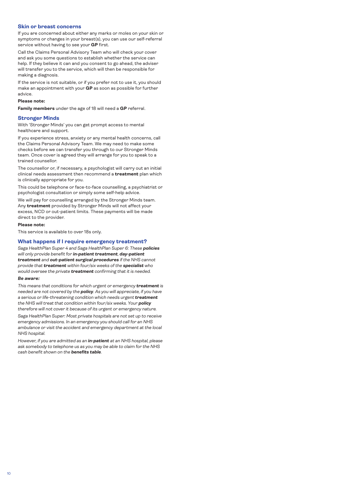### <span id="page-9-0"></span>**Skin or breast concerns**

If you are concerned about either any marks or moles on your skin or symptoms or changes in your breast(s), you can use our self-referral service without having to see your **GP** first.

Call the Claims Personal Advisory Team who will check your cover and ask you some questions to establish whether the service can help. If they believe it can and you consent to go ahead, the adviser will transfer you to the service, which will then be responsible for making a diagnosis.

If the service is not suitable, or if you prefer not to use it, you should make an appointment with your **GP** as soon as possible for further advice.

### **Please note:**

**Family members** under the age of 18 will need a **GP** referral.

### **Stronger Minds**

With 'Stronger Minds' you can get prompt access to mental healthcare and support.

If you experience stress, anxiety or any mental health concerns, call the Claims Personal Advisory Team. We may need to make some checks before we can transfer you through to our Stronger Minds team. Once cover is agreed they will arrange for you to speak to a trained counsellor.

The counsellor or, if necessary, a psychologist will carry out an initial clinical needs assessment then recommend a **treatment** plan which is clinically appropriate for you.

This could be telephone or face-to-face counselling, a psychiatrist or psychologist consultation or simply some self-help advice.

We will pay for counselling arranged by the Stronger Minds team. Any **treatment** provided by Stronger Minds will not affect your excess, NCD or out-patient limits. These payments will be made direct to the provider.

#### **Please note:**

This service is available to over 18s only.

### **What happens if I require emergency treatment?**

*Saga HealthPlan Super 4 and Saga HealthPlan Super 6: These policies will only provide benefit for in-patient treatment, day-patient treatment and out-patient surgical procedures if the NHS cannot provide that treatment within four/six weeks of the specialist who would oversee the private treatment confirming that it is needed.*

### *Be aware:*

*This means that conditions for which urgent or emergency treatment is needed are not covered by the policy. As you will appreciate, if you have a serious or life-threatening condition which needs urgent treatment the NHS will treat that condition within four/six weeks. Your policy therefore will not cover it because of its urgent or emergency nature.*

*Saga HealthPlan Super: Most private hospitals are not set up to receive emergency admissions. In an emergency you should call for an NHS ambulance or visit the accident and emergency department at the local NHS hospital.*

*However, if you are admitted as an in-patient at an NHS hospital, please ask somebody to telephone us as you may be able to claim for the NHS cash benefit shown on the benefits table.*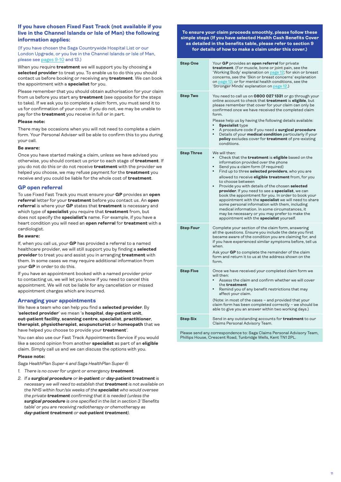# <span id="page-10-0"></span>**If you have chosen Fixed Fast Track (not available if you live in the Channel Islands or Isle of Man) the following information applies:**

(If you have chosen the Saga Countrywide Hospital List or our London Upgrade, or you live in the Channel Islands or Isle of Man, please see [pages 9-10](#page-8-0) and 13.)

When you require **treatment** we will support you by choosing a **selected provider** to treat you. To enable us to do this you should contact us before booking or receiving any **treatment**. We can book the appointment with a **specialist** for you.

Please remember that you should obtain authorisation for your claim from us before you start any **treatment** (see opposite for the steps to take). If we ask you to complete a claim form, you must send it to us for confirmation of your cover. If you do not, we may be unable to pay for the **treatment** you receive in full or in part.

### **Please note:**

There may be occasions when you will not need to complete a claim form. Your Personal Adviser will be able to confirm this to you during your call.

### **Be aware:**

Once you have started making a claim, unless we have advised you otherwise, you should contact us prior to each stage of **treatment**. If you do not do this or do not receive **treatment** with the provider we helped you choose, we may refuse payment for the **treatment** you receive and you could be liable for the whole cost of **treatment**.

### **GP open referral**

To use Fixed Fast Track you must ensure your **GP** provides an **open referral** letter for your **treatment** before you contact us. An **open referral** is where your **GP** states that **treatment** is necessary and which type of **specialist** you require that **treatment** from, but does not specify the **specialist's** name. For example, if you have a heart condition you will need an **open referral** for **treatment** with a cardiologist.

### **Be aware:**

If, when you call us, your **GP** has provided a referral to a named healthcare provider, we will still support you by finding a **selected provider** to treat you and assist you in arranging **treatment** with them. In some cases we may require additional information from your **GP** in order to do this.

If you have an appointment booked with a named provider prior to contacting us, we will let you know if you need to cancel this appointment. We will not be liable for any cancellation or missed appointment charges which are incurred.

# **Arranging your appointments**

We have a team who can help you find a **selected provider**. By '**selected provider**' we mean 'a **hospital**, **day-patient unit**, **out-patient facility**, **scanning centre**, **specialist**, **practitioner**, **therapist**, **physiotherapist**, **acupuncturist** or **homeopath** that we have helped you choose to provide your **treatment**'.

You can also use our Fast Track Appointments Service if you would like a second opinion from another **specialist** as part of an **eligible** claim. Simply call us and we can discuss the options with you.

#### **Please note:**

*Saga HealthPlan Super 4 and Saga HealthPlan Super 6:*

- *1. There is no cover for urgent or emergency treatment.*
- *2. If a surgical procedure or in-patient or day-patient treatment is necessary we will need to establish that treatment is not available on the NHS within four/six weeks of the specialist who would oversee the private treatment confirming that it is needed (unless the surgical procedure is one specified in the list in section 3 'Benefits table' or you are receiving radiotherapy or chemotherapy as day-patient treatment or out-patient treatment).*

**To ensure your claim proceeds smoothly, please follow these simple steps (If you have selected Health Cash Benefits Cover as detailed in the benefits table, please refer to section 9 for details of how to make a claim under this cover.)**

| <b>Step One</b>   | Your GP provides an open referral for private<br>treatment. (For muscle, bone or joint pain, see the<br>'Working Body' explanation on page 12; for skin or breast<br>concerns, see the 'Skin or breast concerns' explanation<br>on page 12; or for mental health conditions, see the<br>'Stronger Minds' explanation on page 12.)                                                                                                                                                                                                                                                                                                                                                                           |
|-------------------|-------------------------------------------------------------------------------------------------------------------------------------------------------------------------------------------------------------------------------------------------------------------------------------------------------------------------------------------------------------------------------------------------------------------------------------------------------------------------------------------------------------------------------------------------------------------------------------------------------------------------------------------------------------------------------------------------------------|
| <b>Step Two</b>   | You need to call us on 0800 027 1331 or go through your<br>online account to check that treatment is eligible, but<br>please remember that cover for your claim can only be<br>confirmed once we have received the completed claim<br>form.<br>Please help us by having the following details available:<br><b>Specialist type</b><br>A procedure code if you need a surgical procedure<br>Details of your medical condition particularly if your<br>$\bullet$<br>policy excludes cover for treatment of pre-existing<br>conditions.                                                                                                                                                                        |
| <b>Step Three</b> | We will then:<br>Check that the treatment is eligible based on the<br>information provided over the phone<br>Send you a claim form (if required)<br>Find up to three selected providers, who you are<br>allowed to receive eligible treatment from, for you<br>to choose between<br>Provide you with details of the chosen selected<br>provider. If you need to see a specialist, we can<br>book the appointment for you. In order to book your<br>appointment with the specialist we will need to share<br>some personal information with them, including<br>medical information. In some circumstances, it<br>may be necessary or you may prefer to make the<br>appointment with the specialist yourself. |
| <b>Step Four</b>  | Complete your section of the claim form, answering<br>all the questions. Ensure you include the date you first<br>became aware of the condition you are claiming for, and<br>if you have experienced similar symptoms before, tell us<br>when.<br>Ask your GP to complete the remainder of the claim<br>form and return it to us at the address shown on the<br>form.                                                                                                                                                                                                                                                                                                                                       |
| <b>Step Five</b>  | Once we have received your completed claim form we<br>will then:<br>Assess the claim and confirm whether we will cover<br>the treatment<br>Remind you of any benefit restrictions that may<br>affect your claim.<br>(Note: in most of the cases - and provided that your<br>claim form has been completed correctly - we should be<br>able to give you an answer within two working days.)                                                                                                                                                                                                                                                                                                                  |
| <b>Step Six</b>   | Send in any outstanding accounts for <b>treatment</b> to our<br>Claims Personal Advisory Team.                                                                                                                                                                                                                                                                                                                                                                                                                                                                                                                                                                                                              |

Please send any correspondence to: Saga Claims Personal Advisory Team, Phillips House, Crescent Road, Tunbridge Wells, Kent TN1 2PL.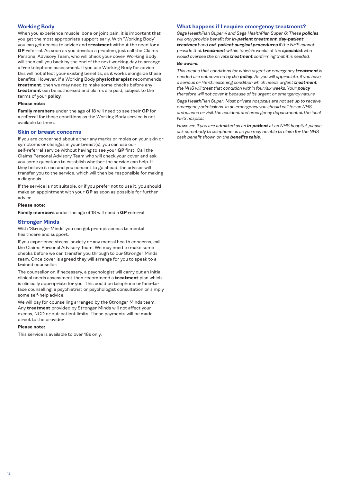# <span id="page-11-0"></span>**Working Body**

When you experience muscle, bone or joint pain, it is important that you get the most appropriate support early. With 'Working Body' you can get access to advice and **treatment** without the need for a **GP** referral. As soon as you develop a problem, just call the Claims Personal Advisory Team, who will check your cover. Working Body will then call you back by the end of the next working day to arrange a free telephone assessment. If you use Working Body for advice this will not affect your existing benefits, as it works alongside these benefits. However, if a Working Body **physiotherapist** recommends **treatment**, then we may need to make some checks before any **treatment** can be authorised and claims are paid, subject to the terms of your **policy**.

#### **Please note:**

**Family members** under the age of 18 will need to see their **GP** for a referral for these conditions as the Working Body service is not available to them.

#### **Skin or breast concerns**

If you are concerned about either any marks or moles on your skin or symptoms or changes in your breast(s), you can use our self-referral service without having to see your **GP** first. Call the Claims Personal Advisory Team who will check your cover and ask you some questions to establish whether the service can help. If they believe it can and you consent to go ahead, the adviser will transfer you to the service, which will then be responsible for making a diagnosis.

If the service is not suitable, or if you prefer not to use it, you should make an appointment with your **GP** as soon as possible for further advice.

#### **Please note:**

**Family members** under the age of 18 will need a **GP** referral.

### **Stronger Minds**

With 'Stronger Minds' you can get prompt access to mental healthcare and support.

If you experience stress, anxiety or any mental health concerns, call the Claims Personal Advisory Team. We may need to make some checks before we can transfer you through to our Stronger Minds team. Once cover is agreed they will arrange for you to speak to a trained counsellor.

The counsellor or, if necessary, a psychologist will carry out an initial clinical needs assessment then recommend a **treatment** plan which is clinically appropriate for you. This could be telephone or face-toface counselling, a psychiatrist or psychologist consultation or simply some self-help advice.

We will pay for counselling arranged by the Stronger Minds team. Any **treatment** provided by Stronger Minds will not affect your excess, NCD or out-patient limits. These payments will be made direct to the provider.

### **Please note:**

This service is available to over 18s only.

### **What happens if I require emergency treatment?**

*Saga HealthPlan Super 4 and Saga HealthPlan Super 6: These policies will only provide benefit for in-patient treatment, day-patient treatment and out-patient surgical procedures if the NHS cannot provide that treatment within four/six weeks of the specialist who would oversee the private treatment confirming that it is needed.*

### *Be aware:*

*This means that conditions for which urgent or emergency treatment is needed are not covered by the policy. As you will appreciate, if you have a serious or life-threatening condition which needs urgent treatment the NHS will treat that condition within four/six weeks. Your policy therefore will not cover it because of its urgent or emergency nature.*

*Saga HealthPlan Super: Most private hospitals are not set up to receive emergency admissions. In an emergency you should call for an NHS ambulance or visit the accident and emergency department at the local NHS hospital.*

*However, if you are admitted as an in-patient at an NHS hospital, please ask somebody to telephone us as you may be able to claim for the NHS cash benefit shown on the benefits table.*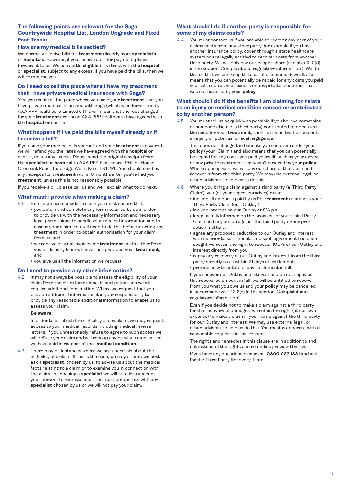# <span id="page-12-0"></span>**The following points are relevant for the Saga Countrywide Hospital List, London Upgrade and Fixed Fast Track:**

# **How are my medical bills settled?**

We normally receive bills for **treatment** directly from **specialists** or **hospitals**. However, if you receive a bill for payment, please forward it to us. We can settle **eligible** bills direct with the **hospital** or **specialist**, subject to any excess. If you have paid the bills, then we will reimburse you.

# **Do I need to tell the place where I have my treatment that I have private medical insurance with Saga?**

Yes, you must tell the place where you have your **treatment** that you have private medical insurance with Saga (which is underwritten by AXA PPP healthcare Limited). This will mean that the fees charged for your **treatment** are those AXA PPP healthcare have agreed with the **hospital** or centre.

### **What happens if I've paid the bills myself already or if I receive a bill?**

If you paid your medical bills yourself and your **treatment** is covered, we will refund you the rates we have agreed with the **hospital** or centre, minus any excess. Please send the original receipts from the **specialist** or **hospital** to AXA PPP healthcare, Phillips House, Crescent Road, Tunbridge Wells, Kent TN1 2PL. You should send us any receipts for **treatment** within 6 months after you've had your **treatment**, unless this is not reasonably possible.

If you receive a bill, please call us and we'll explain what to do next.

### **What must I provide when making a claim?**

4.1 Before we can consider a claim you must ensure that:

- you obtain and complete any form required by us in order to provide us with the necessary information and necessary legal permissions to handle your medical information and to assess your claim. You will need to do this before starting any **treatment** in order to obtain authorisation for your claim from us; and
- **we receive original invoices for treatment** costs either from you or directly from whoever has provided your **treatment**; and
- you give us all the information we request.

### **Do I need to provide any other information?**

4.2 It may not always be possible to assess the eligibility of your claim from the claim form alone. In such situations we will require additional information. Where we request that you provide additional information it is your responsibility to provide any reasonable additional information to enable us to assess your claim.

### **Be aware:**

 In order to establish the eligibility of any claim, we may request access to your medical records including medical referral letters. If you unreasonably refuse to agree to such access we will refuse your claim and will recoup any previous monies that we have paid in respect of that **medical condition**.

4.3 There may be instances where we are uncertain about the eligibility of a claim. If this is the case, we may at our own cost ask a **specialist**, chosen by us, to advise us about the medical facts relating to a claim or to examine you in connection with the claim. In choosing a **specialist** we will take into account your personal circumstances. You must co-operate with any **specialist** chosen by us or we will not pay your claim.

# **What should I do if another party is responsible for some of my claims costs?**

4.4 You must contact us if you are able to recover any part of your claims costs from any other party, for example if you have another insurance policy, cover through a state healthcare system or are legally entitled to recover costs from another third party. We will only pay our proper share (see also 12.2(d) in the section 'Complaint and regulatory information'). We do this so that we can keep the cost of premiums down. It also means that you can potentially be repaid for any costs you paid yourself, such as your excess or any private treatment that was not covered by your **policy**.

# **What should I do if the benefits I am claiming for relate to an injury or medical condition caused or contributed to by another person?**

4.5 You must tell us as quickly as possible if you believe something or someone else (i.e. a third party) contributed to or caused the need for your **treatment**, such as a road traffic accident, an injury or potential clinical negligence.

 This does not change the benefits you can claim under your **policy** (your 'Claim') and also means that you can potentially be repaid for any costs you paid yourself, such as your excess or any private treatment that wasn't covered by your **policy**. Where appropriate, we will pay our share of the Claim and recover it from the third party. We may use external legal, or other, advisors to help us to do this.

- 4.6 Where you bring a claim against a third party (a 'Third Party Claim'), you (or your representatives) must:
	- **include all amounts paid by us for treatment** relating to your Third Party Claim (our 'Outlay');
	- include interest on our Outlay at 8% p.a;
	- keep us fully informed on the progress of your Third Party Claim and any action against the third party or any preaction matters;
	- agree any proposed reduction to our Outlay and interest with us prior to settlement. If no such agreement has been sought we retain the right to recover 100% of our Outlay and interest directly from you;
	- repay any recovery of our Outlay and interest from the third party directly to us within 21 days of settlement;
	- provide us with details of any settlement in full.

 If you recover our Outlay and interest and do not repay us this recovered amount in full, we will be entitled to recover from you what you owe us and your **policy** may be cancelled in accordance with 12.2(e) in the section 'Complaint and regulatory information'.

 Even if you decide not to make a claim against a third party for the recovery of damages, we retain the right (at our own expense) to make a claim in your name against the third party for our Outlay and interest. We may use external legal, or other, advisors to help us do this. You must co-operate with all reasonable requests in this respect.

 The rights and remedies in this clause are in addition to and not instead of the rights and remedies provided by law.

 If you have any questions please call **0800 027 1331** and ask for the Third Party Recovery Team.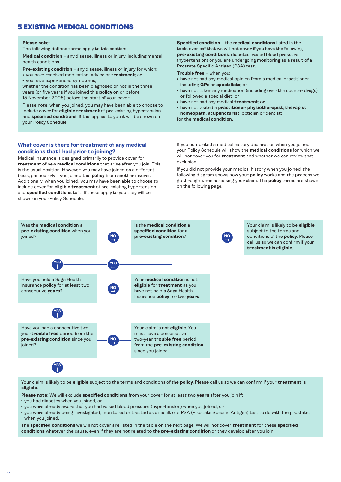# <span id="page-13-0"></span>5 EXISTING MEDICAL CONDITIONS

#### **Please note:**

The following defined terms apply to this section:

**Medical condition** – any disease, illness or injury, including mental health conditions.

**Pre-existing condition** – any disease, illness or injury for which: <sup>l</sup> you have received medication, advice or **treatment**; or • vou have experienced symptoms:

whether the condition has been diagnosed or not in the three years (or five years if you joined this **policy** on or before 15 November 2005) before the start of your cover.

Please note: when you joined, you may have been able to choose to include cover for **eligible treatment** of pre-existing hypertension and **specified conditions**. If this applies to you it will be shown on your Policy Schedule.

### **What cover is there for treatment of any medical conditions that I had prior to joining?**

Medical insurance is designed primarily to provide cover for **treatment** of new **medical conditions** that arise after you join. This is the usual position. However, you may have joined on a different basis, particularly if you joined this **policy** from another insurer. Additionally, when you joined, you may have been able to choose to include cover for **eligible treatment** of pre-existing hypertension and **specified conditions** to it. If these apply to you they will be shown on your Policy Schedule.

### **Specified condition** – the **medical conditions** listed in the table overleaf that we will not cover if you have the following **pre-existing conditions**: diabetes, raised blood pressure (hypertension) or you are undergoing monitoring as a result of a Prostate Specific Antigen (PSA) test.

### **Trouble free** – when you:

- have not had any medical opinion from a medical practitioner including **GPs** or **specialists**; or
- have not taken any medication (including over the counter drugs) or followed a special diet; or
- have not had any medical **treatment**; or
- <sup>l</sup> have not visited a **practitioner**, **physiotherapist**, **therapist**, **homeopath**, **acupuncturist**, optician or dentist;

for the **medical condition**.

If you completed a medical history declaration when you joined, your Policy Schedule will show the **medical conditions** for which we will not cover you for **treatment** and whether we can review that exclusion.

If you did not provide your medical history when you joined, the following diagram shows how your **policy** works and the process we go through when assessing your claim. The **policy** terms are shown on the following page.



Your claim is likely to be **eligible** subject to the terms and conditions of the **policy**. Please call us so we can confirm if your **treatment** is **eligible**.

**Please note:** We will exclude **specified conditions** from your cover for at least two **years** after you join if:

• you had diabetes when you joined, or

- you were already aware that you had raised blood pressure (hypertension) when you joined, or
- <sup>l</sup> you were already being investigated, monitored or treated as a result of a PSA (Prostate Specific Antigen) test to do with the prostate, when you joined.

The **specified conditions** we will not cover are listed in the table on the next page. We will not cover **treatment** for these **specified conditions** whatever the cause, even if they are not related to the **pre-existing condition** or they develop after you join.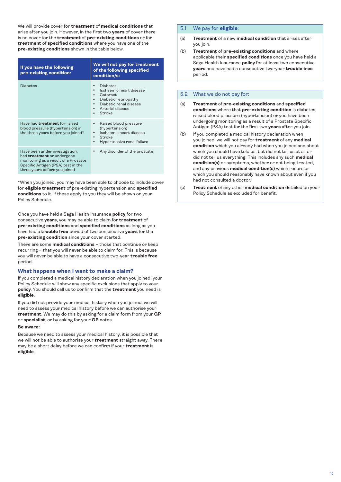We will provide cover for **treatment** of **medical conditions** that arise after you join. However, in the first two **years** of cover there is no cover for the **treatment** of **pre-existing conditions** or for **treatment** of **specified conditions** where you have one of the **pre-existing conditions** shown in the table below.

| If you have the following<br>pre-existing condition:                                                                                                                               | We will not pay for treatment<br>of the following specified<br>condition/s:                                                                              |
|------------------------------------------------------------------------------------------------------------------------------------------------------------------------------------|----------------------------------------------------------------------------------------------------------------------------------------------------------|
| <b>Diabetes</b>                                                                                                                                                                    | <b>Diabetes</b><br>Ischaemic heart disease<br>Cataract<br>٠<br>Diabetic retinopathy<br>Diabetic renal disease<br>Arterial disease<br>Stroke<br>$\bullet$ |
| Have had <b>treatment</b> for raised<br>blood pressure (hypertension) in<br>the three years before you joined*                                                                     | Raised blood pressure<br>٠<br>(hypertension)<br>Ischaemic heart disease<br>٠<br>Stroke<br>Hypertensive renal failure                                     |
| Have been under investigation,<br>had <b>treatment</b> or undergone<br>monitoring as a result of a Prostate<br>Specific Antigen (PSA) test in the<br>three years before you joined | Any disorder of the prostate                                                                                                                             |

\*When you joined, you may have been able to choose to include cover for **eligible treatment** of pre-existing hypertension and **specified conditions** to it. If these apply to you they will be shown on your Policy Schedule.

Once you have held a Saga Health Insurance **policy** for two consecutive **years**, you may be able to claim for **treatment** of **pre-existing conditions** and **specified conditions** as long as you have had a **trouble free** period of two consecutive **years** for the **pre-existing condition** since your cover started.

There are some **medical conditions** – those that continue or keep recurring – that you will never be able to claim for. This is because you will never be able to have a consecutive two-year **trouble free** period.

### **What happens when I want to make a claim?**

If you completed a medical history declaration when you joined, your Policy Schedule will show any specific exclusions that apply to your **policy**. You should call us to confirm that the **treatment** you need is **eligible**.

If you did not provide your medical history when you joined, we will need to assess your medical history before we can authorise your **treatment**. We may do this by asking for a claim form from your **GP** or **specialist**, or by asking for your **GP** notes.

#### **Be aware:**

Because we need to assess your medical history, it is possible that we will not be able to authorise your **treatment** straight away. There may be a short delay before we can confirm if your **treatment** is **eligible**.

### 5.1 We pay for **eligible**:

- (a) **Treatment** of a new **medical condition** that arises after you join.
- (b) **Treatment** of **pre-existing conditions** and where applicable their **specified conditions** once you have held a Saga Health Insurance **policy** for at least two consecutive **years** and have had a consecutive two-year **trouble free** period.

### 5.2 What we do not pay for:

- (a) **Treatment** of **pre-existing conditions** and **specified conditions** where that **pre-existing condition** is diabetes, raised blood pressure (hypertension) or you have been undergoing monitoring as a result of a Prostate Specific Antigen (PSA) test for the first two **years** after you join.
- (b) If you completed a medical history declaration when you joined: we will not pay for **treatment** of any **medical condition** which you already had when you joined and about which you should have told us, but did not tell us at all or did not tell us everything. This includes any such **medical condition(s)** or symptoms, whether or not being treated, and any previous **medical condition(s)** which recurs or which you should reasonably have known about even if you had not consulted a doctor.
- (c) **Treatment** of any other **medical condition** detailed on your Policy Schedule as excluded for benefit.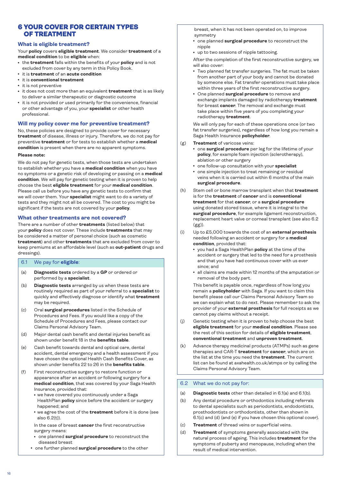# <span id="page-15-0"></span>6 YOUR COVER FOR CERTAIN TYPES OF TREATMENT

### **What is eligible treatment?**

Your **policy** covers **eligible treatment**. We consider **treatment** of a **medical condition** to be **eligible** when:

- **the treatment** falls within the benefits of your **policy** and is not excluded from cover by any term in this Policy Book.
- <sup>l</sup> it is **treatment** of an **acute condition**
- <sup>l</sup> it is **conventional treatment**
- it is not preventive
- **•** it does not cost more than an equivalent **treatment** that is as likely to deliver a similar therapeutic or diagnostic outcome
- it is not provided or used primarily for the convenience, financial or other advantage of you, your **specialist** or other health professional.

# **Will my policy cover me for preventive treatment?**

No, these policies are designed to provide cover for necessary **treatment** of disease, illness or injury. Therefore, we do not pay for preventive **treatment** or for tests to establish whether a **medical condition** is present when there are no apparent symptoms.

### **Please note:**

We do not pay for genetic tests, when those tests are undertaken to establish whether you have a **medical condition** when you have no symptoms or a genetic risk of developing or passing on a **medical condition**. We will pay for genetic testing when it is proven to help choose the best **eligible treatment** for your **medical condition**. Please call us before you have any genetic tests to confirm that we will cover them. Your **specialist** might want to do a variety of tests and they might not all be covered. The cost to you might be significant if the tests are not covered by your **policy**.

### **What other treatments are not covered?**

There are a number of other **treatments** (listed below) that your **policy** does not cover. These include **treatments** that may be considered a matter of personal choice (such as cosmetic **treatment**) and other **treatments** that are excluded from cover to keep premiums at an affordable level (such as **out-patient** drugs and dressings).

# 6.1 We pay for **eligible**:

- (a) **Diagnostic tests** ordered by a **GP** or ordered or performed by a **specialist**.
- (b) **Diagnostic tests** arranged by us when these tests are routinely required as part of your referral to a **specialist** to quickly and effectively diagnose or identify what **treatment** may be required.
- (c) Oral **surgical procedures** listed in the Schedule of Procedures and Fees. If you would like a copy of the Schedule of Procedures and Fees, please contact our Claims Personal Advisory Team.
- (d) Major dental cash benefit and dental injuries benefit as shown under benefit 18 in the **benefits table**.
- (e) Cash benefit towards dental and optical care, dental accident, dental emergency and a health assessment if you have chosen the optional Health Cash Benefits Cover, as shown under benefits 22 to 26 in the **benefits table**.
- (f) First reconstructive surgery to restore function or appearance after an accident or following surgery for a **medical condition**, that was covered by your Saga Health Insurance, provided that:
	- we have covered you continuously under a Saga HealthPlan **policy** since before the accident or surgery happened; and
	- $\bullet$  we agree the cost of the **treatment** before it is done (see also 6.2(t)).

 In the case of breast **cancer** the first reconstructive surgery means:

- **•** one planned **surgical procedure** to reconstruct the diseased breast
- **•** one further planned surgical procedure to the other

breast, when it has not been operated on, to improve symmetry

- **•** one planned surgical procedure to reconstruct the nipple
- up to two sessions of nipple tattooing.

 After the completion of the first reconstructive surgery, we will also cover:

- Two planned fat transfer surgeries. The fat must be taken from another part of your body and cannot be donated by someone else. Fat transfer operations must take place within three years of the first reconstructive surgery.
- **One planned surgical procedure** to remove and exchange implants damaged by radiotherapy **treatment** for breast **cancer**. The removal and exchange must take place within five years of you completing your radiotherapy **treatment**.

 We will only pay for each of these operations once (or two fat transfer surgeries), regardless of how long you remain a Saga Health Insurance **policyholder**.

- (g) **Treatment** of varicose veins:
	- **one surgical procedure** per leg for the lifetime of your **policy**, for example foam injection (sclerotherapy), ablation or other surgery
	- one follow-up consultation with your **specialist**
	- one simple injection to treat remaining or residual veins when it is carried out within 6 months of the main **surgical procedure**.
- (h) Stem cell or bone marrow transplant when that **treatment** is for the **treatment** of **cancer** and is **conventional treatment** for that **cancer**, or a **surgical procedure** using donated stored tissue, where it is integral to the **surgical procedure**, for example ligament reconstruction, replacement heart valve or corneal transplant (see also 6.2 (gg)).
- (i) Up to £5,000 towards the cost of an **external prosthesis** needed following an accident or surgery for a **medical condition**, provided that:
	- <sup>l</sup> you had a Saga HealthPlan **policy** at the time of the accident or surgery that led to the need for a prosthesis and that you have had continuous cover with us ever since; and
	- all claims are made within 12 months of the amputation or removal of the body part.

 This benefit is payable once, regardless of how long you remain a **policyholder** with Saga. If you want to claim this benefit please call our Claims Personal Advisory Team so we can explain what to do next. Please remember to ask the provider of your **external prosthesis** for full receipts as we cannot pay claims without a receipt.

- (j) Genetic testing when it is proven to help choose the best **eligible treatment** for your **medical condition**. Please see the rest of this section for details of **eligible treatment**, **conventional treatment** and **unproven treatment**.
- (k) Advance therapy medicinal products (ATMPs) such as gene therapies and CAR-T **treatment** for **cancer**, which are on the list at the time you need the **treatment**. The current list can be found at axahealth.co.uk/atmps or by calling the Claims Personal Advisory Team.

# 6.2 What we do not pay for:

- (a) **Diagnostic tests** other than detailed in 6.1(a) and 6.1(b).
- (b) Any dental procedure or orthodontics including referrals to dental specialists such as periodontists, endodontists, prosthodontists or orthodontists, other than shown in 6.1(c) and (d) (and (e) if you have chosen this optional cover).
- (c) **Treatment** of thread veins or superficial veins.
- (d) **Treatment** of symptoms generally associated with the natural process of ageing. This includes **treatment** for the symptoms of puberty and menopause, including when the result of medical intervention.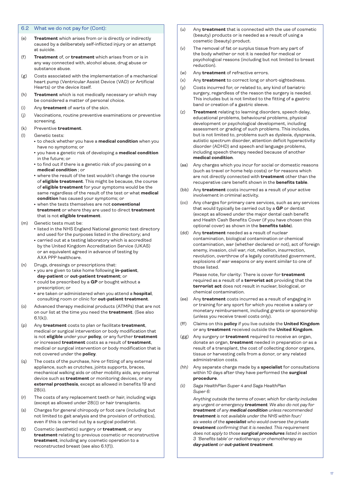### 6.2 What we do not pay for (Cont):

- (e) **Treatment** which arises from or is directly or indirectly caused by a deliberately self-inflicted injury or an attempt at suicide.
- (f) **Treatment** of, or **treatment** which arises from or is in any way connected with, alcohol abuse, drug abuse or substance abuse.
- (g) Costs associated with the implementation of a mechanical heart pump (Ventricular Assist Device (VAD) or Artificial Hearts) or the device itself.
- (h) **Treatment** which is not medically necessary or which may be considered a matter of personal choice.
- (i) Any **treatment** of warts of the skin.
- (j) Vaccinations, routine preventive examinations or preventive screening.
- (k) Preventive **treatment**.
- (l) Genetic tests:
	- **•** to check whether you have a **medical condition** when you have no symptoms; or
	- <sup>l</sup> you have a genetic risk of developing a **medical condition** in the future; or
	- to find out if there is a genetic risk of you passing on a **medical condition** ; or
	- where the result of the test wouldn't change the course of **eligible treatment**. This might be because, the course of **eligible treatment** for your symptoms would be the same regardless of the result of the test or what **medical condition** has caused your symptoms; or
	- $\cdot$  when the tests themselves are not **conventional treatment** or where they are used to direct **treatment** that is not **eligible treatment**.
- (m) Genetic tests must be:
	- $\bullet$  listed in the NHS England National genomic test directory and used for the purposes listed in the directory; and
	- carried out at a testing laboratory which is accredited by the United Kingdom Accreditation Service (UKAS) or an equivalent agreed in advance of testing by AXA PPP healthcare.
- (n) Drugs, dressings or prescriptions that:
	- **you are given to take home following in-patient, day-patient** or **out-patient treatment**; or
	- could be prescribed by a GP or bought without a prescription; or
	- **e** are taken or administered when you attend a **hospital**, consulting room or clinic for **out-patient treatment**.
- (o) Advanced therapy medicinal products (ATMPs) that are not on our list at the time you need the **treatment**. (See also  $6.1(k)$
- (p) Any **treatment** costs to plan or facilitate **treatment**, medical or surgical intervention or body modification that is not **eligible** under your **policy**, or any further **treatment** or increased **treatment** costs as a result of **treatment**, medical or surgical intervention or body modification that is not covered under the **policy**.
- (q) The costs of the purchase, hire or fitting of any external appliance, such as crutches, joints supports, braces, mechanical walking aids or other mobility aids, any external device such as **treatment** or monitoring devices, or any **external prosthesis**, except as allowed in benefits 19 and 28(ii).
- (r) The costs of any replacement teeth or hair, including wigs (except as allowed under 28(i)) or hair transplants.
- (s) Charges for general chiropody or foot care (including but not limited to gait analysis and the provision of orthotics), even if this is carried out by a surgical podiatrist.
- (t) Cosmetic (aesthetic) surgery or **treatment**, or any **treatment** relating to previous cosmetic or reconstructive **treatment**, including any cosmetic operation to a reconstructed breast (see also 6.1(f)).
- (u) Any **treatment** that is connected with the use of cosmetic (beauty) products or is needed as a result of using a cosmetic (beauty) product.
- (v) The removal of fat or surplus tissue from any part of the body whether or not it is needed for medical or psychological reasons (including but not limited to breast reduction).
- (w) Any **treatment** of refractive errors.
- (x) Any **treatment** to correct long or short-sightedness.
- (y) Costs incurred for, or related to, any kind of bariatric surgery, regardless of the reason the surgery is needed. This includes but is not limited to the fitting of a gastric band or creation of a gastric sleeve.
- (z) **Treatment** relating to learning disorders, speech delay, educational problems, behavioural problems, physical development or psychological development, including assessment or grading of such problems. This includes, but is not limited to, problems such as dyslexia, dyspraxia, autistic spectrum disorder, attention deficit hyperactivity disorder (ADHD) and speech and language problems, including speech therapy needed because of another **medical condition**.
- (aa) Any charges which you incur for social or domestic reasons (such as travel or home help costs) or for reasons which are not directly connected with **treatment** other than the recuperative care benefit shown in the **benefits table**.
- (bb) Any **treatment** costs incurred as a result of your active involvement in criminal activity.
- (cc) Any charges for primary care services, such as any services that would typically be carried out by a **GP** or dentist (except as allowed under the major dental cash benefit and Health Cash Benefits Cover (if you have chosen this optional cover) as shown in the **benefits table**).
- (dd) Any **treatment** needed as a result of nuclear contamination, biological contamination or chemical contamination, war (whether declared or not), act of foreign enemy, invasion, civil war, riot, rebellion, insurrection, revolution, overthrow of a legally constituted government, explosions of war weapons or any event similar to one of those listed.

 Please note, for clarity: There is cover for **treatment** required as a result of a **terrorist act** providing that the **terrorist act** does not result in nuclear, biological, or chemical contamination.

- (ee) Any **treatment** costs incurred as a result of engaging in or training for any sport for which you receive a salary or monetary reimbursement, including grants or sponsorship (unless you receive travel costs only).
- (ff) Claims on this **policy** if you live outside the **United Kingdom** or any **treatment** received outside the **United Kingdom**.
- (gg) Any surgery or **treatment** required to receive an organ, donate an organ, **treatment** needed in preparation or as a result of a transplant, the cost of collecting donor organs, tissue or harvesting cells from a donor, or any related administration costs.
- *(hh)* Any separate charge made by a **specialist** for consultations within 10 days after they have performed the **surgical procedure**.
- *(ii) Saga HealthPlan Super 4 and Saga HealthPlan Super 6:*

 *Anything outside the terms of cover, which for clarity includes any urgent or emergency treatment. We also do not pay for treatment of any medical condition unless recommended treatment is not available under the NHS within four/ six weeks of the specialist who would oversee the private treatment confirming that it is needed. This requirement does not apply to those surgical procedures listed in section 3 'Benefits table' or radiotherapy or chemotherapy as day-patient or out-patient treatment.*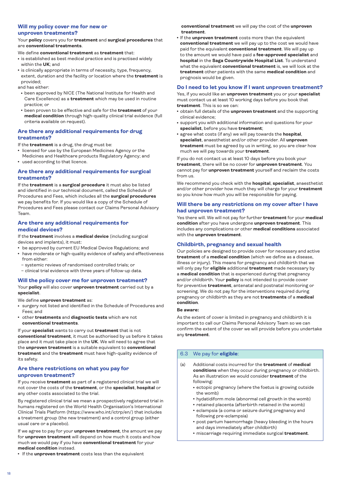# **Will my policy cover me for new or**

# **unproven treatments?**

Your **policy** covers you for **treatment** and **surgical procedures** that are **conventional treatments**.

We define **conventional treatment** as **treatment** that:

- $\cdot$  is established as best medical practice and is practised widely within the **UK**; and
- is clinically appropriate in terms of necessity, type, frequency, extent, duration and the facility or location where the **treatment** is provided;

and has either:

- been approved by NICE (The National Institute for Health and Care Excellence) as a **treatment** which may be used in routine practice; or
- **been proven to be effective and safe for the treatment of your medical condition** through high-quality clinical trial evidence (full criteria available on request).

# **Are there any additional requirements for drug treatments?**

If the **treatment** is a drug, the drug must be:

- licensed for use by the European Medicines Agency or the Medicines and Healthcare products Regulatory Agency; and
- used according to that licence.

# **Are there any additional requirements for surgical treatments?**

If the **treatment** is a **surgical procedure** it must also be listed and identified in our technical document, called the Schedule of Procedures and Fees, which includes all the **surgical procedures** we pay benefits for. If you would like a copy of the Schedule of Procedures and Fees please contact our Claims Personal Advisory Team.

### **Are there any additional requirements for medical devices?**

If the **treatment** involves a **medical device** (including surgical devices and implants), it must:

- be approved by current EU Medical Device Regulations; and
- have moderate or high-quality evidence of safety and effectiveness from either:
- systemic reviews of randomised controlled trials; or
- clinical trial evidence with three years of follow-up data.

# **Will the policy cover me for unproven treatment?**

Your **policy** will also cover **unproven treatment** carried out by a **specialist**.

We define **unproven treatment** as:

- surgery not listed and identified in the Schedule of Procedures and Fees; and
- **other treatments** and **diagnostic tests** which are not **conventional treatments**.

If your **specialist** wants to carry out **treatment** that is not **conventional treatment**, it must be authorised by us before it takes place and it must take place in the **UK**. We will need to agree that the **unproven treatment** is a suitable equivalent to **conventional treatment** and the **treatment** must have high-quality evidence of its safety.

### **Are there restrictions on what you pay for unproven treatment?**

If you receive **treatment** as part of a registered clinical trial we will not cover the costs of the **treatment**, or the **specialist**, **hospital** or any other costs associated to the trial.

By registered clinical trial we mean a prospectively registered trial in humans registered on the World Health Organisation's International Clinical Trials Platform (https://www.who.int/ictrp/en/) that includes a treatment group (the new treatment) and a control group (either usual care or a placebo).

If we agree to pay for your **unproven treatment**, the amount we pay for **unproven treatment** will depend on how much it costs and how much we would pay if you have **conventional treatment** for your **medical condition** instead.

**.** If the **unproven treatment** costs less than the equivalent

**conventional treatment** we will pay the cost of the **unproven treatment**.

**.** If the **unproven treatment** costs more than the equivalent **conventional treatment** we will pay up to the cost we would have paid for the equivalent **conventional treatment**. We will pay up to the amount we would have paid a **fee-approved specialist** and **hospital** in the **Saga Countrywide Hospital List**. To understand what the equivalent **conventional treatment** is, we will look at the **treatment** other patients with the same **medical condition** and prognosis would be given.

# **Do I need to let you know if I want unproven treatment?**

Yes, if you would like an **unproven treatment** you or your **specialist** must contact us at least 10 working days before you book that **treatment**. This is so we can:

- obtain full details of the **unproven treatment** and the supporting clinical evidence;
- support you with additional information and questions for your **specialist**, before you have **treatment**;
- agree what costs (if any) we will pay towards the **hospital**, **specialist**, anaesthetist and/or other provider. All **unproven treatment** must be agreed by us in writing, so you are clear how much we will pay towards your **treatment**.

If you do not contact us at least 10 days before you book your **treatment**, there will be no cover for **unproven treatment**. You cannot pay for **unproven treatment** yourself and reclaim the costs from us.

We recommend you check with the **hospital**, **specialist**, anaesthetist and/or other provider how much they will charge for your **treatment** so you know how much you will be responsible for paying.

# **Will there be any restrictions on my cover after I have had unproven treatment?**

Yes there will. We will not pay for further **treatment** for your **medical condition** after you have undergone **unproven treatment**. This includes any complications or other **medical conditions** associated with the **unproven treatment**.

# **Childbirth, pregnancy and sexual health**

Our policies are designed to provide cover for necessary and active **treatment** of a **medical condition** (which we define as a disease, illness or injury). This means for pregnancy and childbirth that we will only pay for **eligible** additional **treatment** made necessary by a **medical condition** that is experienced during that pregnancy and/or childbirth. Your **policy** is not intended to provide cover for preventive **treatment**, antenatal and postnatal monitoring or screening. We do not pay for the interventions required during pregnancy or childbirth as they are not **treatments** of a **medical condition**.

### **Be aware:**

As the extent of cover is limited in pregnancy and childbirth it is important to call our Claims Personal Advisory Team so we can confirm the extent of the cover we will provide before you undertake any **treatment**.

# 6.3 We pay for **eligible**:

- (a) Additional costs incurred for the **treatment** of **medical conditions** when they occur during pregnancy or childbirth. As an illustration we would consider **treatment** of the following:
	- ectopic pregnancy (where the foetus is growing outside the womb)
	- hydatidiform mole (abnormal cell growth in the womb)
	- retained placenta (afterbirth retained in the womb)
	- eclampsia (a coma or seizure during pregnancy and following pre-eclampsia)
	- post partum haemorrhage (heavy bleeding in the hours and days immediately after childbirth)
	- **miscarriage requiring immediate surgical treatment.**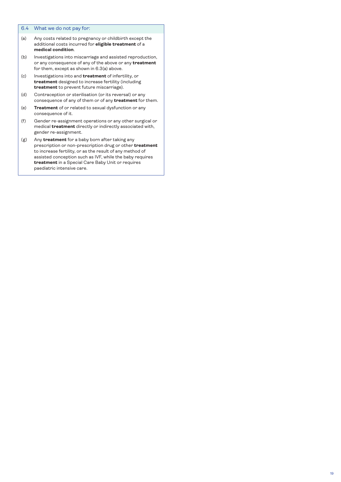# 6.4 What we do not pay for:

- (a) Any costs related to pregnancy or childbirth except the additional costs incurred for **eligible treatment** of a **medical condition**.
- (b) Investigations into miscarriage and assisted reproduction, or any consequence of any of the above or any **treatment** for them, except as shown in 6.3(a) above.
- (c) Investigations into and **treatment** of infertility, or **treatment** designed to increase fertility (including **treatment** to prevent future miscarriage).
- (d) Contraception or sterilisation (or its reversal) or any consequence of any of them or of any **treatment** for them.
- (e) **Treatment** of or related to sexual dysfunction or any consequence of it.
- (f) Gender re-assignment operations or any other surgical or medical **treatment** directly or indirectly associated with, gender re-assignment.
- (g) Any **treatment** for a baby born after taking any prescription or non-prescription drug or other **treatment** to increase fertility, or as the result of any method of assisted conception such as IVF, while the baby requires **treatment** in a Special Care Baby Unit or requires paediatric intensive care.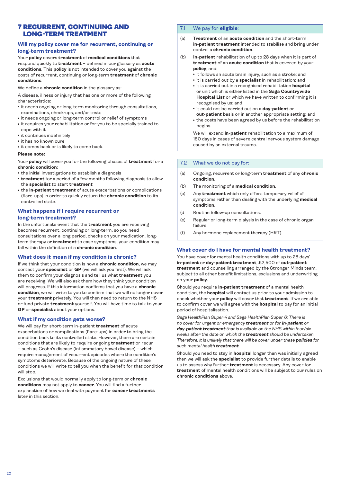# <span id="page-19-0"></span>7 RECURRENT, CONTINUING AND LONG-TERM TREATMENT

### **Will my policy cover me for recurrent, continuing or long-term treatment?**

Your **policy** covers **treatment** of **medical conditions** that respond quickly to **treatment** – defined in our glossary as **acute conditions**. This **policy** is not intended to cover you against the costs of recurrent, continuing or long-term **treatment** of **chronic conditions**.

### We define a **chronic condition** in the glossary as:

A disease, illness or injury that has one or more of the following characteristics:

- it needs ongoing or long-term monitoring through consultations, examinations, check-ups, and/or tests
- it needs ongoing or long-term control or relief of symptoms
- it requires your rehabilitation or for you to be specially trained to cope with it
- $\cdot$  it continues indefinitely
- it has no known cure
- it comes back or is likely to come back.

#### **Please note:**

Your **policy** will cover you for the following phases of **treatment** for a **chronic condition**:

- the initial investigations to establish a diagnosis
- **treatment** for a period of a few months following diagnosis to allow the **specialist** to start **treatment**
- **the in-patient treatment** of acute exacerbations or complications (flare-ups) in order to quickly return the **chronic condition** to its controlled state.

### **What happens if I require recurrent or long-term treatment?**

In the unfortunate event that the **treatment** you are receiving becomes recurrent, continuing or long-term, so you need consultations over a long period, checks on your medication, longterm therapy or **treatment** to ease symptoms, your condition may fall within the definition of a **chronic condition**.

### **What does it mean if my condition is chronic?**

If we think that your condition is now a **chronic condition**, we may contact your **specialist** or **GP** (we will ask you first). We will ask them to confirm your diagnosis and tell us what **treatment** you are receiving. We will also ask them how they think your condition will progress. If this information confirms that you have a **chronic condition**, we will write to you to confirm that we will no longer cover your **treatment** privately. You will then need to return to the NHS or fund private **treatment** yourself. You will have time to talk to your **GP** or **specialist** about your options.

### **What if my condition gets worse?**

We will pay for short-term in-patient **treatment** of acute exacerbations or complications (flare-ups) in order to bring the condition back to its controlled state. However, there are certain conditions that are likely to require ongoing **treatment** or recur – such as Crohn's disease (inflammatory bowel disease) – which require management of recurrent episodes where the condition's symptoms deteriorate. Because of the ongoing nature of these conditions we will write to tell you when the benefit for that condition will stop.

Exclusions that would normally apply to long-term or **chronic conditions** may not apply to **cancer**. You will find a further explanation of how we deal with payment for **cancer treatments** later in this section.

# 7.1 We pay for **eligible**:

- (a) **Treatment** of an **acute condition** and the short-term **in-patient treatment** intended to stabilise and bring under control a **chronic condition**.
- (b) **In-patient** rehabilitation of up to 28 days when it is part of **treatment** of an **acute condition** that is covered by your **policy**; and:
	- it follows an acute brain injury, such as a stroke; and
	- it is carried out by a **specialist** in rehabilitation; and
	- $\cdot$  it is carried out in a recognised rehabilitation **hospital** or unit which is either listed in the **Saga Countrywide Hospital List** or which we have written to confirming it is recognised by us; and
	- <sup>l</sup> it could not be carried out on a **day-patient** or
	- **out-patient** basis or in another appropriate setting; and • the costs have been agreed by us before the rehabilitation begins.

 We will extend **in-patient** rehabilitation to a maximum of 180 days in cases of severe central nervous system damage caused by an external trauma.

### 7.2 What we do not pay for:

- (a) Ongoing, recurrent or long-term **treatment** of any **chronic condition**.
- (b) The monitoring of a **medical condition**.
- (c) Any **treatment** which only offers temporary relief of symptoms rather than dealing with the underlying **medical condition**.
- (d Routine follow-up consultations.
- (e) Regular or long-term dialysis in the case of chronic organ failure.
- (f) Any hormone replacement therapy (HRT).

### **What cover do I have for mental health treatment?**

You have cover for mental health conditions with up to 28 days' **in-patient** or **day-patient treatment**, £2,500 of **out-patient treatment** and counselling arranged by the Stronger Minds team, subject to all other benefit limitations, exclusions and underwriting on your **policy**.

Should you require **in-patient treatment** of a mental health condition, the **hospital** will contact us prior to your admission to check whether your **policy** will cover that **treatment**. If we are able to confirm cover we will agree with the **hospital** to pay for an initial period of hospitalisation.

*Saga HealthPlan Super 4 and Saga HealthPlan Super 6: There is no cover for urgent or emergency treatment or for in-patient or day-patient treatment that is available on the NHS within four/six weeks after the date on which the treatment should be undertaken. Therefore, it is unlikely that there will be cover under these policies for such mental health treatment.*

Should you need to stay in **hospital** longer than was initially agreed then we will ask the **specialist** to provide further details to enable us to assess why further **treatment** is necessary. Any cover for **treatment** of mental health conditions will be subject to our rules on **chronic conditions** above.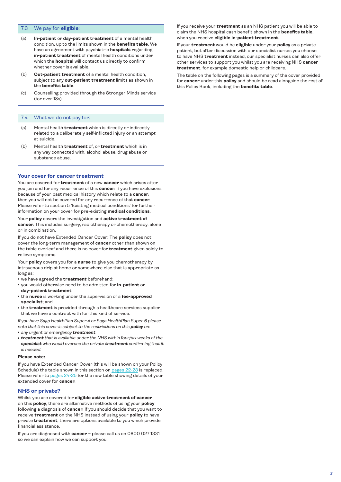### <span id="page-20-0"></span>7.3 We pay for **eligible**:

- (a) **In-patient** or **day-patient treatment** of a mental health condition, up to the limits shown in the **benefits table**. We have an agreement with psychiatric **hospitals** regarding **in-patient treatment** of mental health conditions under which the **hospital** will contact us directly to confirm whether cover is available.
- (b) **Out-patient treatment** of a mental health condition, subject to any **out-patient treatment** limits as shown in the **benefits table**.
- (c) Counselling provided through the Stronger Minds service (for over 18s).

### 7.4 What we do not pay for:

- (a) Mental health **treatment** which is directly or indirectly related to a deliberately self-inflicted injury or an attempt at suicide.
- (b) Mental health **treatment** of, or **treatment** which is in any way connected with, alcohol abuse, drug abuse or substance abuse.

### **Your cover for cancer treatment**

You are covered for **treatment** of a new **cancer** which arises after you join and for any recurrence of this **cancer**. If you have exclusions because of your past medical history which relate to a **cancer**, then you will not be covered for any recurrence of that **cancer**. Please refer to section 5 'Existing medical conditions' for further information on your cover for pre-existing **medical conditions**.

Your **policy** covers the investigation and **active treatment of cancer**. This includes surgery, radiotherapy or chemotherapy, alone or in combination.

If you do not have Extended Cancer Cover: The **policy** does not cover the long-term management of **cancer** other than shown on the table overleaf and there is no cover for **treatment** given solely to relieve symptoms.

Your **policy** covers you for a **nurse** to give you chemotherapy by intravenous drip at home or somewhere else that is appropriate as long as:

- $\cdot$  we have agreed the **treatment** beforehand;
- <sup>l</sup> you would otherwise need to be admitted for **in-patient** or **day-patient treatment**;
- **the nurse** is working under the supervision of a *fee-approved* **specialist**; and
- the treatment is provided through a healthcare services supplier that we have a contract with for this kind of service.

*If you have Saga HealthPlan Super 4 or Saga HealthPlan Super 6 please note that this cover is subject to the restrictions on this policy on:*

- <sup>l</sup> *any urgent or emergency treatment*
- <sup>l</sup> *treatment that is available under the NHS within four/six weeks of the specialist who would oversee the private treatment confirming that it is needed.*

### **Please note:**

If you have Extended Cancer Cover (this will be shown on your Policy Schedule) the table shown in this section on [pages 22-23](#page-21-0) is replaced. Please refer to [pages 24-25](#page-23-0) for the new table showing details of your extended cover for **cancer**.

### **NHS or private?**

Whilst you are covered for **eligible active treatment of cancer** on this **policy**, there are alternative methods of using your **policy** following a diagnosis of **cancer**. If you should decide that you want to receive **treatment** on the NHS instead of using your **policy** to have private **treatment**, there are options available to you which provide financial assistance.

If you are diagnosed with **cancer** – please call us on 0800 027 1331 so we can explain how we can support you.

If you receive your **treatment** as an NHS patient you will be able to claim the NHS hospital cash benefit shown in the **benefits table**, when you receive **eligible in-patient treatment**.

If your **treatment** would be **eligible** under your **policy** as a private patient, but after discussion with our specialist nurses you choose to have NHS **treatment** instead, our specialist nurses can also offer other services to support you whilst you are receiving NHS **cancer treatment**, for example domestic help or childcare.

The table on the following pages is a summary of the cover provided for **cancer** under this **policy** and should be read alongside the rest of this Policy Book, including the **benefits table**.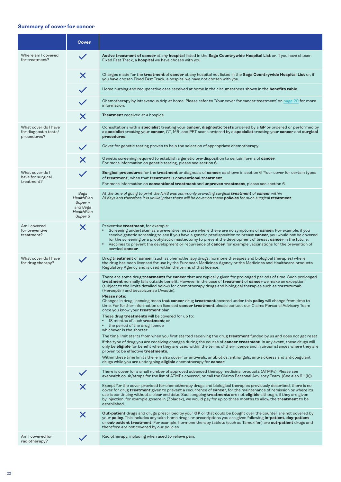# <span id="page-21-0"></span>**Summary of cover for cancer**

|                                                              | Cover                                                                                |                                                                                                                                                                                                                                                                                                                                                                                                                                                                                                                                                                                                                                                                                                                                                                                                                                                                                                                                                                                                                                                                                                                                                                                                                                                                                                                                                                                                                                                                                                               |
|--------------------------------------------------------------|--------------------------------------------------------------------------------------|---------------------------------------------------------------------------------------------------------------------------------------------------------------------------------------------------------------------------------------------------------------------------------------------------------------------------------------------------------------------------------------------------------------------------------------------------------------------------------------------------------------------------------------------------------------------------------------------------------------------------------------------------------------------------------------------------------------------------------------------------------------------------------------------------------------------------------------------------------------------------------------------------------------------------------------------------------------------------------------------------------------------------------------------------------------------------------------------------------------------------------------------------------------------------------------------------------------------------------------------------------------------------------------------------------------------------------------------------------------------------------------------------------------------------------------------------------------------------------------------------------------|
| Where am I covered<br>for treatment?                         |                                                                                      | Active treatment of cancer at any hospital listed in the Saga Countrywide Hospital List or, if you have chosen<br>Fixed Fast Track, a <b>hospital</b> we have chosen with you.                                                                                                                                                                                                                                                                                                                                                                                                                                                                                                                                                                                                                                                                                                                                                                                                                                                                                                                                                                                                                                                                                                                                                                                                                                                                                                                                |
|                                                              | X                                                                                    | Charges made for the <b>treatment</b> of <b>cancer</b> at any hospital not listed in the <b>Saga Countrywide Hospital List</b> or, if<br>you have chosen Fixed Fast Track, a hospital we have not chosen with you.                                                                                                                                                                                                                                                                                                                                                                                                                                                                                                                                                                                                                                                                                                                                                                                                                                                                                                                                                                                                                                                                                                                                                                                                                                                                                            |
|                                                              |                                                                                      | Home nursing and recuperative care received at home in the circumstances shown in the <b>benefits table</b> .                                                                                                                                                                                                                                                                                                                                                                                                                                                                                                                                                                                                                                                                                                                                                                                                                                                                                                                                                                                                                                                                                                                                                                                                                                                                                                                                                                                                 |
|                                                              |                                                                                      | Chemotherapy by intravenous drip at home. Please refer to 'Your cover for cancer treatment' on page 20 for more<br>information.                                                                                                                                                                                                                                                                                                                                                                                                                                                                                                                                                                                                                                                                                                                                                                                                                                                                                                                                                                                                                                                                                                                                                                                                                                                                                                                                                                               |
|                                                              | X                                                                                    | Treatment received at a hospice.                                                                                                                                                                                                                                                                                                                                                                                                                                                                                                                                                                                                                                                                                                                                                                                                                                                                                                                                                                                                                                                                                                                                                                                                                                                                                                                                                                                                                                                                              |
| What cover do I have<br>for diagnostic tests/<br>procedures? |                                                                                      | Consultations with a <b>specialist</b> treating your <b>cancer, diagnostic tests</b> ordered by a GP or ordered or performed by<br>a specialist treating your cancer, CT, MRI and PET scans ordered by a specialist treating your cancer and surgical<br>procedures.                                                                                                                                                                                                                                                                                                                                                                                                                                                                                                                                                                                                                                                                                                                                                                                                                                                                                                                                                                                                                                                                                                                                                                                                                                          |
|                                                              |                                                                                      | Cover for genetic testing proven to help the selection of appropriate chemotherapy.                                                                                                                                                                                                                                                                                                                                                                                                                                                                                                                                                                                                                                                                                                                                                                                                                                                                                                                                                                                                                                                                                                                                                                                                                                                                                                                                                                                                                           |
|                                                              | X                                                                                    | Genetic screening required to establish a genetic pre-disposition to certain forms of <b>cancer</b> .<br>For more information on genetic testing, please see section 6.                                                                                                                                                                                                                                                                                                                                                                                                                                                                                                                                                                                                                                                                                                                                                                                                                                                                                                                                                                                                                                                                                                                                                                                                                                                                                                                                       |
| What cover do I<br>have for surgical<br>treatment?           |                                                                                      | <b>Surgical procedures</b> for the <b>treatment</b> or diagnosis of <b>cancer</b> , as shown in section 6 'Your cover for certain types<br>of treatment', when that treatment is conventional treatment.<br>For more information on <b>conventional treatment</b> and <b>unproven treatment</b> , please see section 6.                                                                                                                                                                                                                                                                                                                                                                                                                                                                                                                                                                                                                                                                                                                                                                                                                                                                                                                                                                                                                                                                                                                                                                                       |
|                                                              | Saga<br><b>HealthPlan</b><br>Super 4<br>and Saga<br>HealthPlan<br>Super <sub>6</sub> | At the time of going to print the NHS was commonly providing surgical <b>treatment</b> of <b>cancer</b> within<br>31 days and therefore it is unlikely that there will be cover on these <b>policies</b> for such surgical <b>treatment</b> .                                                                                                                                                                                                                                                                                                                                                                                                                                                                                                                                                                                                                                                                                                                                                                                                                                                                                                                                                                                                                                                                                                                                                                                                                                                                 |
| Am I covered<br>for preventive<br>treatment?                 | X                                                                                    | Preventive <b>treatment</b> , for example:<br>Screening undertaken as a preventive measure where there are no symptoms of cancer. For example, if you<br>receive genetic screening to see if you have a genetic predisposition to breast cancer, you would not be covered<br>for the screening or a prophylactic mastectomy to prevent the development of breast <b>cancer</b> in the future.<br>Vaccines to prevent the development or recurrence of <b>cancer</b> , for example vaccinations for the prevention of<br>cervical cancer.                                                                                                                                                                                                                                                                                                                                                                                                                                                                                                                                                                                                                                                                                                                                                                                                                                                                                                                                                                      |
| What cover do I have<br>for drug therapy?                    |                                                                                      | Drug treatment of cancer (such as chemotherapy drugs, hormone therapies and biological therapies) where<br>the drug has been licensed for use by the European Medicines Agency or the Medicines and Healthcare products<br>Regulatory Agency and is used within the terms of that licence.                                                                                                                                                                                                                                                                                                                                                                                                                                                                                                                                                                                                                                                                                                                                                                                                                                                                                                                                                                                                                                                                                                                                                                                                                    |
|                                                              |                                                                                      | There are some drug <b>treatments</b> for <b>cancer</b> that are typically given for prolonged periods of time. Such prolonged<br>treatment normally falls outside benefit. However in the case of treatment of cancer we make an exception<br>(subject to the limits detailed below) for chemotherapy drugs and biological therapies such as trastuzumab<br>(Herceptin) and bevacizumab (Avastin).<br>Please note:<br>Changes in drug licensing mean that cancer drug treatment covered under this policy will change from time to<br>time. For further information on licensed <b>cancer treatment</b> please contact our Claims Personal Advisory Team<br>once you know your <b>treatment</b> plan.<br>These drug <b>treatments</b> will be covered for up to:<br>• 18 months of such treatment; or<br>the period of the drug licence<br>whichever is the shorter.<br>The time limit starts from when you first started receiving the drug <b>treatment</b> funded by us and does not get reset<br>if the type of drug you are receiving changes during the course of <b>cancer treatment</b> . In any event, these drugs will<br>only be eligible for benefit when they are used within the terms of their licence and in circumstances where they are<br>proven to be effective treatments.<br>Within these time limits there is also cover for antivirals, antibiotics, antifungals, anti-sickness and anticoagulant<br>drugs while you are undergoing <b>eligible</b> chemotherapy for <b>cancer</b> . |
|                                                              |                                                                                      | There is cover for a small number of approved advanced therapy medicinal products (ATMPs). Please see<br>axahealth.co.uk/atmps for the list of ATMPs covered, or call the Claims Personal Advisory Team. (See also 6.1 (k)).                                                                                                                                                                                                                                                                                                                                                                                                                                                                                                                                                                                                                                                                                                                                                                                                                                                                                                                                                                                                                                                                                                                                                                                                                                                                                  |
|                                                              | X                                                                                    | Except for the cover provided for chemotherapy drugs and biological therapies previously described, there is no<br>cover for drug <b>treatment</b> given to prevent a recurrence of <b>cancer</b> , for the maintenance of remission or where its<br>use is continuing without a clear end date. Such ongoing <b>treatments</b> are not <b>eligible</b> although, if they are given<br>by injection, for example goserelin (Zoladex), we would pay for up to three months to allow the <b>treatment</b> to be<br>established.                                                                                                                                                                                                                                                                                                                                                                                                                                                                                                                                                                                                                                                                                                                                                                                                                                                                                                                                                                                 |
|                                                              | X                                                                                    | <b>Out-patient</b> drugs and drugs prescribed by your GP or that could be bought over the counter are not covered by<br>your policy. This includes any take-home drugs or prescriptions you are given following in-patient, day-patient<br>or <b>out-patient treatment</b> . For example, hormone therapy tablets (such as Tamoxifen) are <b>out-patient</b> drugs and<br>therefore are not covered by our policies.                                                                                                                                                                                                                                                                                                                                                                                                                                                                                                                                                                                                                                                                                                                                                                                                                                                                                                                                                                                                                                                                                          |
| Am I covered for<br>radiotherapy?                            |                                                                                      | Radiotherapy, including when used to relieve pain.                                                                                                                                                                                                                                                                                                                                                                                                                                                                                                                                                                                                                                                                                                                                                                                                                                                                                                                                                                                                                                                                                                                                                                                                                                                                                                                                                                                                                                                            |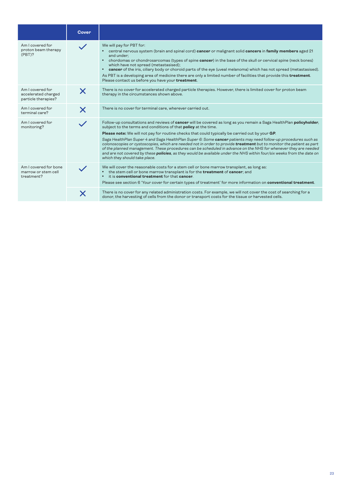|                                                                | <b>Cover</b>              |                                                                                                                                                                                                                                                                                                                                                                                                                                                                                                                                                                                                                                                                                                                                                                                                                            |
|----------------------------------------------------------------|---------------------------|----------------------------------------------------------------------------------------------------------------------------------------------------------------------------------------------------------------------------------------------------------------------------------------------------------------------------------------------------------------------------------------------------------------------------------------------------------------------------------------------------------------------------------------------------------------------------------------------------------------------------------------------------------------------------------------------------------------------------------------------------------------------------------------------------------------------------|
| Am I covered for<br>proton beam therapy<br>$(PBT)$ ?           |                           | We will pay for PBT for:<br>central nervous system (brain and spinal cord) cancer or malignant solid cancers in family members aged 21<br>and under:<br>chordomas or chondrosarcomas (types of spine cancer) in the base of the skull or cervical spine (neck bones)<br>which have not spread (metastasised);<br>cancer of the iris, ciliary body or choroid parts of the eye (uveal melanoma) which has not spread (metastasised).<br>$\bullet$<br>As PBT is a developing area of medicine there are only a limited number of facilities that provide this treatment.<br>Please contact us before you have your treatment.                                                                                                                                                                                                |
| Am I covered for<br>accelerated charged<br>particle therapies? | X                         | There is no cover for accelerated charged particle therapies. However, there is limited cover for proton beam<br>therapy in the circumstances shown above.                                                                                                                                                                                                                                                                                                                                                                                                                                                                                                                                                                                                                                                                 |
| Am I covered for<br>terminal care?                             | $\boldsymbol{\mathsf{X}}$ | There is no cover for terminal care, wherever carried out.                                                                                                                                                                                                                                                                                                                                                                                                                                                                                                                                                                                                                                                                                                                                                                 |
| Am I covered for<br>monitoring?                                |                           | Follow-up consultations and reviews of cancer will be covered as long as you remain a Saga HealthPlan policyholder,<br>subject to the terms and conditions of that policy at the time.<br>Please note: We will not pay for routine checks that could typically be carried out by your GP.<br>Saga HealthPlan Super 4 and Saga HealthPlan Super 6: Some cancer patients may need follow-up procedures such as<br>colonoscopies or cystoscopies, which are needed not in order to provide treatment but to monitor the patient as part<br>of the planned management. These procedures can be scheduled in advance on the NHS for whenever they are needed<br>and are not covered by these <b>policies</b> , as they would be available under the NHS within four/six weeks from the date on<br>which they should take place. |
| Am I covered for bone<br>marrow or stem cell<br>treatment?     |                           | We will cover the reasonable costs for a stem cell or bone marrow transplant, as long as:<br>the stem cell or bone marrow transplant is for the <b>treatment</b> of <b>cancer</b> ; and<br>it is conventional treatment for that cancer.<br>$\bullet$<br>Please see section 6 'Your cover for certain types of treatment' for more information on conventional treatment.                                                                                                                                                                                                                                                                                                                                                                                                                                                  |
|                                                                |                           | There is no cover for any related administration costs. For example, we will not cover the cost of searching for a<br>donor, the harvesting of cells from the donor or transport costs for the tissue or harvested cells.                                                                                                                                                                                                                                                                                                                                                                                                                                                                                                                                                                                                  |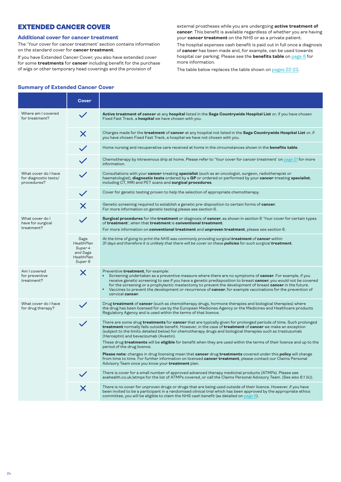# <span id="page-23-0"></span>EXTENDED CANCER COVER

# **Additional cover for cancer treatment**

The 'Your cover for cancer treatment' section contains information on the standard cover for **cancer treatment**.

If you have Extended Cancer Cover, you also have extended cover for some **treatments** for **cancer** including benefit for the purchase of wigs or other temporary head coverings and the provision of

external prostheses while you are undergoing **active treatment of cancer**. This benefit is available regardless of whether you are having your **cancer treatment** on the NHS or as a private patient.

The hospital expenses cash benefit is paid out in full once a diagnosis of **cancer** has been made and, for example, can be used towards hospital car parking. Please see the **benefits table** on [page 8](#page-7-0) for more information.

The table below replaces the table shown on [pages 22-23](#page-21-0).

### **Summary of Extended Cancer Cover**

|                                                              | Cover                                                                     |                                                                                                                                                                                                                                                                                                                                                                                                                                                                                                                                                     |
|--------------------------------------------------------------|---------------------------------------------------------------------------|-----------------------------------------------------------------------------------------------------------------------------------------------------------------------------------------------------------------------------------------------------------------------------------------------------------------------------------------------------------------------------------------------------------------------------------------------------------------------------------------------------------------------------------------------------|
| Where am I covered<br>for treatment?                         |                                                                           | Active treatment of cancer at any hospital listed in the Saga Countrywide Hospital List or, if you have chosen<br>Fixed Fast Track, a <b>hospital</b> we have chosen with you.                                                                                                                                                                                                                                                                                                                                                                      |
|                                                              | Х                                                                         | Charges made for the <b>treatment</b> of <b>cancer</b> at any hospital not listed in the Saga Countrywide Hospital List or, if<br>you have chosen Fixed Fast Track, a hospital we have not chosen with you.                                                                                                                                                                                                                                                                                                                                         |
|                                                              |                                                                           | Home nursing and recuperative care received at home in the circumstances shown in the <b>benefits table</b> .                                                                                                                                                                                                                                                                                                                                                                                                                                       |
|                                                              |                                                                           | Chemotherapy by intravenous drip at home. Please refer to 'Your cover for cancer treatment' on page 21 for more<br>information.                                                                                                                                                                                                                                                                                                                                                                                                                     |
| What cover do I have<br>for diagnostic tests/<br>procedures? |                                                                           | Consultations with your cancer-treating specialist (such as an oncologist, surgeon, radiotherapist or<br>haematologist), diagnostic tests ordered by a GP or ordered or performed by your cancer-treating specialist,<br>including CT, MRI and PET scans and surgical procedures.                                                                                                                                                                                                                                                                   |
|                                                              |                                                                           | Cover for genetic testing proven to help the selection of appropriate chemotherapy.                                                                                                                                                                                                                                                                                                                                                                                                                                                                 |
|                                                              |                                                                           | Genetic screening required to establish a genetic pre-disposition to certain forms of cancer.<br>For more information on genetic testing please see section 6.                                                                                                                                                                                                                                                                                                                                                                                      |
| What cover do I<br>have for surgical<br>treatment?           |                                                                           | <b>Surgical procedures</b> for the <b>treatment</b> or diagnosis of <b>cancer</b> , as shown in section 6 'Your cover for certain types<br>of treatment', when that treatment is conventional treatment.<br>For more information on <b>conventional treatment</b> and <b>unproven treatment</b> , please see section 6.                                                                                                                                                                                                                             |
|                                                              | Saga<br><b>HealthPlan</b><br>Super 4<br>and Saga<br>HealthPlan<br>Super 6 | At the time of going to print the NHS was commonly providing surgical <b>treatment</b> of <b>cancer</b> within<br>31 days and therefore it is unlikely that there will be cover on these <b>policies</b> for such surgical <b>treatment</b> .                                                                                                                                                                                                                                                                                                       |
| Am I covered<br>for preventive<br>treatment?                 | X                                                                         | Preventive treatment, for example:<br>Screening undertaken as a preventive measure where there are no symptoms of cancer. For example, if you<br>$\bullet$<br>receive genetic screening to see if you have a genetic predisposition to breast cancer, you would not be covered<br>for the screening or a prophylactic mastectomy to prevent the development of breast cancer in the future.<br>Vaccines to prevent the development or recurrence of <b>cancer</b> , for example vaccinations for the prevention of<br>$\bullet$<br>cervical cancer. |
| What cover do I have<br>for drug therapy?                    |                                                                           | Drug treatment of cancer (such as chemotherapy drugs, hormone therapies and biological therapies) where<br>the drug has been licensed for use by the European Medicines Agency or the Medicines and Healthcare products<br>Regulatory Agency and is used within the terms of that licence.                                                                                                                                                                                                                                                          |
|                                                              |                                                                           | There are some drug <b>treatments</b> for <b>cancer</b> that are typically given for prolonged periods of time. Such prolonged<br>treatment normally falls outside benefit. However, in the case of treatment of cancer we make an exception<br>(subject to the limits detailed below) for chemotherapy drugs and biological therapies such as trastuzumab<br>(Herceptin) and bevacizumab (Avastin).<br>These drug <b>treatments</b> will be <b>eligible</b> for benefit when they are used within the terms of their licence and up to the         |
|                                                              |                                                                           | period of the drug licence.<br>Please note: changes in drug licensing mean that cancer drug treatments covered under this policy will change<br>from time to time. For further information on licensed <b>cancer treatment</b> , please contact our Claims Personal<br>Advisory Team once you know your <b>treatment</b> plan.                                                                                                                                                                                                                      |
|                                                              |                                                                           | There is cover for a small number of approved advanced therapy medicinal products (ATMPs). Please see<br>axahealth.co.uk/atmps for the list of ATMPs covered, or call the Claims Personal Advisory Team. (See also 6.1 (k)).                                                                                                                                                                                                                                                                                                                        |
|                                                              | $\bm{\times}$                                                             | There is no cover for unproven drugs or drugs that are being used outside of their licence. However, if you have<br>been invited to be a participant in a randomised clinical trial which has been approved by the appropriate ethics<br>committee, you will be eligible to claim the NHS cash benefit (as detailed on page 6).                                                                                                                                                                                                                     |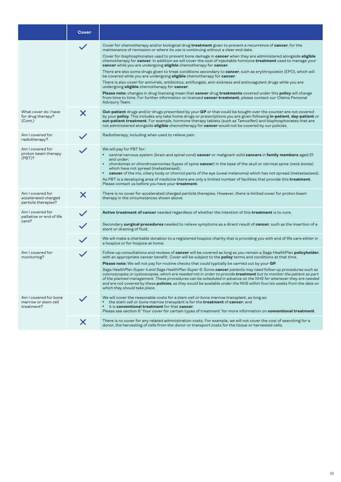|                                                                | Cover |                                                                                                                                                                                                                                                                                                                                                                                                                                                                                                                                                                                                                                                                                                                                                                                                                                                                                                                                                                                                                                                                                                                                                           |
|----------------------------------------------------------------|-------|-----------------------------------------------------------------------------------------------------------------------------------------------------------------------------------------------------------------------------------------------------------------------------------------------------------------------------------------------------------------------------------------------------------------------------------------------------------------------------------------------------------------------------------------------------------------------------------------------------------------------------------------------------------------------------------------------------------------------------------------------------------------------------------------------------------------------------------------------------------------------------------------------------------------------------------------------------------------------------------------------------------------------------------------------------------------------------------------------------------------------------------------------------------|
|                                                                |       | Cover for chemotherapy and/or biological drug treatment given to prevent a recurrence of cancer, for the<br>maintenance of remission or where its use is continuing without a clear end date.<br>Cover for bisphosphonates used to prevent bone damage in <b>cancer</b> when they are administered alongside <b>eligible</b><br>chemotherapy for cancer. In addition we will cover the cost of injectable hormone treatment used to manage your<br>cancer while you are undergoing eligible chemotherapy for cancer.<br>There are also some drugs given to treat conditions secondary to <b>cancer</b> , such as erythropoietin (EPO), which will<br>be covered while you are undergoing eligible chemotherapy for cancer.<br>There is also cover for antivirals, antibiotics, antifungals, anti-sickness and anticoagulant drugs while you are<br>undergoing eligible chemotherapy for cancer.<br>Please note: changes in drug licensing mean that cancer drug treatments covered under this policy will change<br>from time to time. For further information on licensed <b>cancer treatment</b> , please contact our Claims Personal<br>Advisory Team. |
| What cover do I have<br>for drug therapy?<br>(Cont.)           | X     | <b>Out-patient</b> drugs and/or drugs prescribed by your GP or that could be bought over the counter are not covered<br>by your policy. This includes any take home drugs or prescriptions you are given following in-patient, day-patient or<br>out-patient treatment. For example, hormone therapy tablets (such as Tamoxifen) and bisphosphonates that are<br>not administered alongside eligible chemotherapy for cancer would not be covered by our policies.                                                                                                                                                                                                                                                                                                                                                                                                                                                                                                                                                                                                                                                                                        |
| Am I covered for<br>radiotherapy?                              |       | Radiotherapy, including when used to relieve pain.                                                                                                                                                                                                                                                                                                                                                                                                                                                                                                                                                                                                                                                                                                                                                                                                                                                                                                                                                                                                                                                                                                        |
| Am I covered for<br>proton beam therapy<br>(PBT)?              |       | We will pay for PBT for:<br>• central nervous system (brain and spinal cord) cancer or malignant solid cancers in family members aged 21<br>and under;<br>chordomas or chondrosarcomas (types of spine cancer) in the base of the skull or cervical spine (neck bones)<br>which have not spread (metastasised);<br>cancer of the iris, ciliary body or choroid parts of the eye (uveal melanoma) which has not spread (metastasised).<br>As PBT is a developing area of medicine there are only a limited number of facilities that provide this <b>treatment</b> .<br>Please contact us before you have your treatment.                                                                                                                                                                                                                                                                                                                                                                                                                                                                                                                                  |
| Am I covered for<br>accelerated charged<br>particle therapies? | X     | There is no cover for accelerated charged particle therapies. However, there is limited cover for proton beam<br>therapy in the circumstances shown above.                                                                                                                                                                                                                                                                                                                                                                                                                                                                                                                                                                                                                                                                                                                                                                                                                                                                                                                                                                                                |
| Am I covered for<br>palliative or end of life<br>care?         |       | Active treatment of cancer needed regardless of whether the intention of this treatment is to cure.                                                                                                                                                                                                                                                                                                                                                                                                                                                                                                                                                                                                                                                                                                                                                                                                                                                                                                                                                                                                                                                       |
|                                                                |       | Secondary surgical procedures needed to relieve symptoms as a direct result of cancer, such as the insertion of a<br>stent or draining of fluid.                                                                                                                                                                                                                                                                                                                                                                                                                                                                                                                                                                                                                                                                                                                                                                                                                                                                                                                                                                                                          |
|                                                                |       | We will make a charitable donation to a registered hospice charity that is providing you with end of life care either in<br>a hospice or for hospice at home.                                                                                                                                                                                                                                                                                                                                                                                                                                                                                                                                                                                                                                                                                                                                                                                                                                                                                                                                                                                             |
| Am I covered for<br>monitoring?                                |       | Follow-up consultations and reviews of <b>cancer</b> will be covered as long as you remain a Saga HealthPlan <b>policyholder</b> ,<br>with an appropriate cancer benefit. Cover will be subject to the <b>policy</b> terms and conditions at that time.<br><b>Please note:</b> We will not pay for routine checks that could typically be carried out by your GP.<br>Saga HealthPlan Super 4 and Saga HealthPlan Super 6: Some cancer patients may need follow-up procedures such as<br>colonoscopies or cystoscopies, which are needed not in order to provide treatment but to monitor the patient as part<br>of the planned management. These procedures can be scheduled in advance on the NHS for whenever they are needed<br>and are not covered by these policies, as they would be available under the NHS within four/six weeks from the date on<br>which they should take place.                                                                                                                                                                                                                                                                |
| Am I covered for bone<br>marrow or stem cell<br>treatment?     |       | We will cover the reasonable costs for a stem cell or bone marrow transplant, as long as:<br>the stem cell or bone marrow transplant is for the <b>treatment</b> of <b>cancer</b> ; and<br>it is conventional treatment for that cancer.<br>Please see section 6 'Your cover for certain types of treatment' for more information on conventional treatment.                                                                                                                                                                                                                                                                                                                                                                                                                                                                                                                                                                                                                                                                                                                                                                                              |
|                                                                | X     | There is no cover for any related administration costs. For example, we will not cover the cost of searching for a<br>donor, the harvesting of cells from the donor or transport costs for the tissue or harvested cells.                                                                                                                                                                                                                                                                                                                                                                                                                                                                                                                                                                                                                                                                                                                                                                                                                                                                                                                                 |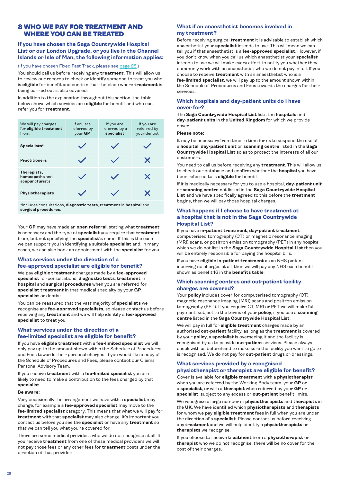# <span id="page-25-0"></span>8 WHO WE PAY FOR TREATMENT AND WHERE YOU CAN BE TREATED

# **If you have chosen the Saga Countrywide Hospital List or our London Upgrade, or you live in the Channel Islands or Isle of Man, the following information applies:**

### (If you have chosen Fixed Fast Track, please see [page 28.](#page-27-0))

You should call us before receiving any **treatment**. This will allow us to review our records to check or identify someone to treat you who is **eligible** for benefit and confirm that the place where **treatment** is being carried out is also covered.

In addition to the explanation throughout this section, the table below shows which services are **eligible** for benefit and who can refer you for **treatment**.

| We will pay charges<br>for eligible treatment<br>from: | If you are<br>referred by<br>your GP | If you are<br>referred by a<br>specialist | If you are<br>referred by<br>your dentist |
|--------------------------------------------------------|--------------------------------------|-------------------------------------------|-------------------------------------------|
| Specialists*                                           |                                      |                                           |                                           |
| <b>Practitioners</b>                                   |                                      |                                           | X                                         |
| Therapists,<br>homeopaths and<br>acupuncturists        |                                      |                                           | $\bm{\times}$                             |
| <b>Physiotherapists</b>                                |                                      |                                           | X                                         |

\*Includes consultations, **diagnostic tests**, **treatment** in **hospital** and **surgical procedures**.

Your **GP** may have made an **open referral**, stating what **treatment** is necessary and the type of **specialist** you require that **treatment** from, but not specifying the **specialist's** name. If this is the case we can support you in identifying a suitable **specialist** and, in many cases, we can also book an appointment with the **specialist** for you.

# **What services under the direction of a fee-approved specialist are eligible for benefit?**

We pay **eligible treatment** charges made by a **fee-approved specialist** for consultations, **diagnostic tests**, **treatment** in **hospital** and **surgical procedures** when you are referred for **specialist treatment** in that medical specialty by your **GP**, **specialist** or dentist.

You can be reassured that the vast majority of **specialists** we recognise are **fee-approved specialists**, so please contact us before receiving any **treatment** and we will help identify a **fee-approved specialist** to treat you.

# **What services under the direction of a fee-limited specialist are eligible for benefit?**

If you have **eligible treatment** with a **fee-limited specialist** we will only pay up to the amount shown within the Schedule of Procedures and Fees towards their personal charges. If you would like a copy of the Schedule of Procedures and Fees, please contact our Claims Personal Advisory Team.

If you receive **treatment** with a **fee-limited specialist** you are likely to need to make a contribution to the fees charged by that **specialist**.

### **Be aware:**

Very occasionally the arrangement we have with a **specialist** may change, for example a **fee-approved specialist** may move to the **fee-limited specialist** category. This means that what we will pay for **treatment** with that **specialist** may also change. It's important you contact us before you see the **specialist** or have any **treatment** so that we can tell you what you're covered for.

There are some medical providers who we do not recognise at all. If you receive **treatment** from one of these medical providers we will not pay those fees or any other fees for **treatment** costs under the direction of that provider.

# **What if an anaesthetist becomes involved in my treatment?**

Before receiving surgical **treatment** it is advisable to establish which anaesthetist your **specialist** intends to use. This will mean we can tell you if that anaesthetist is a **fee-approved specialist**. However, if you don't know when you call us which anaesthetist your **specialist** intends to use we will make every effort to notify you whether they commonly work with an anaesthetist who we do not pay in full. If you choose to receive **treatment** with an anaesthetist who is a **fee-limited specialist**, we will pay up to the amount shown within the Schedule of Procedures and Fees towards the charges for their services.

### **Which hospitals and day-patient units do I have cover for?**

The **Saga Countrywide Hospital List** lists the **hospitals** and **day-patient units** in the **United Kingdom** for which we provide cover.

### **Please note:**

It may be necessary from time to time for us to suspend the use of a **hospital**, **day-patient unit** or **scanning centre** listed in the **Saga Countrywide Hospital List** so as to protect the interests of all our customers.

You need to call us before receiving any **treatment**. This will allow us to check our database and confirm whether the **hospital** you have been referred to is **eligible** for benefit.

If it is medically necessary for you to use a hospital, **day-patient unit** or **scanning centre** not listed in the **Saga Countrywide Hospital List** and we have specifically agreed to this before the **treatment** begins, then we will pay those hospital charges.

# **What happens if I choose to have treatment at a hospital that is not in the Saga Countrywide Hospital List?**

If you have **in-patient treatment**, **day-patient treatment**, computerised tomography (CT) or magnetic resonance imaging (MRI) scans, or positron emission tomography (PET) in any hospital which we do not list in the **Saga Countrywide Hospital List** then you will be entirely responsible for paying the hospital bills.

If you have **eligible in-patient treatment** as an NHS patient incurring no charges at all, then we will pay any NHS cash benefit shown as benefit 16 in the **benefits table**.

### **Which scanning centres and out-patient facility charges are covered?**

Your **policy** includes cover for computerised tomography (CT), magnetic resonance imaging (MRI) scans and positron emission tomography (PET). If you require CT, MRI or PET we will make full payment, subject to the terms of your **policy**, if you use a **scanning centre** listed in the **Saga Countrywide Hospital List**.

We will pay in full for **eligible treatment** charges made by an authorised **out-patient** facility, as long as the **treatment** is covered by your **policy**, a **specialist** is overseeing it and the facility is recognised by us to provide **out-patient** services. Please always check with us beforehand to make sure the facility you want to go to is recognised. We do not pay for **out-patient** drugs or dressings.

# **What services provided by a recognised physiotherapist or therapist are eligible for benefit?**

Cover is available for **eligible treatment** with a **physiotherapist** when you are referred by the Working Body team, your **GP** or a **specialist**, or with a **therapist** when referred by your **GP** or **specialist**, subject to any excess or **out-patient** benefit limits.

We recognise a large number of **physiotherapists** and **therapists** in the **UK**. We have identified which **physiotherapists** and **therapists**  for whom we pay **eligible treatment** fees in full when you are under the direction of a **specialist**. Please contact us before receiving any **treatment** and we will help identify a **physiotherapists** or **therapists** we recognise.

If you choose to receive **treatment** from a **physiotherapist** or **therapist** who we do not recognise, there will be no cover for the cost of their charges.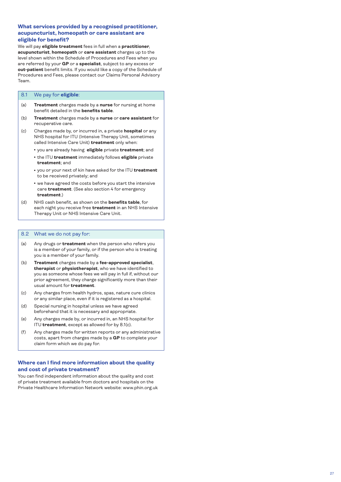# <span id="page-26-0"></span>**What services provided by a recognised practitioner, acupuncturist, homeopath or care assistant are eligible for benefit?**

We will pay **eligible treatment** fees in full when a **practitioner**, **acupuncturist**, **homeopath** or **care assistant** charges up to the level shown within the Schedule of Procedures and Fees when you are referred by your **GP** or a **specialist**, subject to any excess or **out-patient** benefit limits. If you would like a copy of the Schedule of Procedures and Fees, please contact our Claims Personal Advisory Team.

### 8.1 We pay for **eligible** :

- (a) **Treatment** charges made by a **nurse** for nursing at home benefit detailed in the **benefits table** .
- (b) **Treatment** charges made by a **nurse** or **care assistant** for recuperative care.
- (c) Charges made by, or incurred in, a private **hospital** or any NHS hospital for ITU (Intensive Therapy Unit, sometimes called Intensive Care Unit) **treatment** only when:
	- <sup>l</sup> you are already having **eligible** private **treatment**; and
	- **the ITU treatment** immediately follows **eligible** private **treatment**; and
	- you or your next of kin have asked for the ITU **treatment** to be received privately; and
	- we have agreed the costs before you start the intensive care **treatment**. (See also section 4 for emergency **treatment**.)
- (d) NHS cash benefit, as shown on the **benefits table**, for each night you receive free **treatment** in an NHS Intensive Therapy Unit or NHS Intensive Care Unit.

### 8.2 What we do not pay for:

- (a) Any drugs or **treatment** when the person who refers you is a member of your family, or if the person who is treating you is a member of your family.
- (b) **Treatment** charges made by a **fee-approved specialist**, **therapist** or **physiotherapist** , who we have identified to you as someone whose fees we will pay in full if, without our prior agreement, they charge significantly more than their usual amount for **treatment** .
- (c) Any charges from health hydros, spas, nature cure clinics or any similar place, even if it is registered as a hospital.
- (d) Special nursing in hospital unless we have agreed beforehand that it is necessary and appropriate.
- (e) Any charges made by, or incurred in, an NHS hospital for ITU **treatment**, except as allowed for by 8.1(c).
- (f) Any charges made for written reports or any administrative costs, apart from charges made by a **GP** to complete your claim form which we do pay for.

### **Where can I find more information about the quality and cost of private treatment?**

You can find independent information about the quality and cost of private treatment available from doctors and hospitals on the Private Healthcare Information Network website: www.phin.org.uk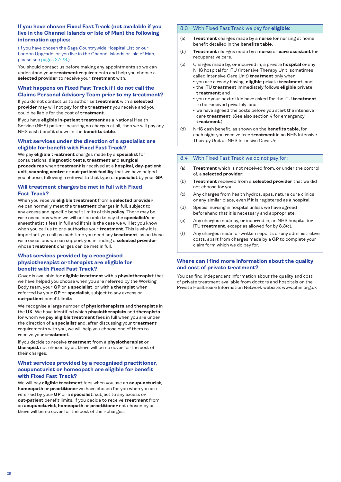# <span id="page-27-0"></span>**If you have chosen Fixed Fast Track (not available if you live in the Channel Islands or Isle of Man) the following information applies:**

(If you have chosen the Saga Countrywide Hospital List or our London Upgrade, or you live in the Channel Islands or Isle of Man, please see [pages 27-28](#page-26-0).)

You should contact us before making any appointments so we can understand your **treatment** requirements and help you choose a **selected provider** to receive your **treatment** with.

# **What happens on Fixed Fast Track if I do not call the Claims Personal Advisory Team prior to my treatment?**

If you do not contact us to authorise **treatment** with a **selected provider** may will not pay for the **treatment** you receive and you could be liable for the cost of **treatment**.

If you have **eligible in-patient treatment** as a National Health Service (NHS) patient incurring no charges at all, then we will pay any NHS cash benefit shown in the **benefits table**.

### **What services under the direction of a specialist are eligible for benefit with Fixed Fast Track?**

We pay **eligible treatment** charges made by a **specialist** for consultations, **diagnostic tests**, **treatment** and **surgical procedures** when **treatment** is received at a **hospital**, **day-patient unit**, **scanning centre** or **out-patient facility** that we have helped you choose, following a referral to that type of **specialist** by your **GP**.

### **Will treatment charges be met in full with Fixed Fast Track?**

When you receive **eligible treatment** from a **selected provider**, we can normally meet the **treatment** charges in full, subject to any excess and specific benefit limits of this **policy**. There may be rare occasions when we will not be able to pay the **specialist's** or anaesthetist's fees in full and if this is the case we will let you know when you call us to pre-authorise your **treatment**. This is why it is important you call us each time you need any **treatment**, as on these rare occasions we can support you in finding a **selected provider** whose **treatment** charges can be met in full.

# **What services provided by a recognised physiotherapist or therapist are eligible for benefit with Fixed Fast Track?**

Cover is available for **eligible treatment** with a **physiotherapist** that we have helped you choose when you are referred by the Working Body team, your **GP** or a **specialist**, or with a **therapist** when referred by your **GP** or **specialist**, subject to any excess or **out-patient** benefit limits.

We recognise a large number of **physiotherapists** and **therapists** in the **UK**. We have identified which **physiotherapists** and **therapists** for whom we pay **eligible treatment** fees in full when you are under the direction of a **specialist** and, after discussing your **treatment** requirements with you, we will help you choose one of them to receive your **treatment**.

If you decide to receive **treatment** from a **physiotherapist** or **therapist** not chosen by us, there will be no cover for the cost of their charges.

# **What services provided by a recognised practitioner, acupuncturist or homeopath are eligible for benefit with Fixed Fast Track?**

We will pay **eligible treatment** fees when you use an **acupuncturist**, **homeopath** or **practitioner** we have chosen for you when you are referred by your **GP** or a **specialist**, subject to any excess or **out-patient** benefit limits. If you decide to receive **treatment** from an **acupuncturist**, **homeopath** or **practitioner** not chosen by us, there will be no cover for the cost of their charges.

# 8.3 With Fixed Fast Track we pay for **eligible**:

- (a) **Treatment** charges made by a **nurse** for nursing at home benefit detailed in the **benefits table**.
- (b) **Treatment** charges made by a **nurse** or **care assistant** for recuperative care.
- (c) Charges made by, or incurred in, a private **hospital** or any NHS hospital for ITU (Intensive Therapy Unit, sometimes called Intensive Care Unit) **treatment** only when:
	- <sup>l</sup> you are already having **eligible** private **treatment**; and **• the ITU treatment** immediately follows **eligible** private
	- **treatment**; and
	- you or your next of kin have asked for the ITU **treatment** to be received privately; and
	- we have agreed the costs before you start the intensive care **treatment**. (See also section 4 for emergency **treatment**.)
- (d) NHS cash benefit, as shown on the **benefits table**, for each night you receive free **treatment** in an NHS Intensive Therapy Unit or NHS Intensive Care Unit.

### 8.4 With Fixed Fast Track we do not pay for:

- (a) **Treatment** which is not received from, or under the control of, a **selected provider**.
- (b) **Treatment** received from a **selected provider** that we did not choose for you.
- (c) Any charges from health hydros, spas, nature cure clinics or any similar place, even if it is registered as a hospital.
- (d) Special nursing in hospital unless we have agreed beforehand that it is necessary and appropriate.
- (e) Any charges made by, or incurred in, an NHS hospital for ITU **treatment**, except as allowed for by 8.3(c).
- (f) Any charges made for written reports or any administrative costs, apart from charges made by a **GP** to complete your claim form which we do pay for.

### **Where can I find more information about the quality and cost of private treatment?**

You can find independent information about the quality and cost of private treatment available from doctors and hospitals on the Private Healthcare Information Network website: www.phin.org.uk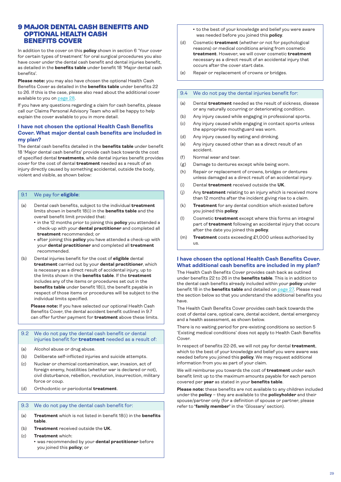# <span id="page-28-0"></span>9 MAJOR DENTAL CASH BENEFITS AND OPTIONAL HEALTH CASH BENEFITS COVER

In addition to the cover on this **policy** shown in section 6 'Your cover for certain types of treatment' for oral surgical procedures you also have cover under the dental cash benefit and dental injuries benefit, as detailed in the **benefits table** under benefit 18 'Major dental cash benefits'.

**Please note:** you may also have chosen the optional Health Cash Benefits Cover as detailed in the **benefits table** under benefits 22 to 26. If this is the case, please also read about the additional cover available to you on [page 28.](#page-27-0)

If you have any questions regarding a claim for cash benefits, please call our Claims Personal Advisory Team who will be happy to help explain the cover available to you in more detail.

# **I have not chosen the optional Health Cash Benefits Cover. What major dental cash benefits are included in my plan?**

The dental cash benefits detailed in the **benefits table** under benefit 18 'Major dental cash benefits' provide cash back towards the cost of specified dental **treatments**, while dental injuries benefit provides cover for the cost of dental **treatment** needed as a result of an injury directly caused by something accidental, outside the body, violent and visible, as shown below:

### 9.1 We pay for **eligible**:

- (a) Dental cash benefits, subject to the individual **treatment** limits shown in benefit 18(i) in the **benefits table** and the overall benefit limit provided that:
	- **•** in the 12 months prior to joining this **policy** you attended a check-up with your **dental practitioner** and completed all **treatment** recommended; or
	- after joining this **policy** you have attended a check-up with your **dental practitioner** and completed all **treatment** recommended.
- (b) Dental injuries benefit for the cost of **eligible** dental **treatment** carried out by your **dental practitioner**, which is necessary as a direct result of accidental injury, up to the limits shown in the **benefits table**. If the **treatment** includes any of the items or procedures set out in the **benefits table** under benefit 18(i), the benefit payable in respect of those items or procedures will be subject to the individual limits specified.

 **Please note:** If you have selected our optional Health Cash Benefits Cover, the dental accident benefit outlined in 9.7 can offer further payment for **treatment** above these limits.

### 9.2 We do not pay the dental cash benefit or dental injuries benefit for **treatment** needed as a result of:

- (a) Alcohol abuse or drug abuse.
- (b) Deliberate self-inflicted injuries and suicide attempts.
- (c) Nuclear or chemical contamination, war, invasion, act of foreign enemy, hostilities (whether war is declared or not), civil disturbance, rebellion, revolution, insurrection, military force or coup.
- (d) Orthodontic or periodontal **treatment**.

### 9.3 We do not pay the dental cash benefit for:

- (a) **Treatment** which is not listed in benefit 18(i) in the **benefits table**.
- (b) **Treatment** received outside the **UK**.
- (c) **Treatment** which:
	- **was recommended by your dental practitioner** before you joined this **policy**; or

• to the best of your knowledge and belief you were aware was needed before you joined this **policy**.

(d) Cosmetic **treatment** (whether or not for psychological reasons) or medical conditions arising from cosmetic **treatment**. However, we will cover cosmetic **treatment** necessary as a direct result of an accidental injury that occurs after the cover start date.

(e) Repair or replacement of crowns or bridges.

### 9.4 We do not pay the dental injuries benefit for:

- (a) Dental **treatment** needed as the result of sickness, disease or any naturally occurring or deteriorating condition.
- (b) Any injury caused while engaging in professional sports.
- (c) Any injury caused while engaging in contact sports unless the appropriate mouthguard was worn.
- (d) Any injury caused by eating and drinking.
- (e) Any injury caused other than as a direct result of an accident.
- (f) Normal wear and tear.
- (g) Damage to dentures except while being worn.
- (h) Repair or replacement of crowns, bridges or dentures unless damaged as a direct result of an accidental injury.
- (i) Dental **treatment** received outside the **UK**.
- (j) Any **treatment** relating to an injury which is received more than 12 months after the incident giving rise to a claim.
- (k) **Treatment** for any dental condition which existed before you joined this **policy**.
- (l) Cosmetic **treatment** except where this forms an integral part of **treatment** following an accidental injury that occurs after the date you joined this **policy**.
- (m) **Treatment** costs exceeding £1,000 unless authorised by us.

# **I have chosen the optional Health Cash Benefits Cover. What additional cash benefits are included in my plan?**

The Health Cash Benefits Cover provides cash back as outlined under benefits 22 to 26 in the **benefits table**. This is in addition to the dental cash benefits already included within your **policy** under benefit 18 in the **benefits table** and detailed on [page 27](#page-26-0). Please read the section below so that you understand the additional benefits you have.

The Health Cash Benefits Cover provides cash back towards the cost of dental care, optical care, dental accident, dental emergency and a health assessment, as shown below.

There is no waiting period for pre-existing conditions so section 5 'Existing medical conditions' does not apply to Health Cash Benefits Cover.

In respect of benefits 22-26, we will not pay for dental **treatment**, which to the best of your knowledge and belief you were aware was needed before you joined this **policy**. We may request additional information from you as part of your claim.

We will reimburse you towards the cost of **treatment** under each benefit limit up to the maximum amounts payable for each person covered per **year** as stated in your **benefits table**.

**Please note:** these benefits are not available to any children included under the **policy** – they are available to the **policyholder** and their spouse/partner only (for a definition of spouse or partner, please refer to **'family member'** in the 'Glossary' section).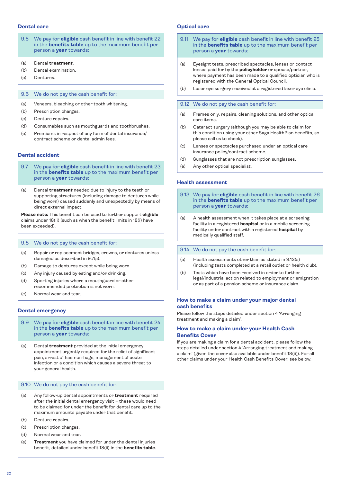- 9.5 We pay for **eligible** cash benefit in line with benefit 22 in the **benefits table** up to the maximum benefit per person a **year** towards:
- (a) Dental **treatment**.
- (b) Dental examination.
- (c) Dentures.

### 9.6 We do not pay the cash benefit for:

- (a) Veneers, bleaching or other tooth whitening.
- (b) Prescription charges.
- (c) Denture repairs.
- (d) Consumables such as mouthguards and toothbrushes.
- (e) Premiums in respect of any form of dental insurance/ contract scheme or dental admin fees.

### **Dental accident**

- 9.7 We pay for **eligible** cash benefit in line with benefit 23 in the **benefits table** up to the maximum benefit per person a **year** towards:
- (a) Dental **treatment** needed due to injury to the teeth or supporting structures (including damage to dentures while being worn) caused suddenly and unexpectedly by means of direct external impact.

**Please note:** This benefit can be used to further support **eligible** claims under 18(ii) (such as when the benefit limits in 18(i) have been exceeded).

### 9.8 We do not pay the cash benefit for:

- (a) Repair or replacement bridges, crowns, or dentures unless damaged as described in 9.7(a).
- (b) Damage to dentures except while being worn.
- (c) Any injury caused by eating and/or drinking.
- (d) Sporting injuries where a mouthguard or other recommended protection is not worn.
- (e) Normal wear and tear.

### **Dental emergency**

- 9.9 We pay for **eligible** cash benefit in line with benefit 24 in the **benefits table** up to the maximum benefit per person a **year** towards:
- (a) Dental **treatment** provided at the initial emergency appointment urgently required for the relief of significant pain, arrest of haemorrhage, management of acute infection or a condition which causes a severe threat to your general health.

### 9.10 We do not pay the cash benefit for:

- (a) Any follow-up dental appointments or **treatment** required after the initial dental emergency visit – these would need to be claimed for under the benefit for dental care up to the maximum amounts payable under that benefit.
- (b) Denture repairs.
- (c) Prescription charges.
- (d) Normal wear and tear.
- (e) **Treatment** you have claimed for under the dental injuries benefit, detailed under benefit 18(ii) in the **benefits table**.

### **Dental care Optical care Optical care Optical care**

- 9.11 We pay for **eligible** cash benefit in line with benefit 25 in the **benefits table** up to the maximum benefit per person a **year** towards:
- (a) Eyesight tests, prescribed spectacles, lenses or contact lenses paid for by the **policyholder** or spouse/partner, where payment has been made to a qualified optician who is registered with the General Optical Council.
- (b) Laser eye surgery received at a registered laser eye clinic.

### 9.12 We do not pay the cash benefit for:

- (a) Frames only, repairs, cleaning solutions, and other optical care items.
- (b) Cataract surgery (although you may be able to claim for this condition using your other Saga HealthPlan benefits, so please call us to check).
- (c) Lenses or spectacles purchased under an optical care insurance policy/contract scheme.
- (d) Sunglasses that are not prescription sunglasses.
- (e) Any other optical specialist.

### **Health assessment**

- 9.13 We pay for **eligible** cash benefit in line with benefit 26 in the **benefits table** up to the maximum benefit per person a **year** towards:
- (a) A health assessment when it takes place at a screening facility in a registered **hospital** or in a mobile screening facility under contract with a registered **hospital** by medically qualified staff.
- 9.14 We do not pay the cash benefit for:
- (a) Health assessments other than as stated in 9.13(a) (including tests completed at a retail outlet or health club).
- (b) Tests which have been received in order to further legal/industrial action related to employment or emigration or as part of a pension scheme or insurance claim.

### **How to make a claim under your major dental cash benefits**

Please follow the steps detailed under section 4 'Arranging treatment and making a claim'.

### **How to make a claim under your Health Cash Benefits Cover**

If you are making a claim for a dental accident, please follow the steps detailed under section 4 'Arranging treatment and making a claim' (given the cover also available under benefit 18(ii)). For all other claims under your Health Cash Benefits Cover, see below.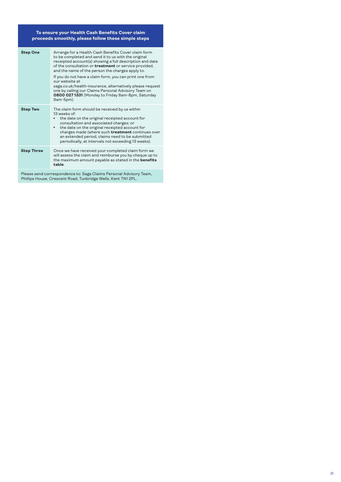#### **To ensure your Health Cash Benefits Cover claim proceeds smoothly, please follow these simple steps**

| <b>Step One</b>   | Arrange for a Health Cash Benefits Cover claim form<br>to be completed and send it to us with the original<br>receipted account(s) showing a full description and date<br>of the consultation or <b>treatment</b> or service provided,<br>and the name of the person the charges apply to.<br>If you do not have a claim form, you can print one from<br>our website at<br>saga.co.uk/health-insurance, alternatively please request<br>one by calling our Claims Personal Advisory Team on<br>0800 027 1331 (Monday to Friday 8am-8pm, Saturday<br>9am-5pm). |
|-------------------|---------------------------------------------------------------------------------------------------------------------------------------------------------------------------------------------------------------------------------------------------------------------------------------------------------------------------------------------------------------------------------------------------------------------------------------------------------------------------------------------------------------------------------------------------------------|
| <b>Step Two</b>   | The claim form should be received by us within<br>$13$ weeks of<br>the date on the original receipted account for<br>consultation and associated charges; or<br>the date on the original receipted account for<br>$\bullet$<br>charges made (where such treatment continues over<br>an extended period, claims need to be submitted<br>periodically, at intervals not exceeding 13 weeks).                                                                                                                                                                    |
| <b>Step Three</b> | Once we have received your completed claim form we<br>will assess the claim and reimburse you by cheque up to<br>the maximum amount payable as stated in the <b>benefits</b><br>table                                                                                                                                                                                                                                                                                                                                                                         |

Please send correspondence to: Saga Claims Personal Advisory Team, Phillips House, Crescent Road, Tunbridge Wells, Kent TN1 2PL.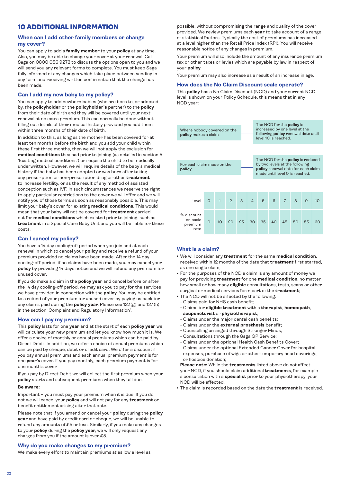# <span id="page-31-0"></span>10 ADDITIONAL INFORMATION

### **When can I add other family members or change my cover?**

You can apply to add a **family member** to your **policy** at any time. Also, you may be able to change your cover at your renewal. Call Saga on 0800 056 9273 to discuss the options open to you and we will send you any relevant forms to complete. You must keep Saga fully informed of any changes which take place between sending in any form and receiving written confirmation that the change has been made.

### **Can I add my new baby to my policy?**

You can apply to add newborn babies (who are born to, or adopted by, the **policyholder** or the **policyholder's** partner) to the **policy** from their date of birth and they will be covered until your next renewal at no extra premium. This can normally be done without filling out details of their medical history provided you add them within three months of their date of birth.

In addition to this, as long as the mother has been covered for at least ten months before the birth and you add your child within these first three months, then we will not apply the exclusion for **medical conditions** they had prior to joining (as detailed in section 5 'Existing medical conditions') or require the child to be medically underwritten. However, we will require details of the baby's medical history if the baby has been adopted or was born after taking any prescription or non-prescription drug or other **treatment** to increase fertility, or as the result of any method of assisted conception such as IVF. In such circumstances we reserve the right to apply particular restrictions to the cover we will offer and we will notify you of those terms as soon as reasonably possible. This may limit your baby's cover for existing **medical conditions**. This would mean that your baby will not be covered for **treatment** carried out for **medical conditions** which existed prior to joining, such as **treatment** in a Special Care Baby Unit and you will be liable for these costs.

# **Can I cancel my policy?**

You have a 14 day cooling-off period when you join and at each renewal in which to cancel your **policy** and receive a refund of your premium provided no claims have been made. After the 14 day cooling-off period, if no claims have been made, you may cancel your **policy** by providing 14 days notice and we will refund any premium for unused cover.

If you do make a claim in the **policy year** and cancel before or after the 14 day cooling-off period, we may ask you to pay for the services we have provided in connection with the **policy**. You may be entitled to a refund of your premium for unused cover by paying us back for any claims paid during the **policy year**. Please see 12.1(g) and 12.1(h) in the section 'Complaint and Regulatory Information'.

### **How can I pay my premium?**

This **policy** lasts for one **year** and at the start of each **policy year** we will calculate your new premium and let you know how much it is. We offer a choice of monthly or annual premiums which can be paid by Direct Debit. In addition, we offer a choice of annual premiums which can be paid by cheque, debit or credit card. We offer a discount if you pay annual premiums and each annual premium payment is for one **year's** cover. If you pay monthly, each premium payment is for one month's cover.

If you pay by Direct Debit we will collect the first premium when your **policy** starts and subsequent premiums when they fall due.

### **Be aware:**

Important – you must pay your premium when it is due. If you do not we will cancel your **policy** and will not pay for any **treatment** or benefit entitlement arising after that date.

Please note that if you amend or cancel your **policy** during the **policy year** and have paid by credit card or cheque, we will be unable to refund any amounts of £5 or less. Similarly, if you make any changes to your **policy** during the **policy year**, we will only request any charges from you if the amount is over £5.

### **Why do you make changes to my premium?**

We make every effort to maintain premiums at as low a level as

possible, without compromising the range and quality of the cover provided. We review premiums each **year** to take account of a range of statistical factors. Typically the cost of premiums has increased at a level higher than the Retail Price Index (RPI). You will receive reasonable notice of any changes in premium.

Your premium will also include the amount of any insurance premium tax or other taxes or levies which are payable by law in respect of your **policy**.

Your premium may also increase as a result of an increase in age.

### **How does the No Claim Discount scale operate?**

This **policy** has a No Claim Discount (NCD) and your current NCD level is shown on your Policy Schedule, this means that in any NCD year:



### **What is a claim?**

- <sup>l</sup> We will consider any **treatment** for the same **medical condition**, received within 12 months of the date that **treatment** first started, as one single claim;
- For the purposes of the NCD a claim is any amount of money we pay for providing **treatment** for one **medical condition**, no matter how small or how many **eligible** consultations, tests, scans or other surgical or medical services form part of the **treatment**;
- The NCD will not be affected by the following:
	- Claims paid for NHS cash benefit;
	- Claims for **eligible treatment** with a **therapist**, **homeopath**, **acupuncturist** or **physiotherapist**;
	- Claims under the major dental cash benefits;
- Claims under the **external prosthesis** benefit;
- Counselling arranged through Stronger Minds;
- Consultations through the Saga GP Service;
- Claims under the optional Health Cash Benefits Cover;
- Claims under the optional Extended Cancer Cover for hospital expenses, purchase of wigs or other temporary head coverings, or hospice donation;

 **Please note:** While the **treatments** listed above do not affect your NCD, if you should claim additional **treatments**, for example a consultation with a **specialist** prior to your physiotherapy, your NCD will be affected.

<sup>l</sup> The claim is recorded based on the date the **treatment** is received.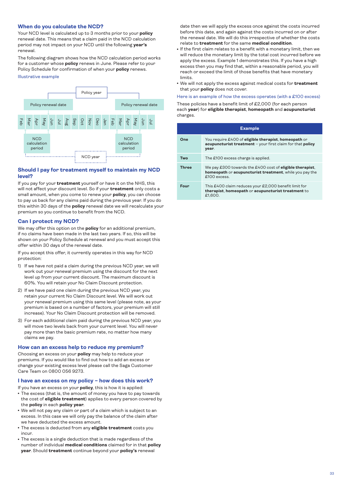### <span id="page-32-0"></span>**When do you calculate the NCD?**

Your NCD level is calculated up to 3 months prior to your **policy** renewal date. This means that a claim paid in the NCD calculation period may not impact on your NCD until the following **year's** renewal.

The following diagram shows how the NCD calculation period works for a customer whose **policy** renews in June. Please refer to your Policy Schedule for confirmation of when your **policy** renews.

#### Illustrative example



### **Should I pay for treatment myself to maintain my NCD level?**

If you pay for your **treatment** yourself or have it on the NHS, this will not affect your discount level. So if your **treatment** only costs a small amount, when you come to renew your **policy**, you can choose to pay us back for any claims paid during the previous year. If you do this within 30 days of the **policy** renewal date we will recalculate your premium so you continue to benefit from the NCD.

### **Can I protect my NCD?**

We may offer this option on the **policy** for an additional premium, if no claims have been made in the last two years. If so, this will be shown on your Policy Schedule at renewal and you must accept this offer within 30 days of the renewal date.

If you accept this offer, it currently operates in this way for NCD protection:

- 1) If we have not paid a claim during the previous NCD year, we will work out your renewal premium using the discount for the next level up from your current discount. The maximum discount is 60%. You will retain your No Claim Discount protection.
- 2) If we have paid one claim during the previous NCD year, you retain your current No Claim Discount level. We will work out your renewal premium using this same level (please note, as your premium is based on a number of factors, your premium will still increase). Your No Claim Discount protection will be removed.
- 3) For each additional claim paid during the previous NCD year, you will move two levels back from your current level. You will never pay more than the basic premium rate, no matter how many claims we pay.

### **How can an excess help to reduce my premium?**

Choosing an excess on your **policy** may help to reduce your premiums. If you would like to find out how to add an excess or change your existing excess level please call the Saga Customer Care Team on 0800 056 9273.

#### **I have an excess on my policy – how does this work?**

If you have an excess on your **policy**, this is how it is applied:

- The excess (that is, the amount of money you have to pay towards the cost of **eligible treatment**) applies to every person covered by the **policy** in each **policy year**.
- We will not pay any claim or part of a claim which is subject to an excess. In this case we will only pay the balance of the claim after we have deducted the excess amount.
- **.** The excess is deducted from any **eligible treatment** costs you incur.
- The excess is a single deduction that is made regardless of the number of individual **medical conditions** claimed for in that **policy year**. Should **treatment** continue beyond your **policy's** renewal

date then we will apply the excess once against the costs incurred before this date, and again against the costs incurred on or after the renewal date. We will do this irrespective of whether the costs relate to **treatment** for the same **medical condition**.

- If the first claim relates to a benefit with a monetary limit, then we will reduce the monetary limit by the total cost incurred before we apply the excess. Example 1 demonstrates this. If you have a high excess then you may find that, within a reasonable period, you will reach or exceed the limit of those benefits that have monetary limits.
- $\bullet$  We will not apply the excess against medical costs for **treatment** that your **policy** does not cover.

# Here is an example of how the excess operates (with a £100 excess)

These policies have a benefit limit of £2,000 (for each person each **year**) for **eligible therapist**, **homeopath** and **acupuncturist** charges.

|              | <b>Example</b>                                                                                                                              |
|--------------|---------------------------------------------------------------------------------------------------------------------------------------------|
| One          | You require £400 of <b>eligible therapist</b> , <b>homeopath</b> or<br>acupuncturist treatment - your first claim for that policy<br>year.  |
| Two          | The £100 excess charge is applied.                                                                                                          |
| <b>Three</b> | We pay £300 towards the £400 cost of <b>eligible therapist</b> ,<br>homeopath or acupuncturist treatment, while you pay the<br>£100 excess. |
| Four         | This £400 claim reduces your £2,000 benefit limit for<br>therapist, homeopath or acupuncturist treatment to<br>£1.600.                      |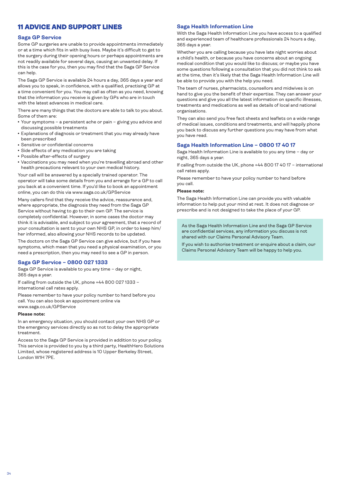# <span id="page-33-0"></span>11 ADVICE AND SUPPORT LINES

# **Saga GP Service**

Some GP surgeries are unable to provide appointments immediately or at a time which fits in with busy lives. Maybe it's difficult to get to the surgery during their opening hours or perhaps appointments are not readily available for several days, causing an unwanted delay. If this is the case for you, then you may find that the Saga GP Service can help.

The Saga GP Service is available 24 hours a day, 365 days a year and allows you to speak, in confidence, with a qualified, practising GP at a time convenient for you. You may call as often as you need, knowing that the information you receive is given by GPs who are in touch with the latest advances in medical care.

There are many things that the doctors are able to talk to you about. Some of them are:

- Your symptoms a persistent ache or pain giving you advice and discussing possible treatments
- Explanations of diagnosis or treatment that you may already have been prescribed
- Sensitive or confidential concerns
- Side effects of any medication you are taking
- Possible after-effects of surgery
- Vaccinations you may need when you're travelling abroad and other health precautions relevant to your own medical history.

Your call will be answered by a specially trained operator. The operator will take some details from you and arrange for a GP to call you back at a convenient time. If you'd like to book an appointment online, you can do this via www.saga.co.uk/GPService

Many callers find that they receive the advice, reassurance and, where appropriate, the diagnosis they need from the Saga GP Service without having to go to their own GP. The service is completely confidential. However, in some cases the doctor may think it is advisable, and subject to your agreement, that a record of your consultation is sent to your own NHS GP, in order to keep him/ her informed, also allowing your NHS records to be updated.

The doctors on the Saga GP Service can give advice, but if you have symptoms, which mean that you need a physical examination, or you need a prescription, then you may need to see a GP in person.

### **Saga GP Service – 0800 027 1333**

Saga GP Service is available to you any time – day or night, 365 days a year.

If calling from outside the UK, phone +44 800 027 1333 – international call rates apply.

Please remember to have your policy number to hand before you call. You can also book an appointment online via www.saga.co.uk/GPService

#### **Please note:**

In an emergency situation, you should contact your own NHS GP or the emergency services directly so as not to delay the appropriate treatment.

Access to the Saga GP Service is provided in addition to your policy. This service is provided to you by a third party, HealthHero Solutions Limited, whose registered address is 10 Upper Berkeley Street, London W1H 7PE.

### **Saga Health Information Line**

With the Saga Health Information Line you have access to a qualified and experienced team of healthcare professionals 24 hours a day, 365 days a year.

Whether you are calling because you have late night worries about a child's health, or because you have concerns about an ongoing medical condition that you would like to discuss; or maybe you have some questions following a consultation that you did not think to ask at the time, then it's likely that the Saga Health Information Line will be able to provide you with the help you need.

The team of nurses, pharmacists, counsellors and midwives is on hand to give you the benefit of their expertise. They can answer your questions and give you all the latest information on specific illnesses, treatments and medications as well as details of local and national organisations.

They can also send you free fact sheets and leaflets on a wide range of medical issues, conditions and treatments, and will happily phone you back to discuss any further questions you may have from what you have read.

### **Saga Health Information Line – 0800 17 40 17**

Saga Health Information Line is available to you any time – day or night, 365 days a year.

If calling from outside the UK, phone +44 800 17 40 17 – international call rates apply.

Please remember to have your policy number to hand before you call.

### **Please note:**

The Saga Health Information Line can provide you with valuable information to help put your mind at rest. It does not diagnose or prescribe and is not designed to take the place of your GP.

As the Saga Health Information Line and the Saga GP Service are confidential services, any information you discuss is not shared with our Claims Personal Advisory Team.

If you wish to authorise treatment or enquire about a claim, our Claims Personal Advisory Team will be happy to help you.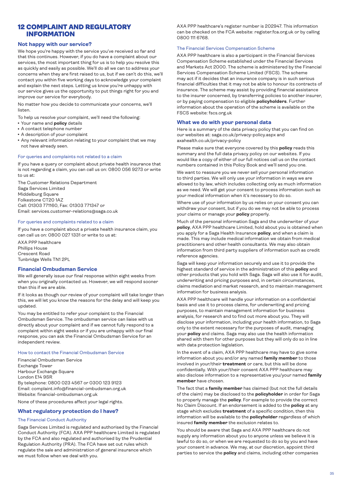# <span id="page-34-0"></span>12 COMPLAINT AND REGULATORY INFORMATION

### **Not happy with our service?**

We hope you're happy with the service you've received so far and that this continues. However, if you do have a complaint about our services, the most important thing for us is to help you resolve this as quickly and easily as possible. We'll do all we can to address your concerns when they are first raised to us, but if we can't do this, we'll contact you within five working days to acknowledge your complaint and explain the next steps. Letting us know you're unhappy with our service gives us the opportunity to put things right for you and improve our service for everybody.

No matter how you decide to communicate your concerns, we'll listen.

To help us resolve your complaint, we'll need the following:

- Your name and **policy** details
- A contact telephone number
- A description of your complaint
- Any relevant information relating to your complaint that we may not have already seen.

#### For queries and complaints not related to a claim

If you have a query or complaint about private health insurance that is not regarding a claim, you can call us on: 0800 056 9273 or write to us at:

The Customer Relations Department Saga Services Limited Middelburg Square Folkestone CT20 1AZ Call: 01303 771160, Fax: 01303 771347 or Email: services.customer-relations@saga.co.uk

### For queries and complaints related to a claim

If you have a complaint about a private health insurance claim, you can call us on: 0800 027 1331 or write to us at:

AXA PPP healthcare Phillips House Crescent Road Tunbridge Wells TN1 2PL

### **Financial Ombudsman Service**

We will generally issue our final response within eight weeks from when you originally contacted us. However, we will respond sooner than this if we are able.

If it looks as though our review of your complaint will take longer than this, we will let you know the reasons for the delay and will keep you updated.

You may be entitled to refer your complaint to the Financial Ombudsman Service. The ombudsman service can liaise with us directly about your complaint and if we cannot fully respond to a complaint within eight weeks or if you are unhappy with our final response, you can ask the Financial Ombudsman Service for an independent review.

### How to contact the Financial Ombudsman Service

Financial Ombudsman Service Exchange Tower Harbour Exchange Square London E14 9SR By telephone: 0800 023 4567 or 0300 123 9123 Email: complaint.info@financial-ombudsman.org.uk Website: [financial-ombudsman.org.uk](http://financial-ombudsman.org.uk)

None of these procedures affect your legal rights.

### **What regulatory protection do I have?**

### The Financial Conduct Authority

Saga Services Limited is regulated and authorised by the Financial Conduct Authority (FCA). AXA PPP healthcare Limited is regulated by the FCA and also regulated and authorised by the Prudential Regulation Authority (PRA). The FCA have set out rules which regulate the sale and administration of general insurance which we must follow when we deal with you.

AXA PPP healthcare's register number is 202947. This information can be checked on the FCA website: [register.fca.org.uk](http://register.fca.org.uk) or by calling 0800 111 6768.

### The Financial Services Compensation Scheme

AXA PPP healthcare is also a participant in the Financial Services Compensation Scheme established under the Financial Services and Markets Act 2000. The scheme is administered by the Financial Services Compensation Scheme Limited (FSCS). The scheme may act if it decides that an insurance company is in such serious financial difficulties that it may not be able to honour its contracts of insurance. The scheme may assist by providing financial assistance to the insurer concerned, by transferring policies to another insurer, or by paying compensation to eligible **policyholders**. Further information about the operation of the scheme is available on the FSCS website: [fscs.org.uk](http://fscs.org.uk)

### **What we do with your personal data**

Here is a summary of the data privacy policy that you can find on our websites at: [saga.co.uk/privacy-policy.aspx](http://saga.co.uk/privacy-policy.aspx) and [axahealth.co.uk/privacy-policy](http://saga.co.uk/privacy-policy.aspx)

Please make sure that everyone covered by this **policy** reads this summary and the full data privacy policy on our websites. If you would like a copy of either of our full notices call us on the contact numbers contained in this Policy Book and we'll send you one.

We want to reassure you we never sell your personal information to third parties. We will only use your information in ways we are allowed to by law, which includes collecting only as much information as we need. We will get your consent to process information such as your medical information when it's necessary to do so.

Where use of your information by us relies on your consent you can withdraw your consent, but if you do we may not be able to process your claims or manage your **policy** properly.

Much of the personal information Saga and the underwriter of your **policy**, AXA PPP healthcare Limited, hold about you is obtained when you apply for a Saga Health Insurance **policy**, and when a claim is made. This may include medical information we obtain from medical practitioners and other health consultants. We may also obtain information from third party suppliers of information such as credit reference agencies.

Saga will keep your information securely and use it to provide the highest standard of service in the administration of this **policy** and other products that you hold with Saga. Saga will also use it for audit, underwriting and pricing purposes and, in certain circumstances, claims mediation and market research, and to maintain management information for business analysis.

AXA PPP healthcare will handle your information on a confidential basis and use it to process claims, for underwriting and pricing purposes, to maintain management information for business analysis, for research and to find out more about you. They will disclose your information, including your health information, to Saga only to the extent necessary for the purposes of audit, managing your **policy** and claims. Saga may also use the health information shared with them for other purposes but they will only do so in line with data protection legislation.

In the event of a claim, AXA PPP healthcare may have to give some information about you and/or any named **family member** to those involved in your/their **treatment** or care, but this will be done confidentially. With your/their consent AXA PPP healthcare may also disclose information to a representative you/your named **family member** have chosen.

The fact that a **family member** has claimed (but not the full details of the claim) may be disclosed to the **policyholder** in order for Saga to properly manage the **policy**. For example to provide the correct No Claim Discount. If an endorsement is added to the **policy** at any stage which excludes **treatment** of a specific condition, then this information will be available to the **policyholder** regardless of which insured **family member** the exclusion relates to.

You should be aware that Saga and AXA PPP healthcare do not supply any information about you to anyone unless we believe it is lawful to do so, or when we are requested to do so by you and have your consent in advance. We may, at our discretion, appoint third parties to service the **policy** and claims, including other companies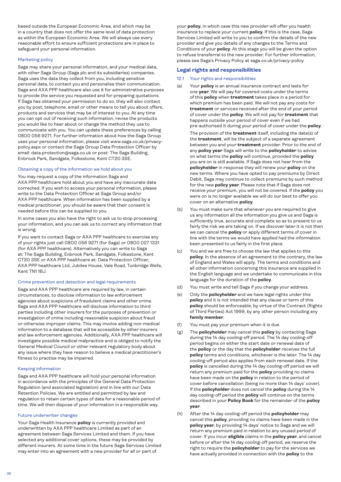<span id="page-35-0"></span>based outside the European Economic Area, and which may be in a country that does not offer the same level of data protection as within the European Economic Area. We will always use every reasonable effort to ensure sufficient protections are in place to safeguard your personal information.

### Marketing policy

Saga may share your personal information, and your medical data, with other Saga Group (Saga plc and its subsidiaries) companies. Saga uses the data they collect from you, including sensitive personal data, to contact you and personalise their communication. Saga and AXA PPP healthcare also use it for administrative purposes to provide the service you requested and for preparing quotations. If Saga has obtained your permission to do so, they will also contact you by post, telephone, email or other means to tell you about offers, products and services that may be of interest to you. At any time you can opt out of receiving such information, revise the products you would like to hear about or change the method they use to communicate with you. You can update these preferences by calling 0800 056 9271. For further information about how the Saga Group uses your personal information, please visit www.saga.co.uk/privacypolicy.aspx or contact the Saga Group Data Protection Officer by email: data.protection@saga.co.uk or post: The Saga Building, Enbrook Park, Sandgate, Folkestone, Kent CT20 3SE.

### Obtaining a copy of the information we hold about you

You may request a copy of the information Saga and AXA PPP healthcare hold about you and have any inaccurate data corrected. If you wish to access your personal information, please write to the Data Protection Officer at Saga Group and/or AXA PPP healthcare. When information has been supplied by a medical practitioner, you should be aware that their consent is needed before this can be supplied to you.

In some cases you also have the right to ask us to stop processing your information, and you can ask us to correct any information that is wrong.

If you want to contact Saga or AXA PPP healthcare to exercise any of your rights just call 0800 056 9271 (for Saga) or 0800 027 1331 (for AXA PPP healthcare). Alternatively you can write to Saga at: The Saga Building, Enbrook Park, Sandgate, Folkestone, Kent CT20 3SE or AXA PPP healthcare at: Data Protection Officer, AXA PPP healthcare Ltd, Jubilee House, Vale Road, Tunbridge Wells, Kent TN1 1BJ.

### Crime prevention and detection and legal requirements

Saga and AXA PPP healthcare are required by law, in certain circumstances, to disclose information to law enforcement agencies about suspicions of fraudulent claims and other crime. Saga and AXA PPP healthcare will disclose information to third parties including other insurers for the purposes of prevention or investigation of crime including reasonable suspicion about fraud or otherwise improper claims. This may involve adding non-medical information to a database that will be accessible by other insurers and law enforcement agencies. Additionally, AXA PPP healthcare will investigate possible medical malpractice and is obliged to notify the General Medical Council or other relevant regulatory body about any issue where they have reason to believe a medical practitioner's fitness to practise may be impaired.

### Keeping information

Saga and AXA PPP healthcare will hold your personal information in accordance with the principles of the General Data Protection Regulation (and associated legislation) and in line with our Data Retention Policies. We are entitled and permitted by law and regulation to retain certain types of data for a reasonable period of time. We will then dispose of your information in a responsible way.

### Future underwriter changes

Your Saga Health Insurance **policy** is currently provided and underwritten by AXA PPP healthcare Limited as part of an agreement between Saga Services Limited and them. If you have selected any additional cover options, these may be provided by different insurers. At some time in the future Saga Services Limited may enter into an agreement with a new provider for all or part of

your **policy**, in which case this new provider will offer you health insurance to replace your current **policy**. If this is the case, Saga Services Limited will write to you to confirm the details of the new provider and give you details of any changes to the Terms and Conditions of your **policy**. At this stage you will be given the option to refuse transferral to the new provider. For further information, please see Saga's Privacy Policy at saga.co.uk/privacy-policy

# **Legal rights and responsibilities**

- 12.1 Your rights and responsibilities
- (a) Your **policy** is an annual insurance contract and lasts for one **year**. We will pay for covered costs under the terms of this **policy** when **treatment** takes place in a period for which premium has been paid. We will not pay any costs for **treatment** or services received after the end of your period of cover under the **policy**. We will not pay for **treatment** that happens outside your period of cover even if we had pre-authorised it during your period of cover under the **policy**.

 The provision of the **treatment** itself, including the date(s) of the **treatment**, will be the subject of a separate agreement between you and your **treatment** provider. Prior to the end of any **policy year** Saga will write to the **policyholder** to advise on what terms the **policy** will continue, provided the **policy** you are on is still available. If Saga does not hear from the **policyholder** in response they will renew your **policy** on the new terms. Where you have opted to pay premiums by Direct Debit, Saga may continue to collect premiums by such method for the new **policy year**. Please note that if Saga does not receive your premium, you will not be covered. If the **policy** you were on is no longer available we will do our best to offer you cover on an alternative **policy**.

- (b) You must make sure that whenever you are required to give us any information all the information you give us and Saga is sufficiently true, accurate and complete so as to present to us fairly the risk we are taking on. If we discover later it is not then we can cancel the **policy** or apply different terms of cover in line with the terms we would have applied had the information been presented to us fairly in the first place.
- (c) You and we are free to choose the law that applies to this **policy**. In the absence of an agreement to the contrary, the law of England and Wales will apply. The terms and conditions and all other information concerning this insurance are supplied in the English language and we undertake to communicate in this language for the duration of the **policy**.
- (d) You must write and tell Saga if you change your address.
- (e) Only the **policyholder** and we have legal rights under this **policy** and it is not intended that any clause or term of this **policy** should be enforceable, by virtue of the Contract (Rights of Third Parties) Act 1999, by any other person including any **family member**.
- (f) You must pay your premium when it is due.
- (g) The **policyholder** may cancel this **policy** by contacting Saga during the 14 day cooling-off period. The 14 day cooling-off period begins on either the start date or renewal date of the **policy** or the day that the **policyholder** receives the full **policy** terms and conditions, whichever is the later. The 14 day cooling-off period also applies from each renewal date. If the **policy** is cancelled during the 14 day cooling-off period we will return any premium paid for the **policy** providing no claims have been made on the **policy** in relation to the period of cover before cancellation (being no more than 14 days' cover). If the **policyholder** does not cancel the **policy** during the 14 day cooling-off period the **policy** will continue on the terms described in your **Policy Book** for the remainder of the **policy year**.
- (h) After the 14 day cooling-off period the **policyholder** may cancel this **policy**, providing no claims have been made in the **policy year**, by providing 14 days' notice to Saga and we will return any premium paid in relation to any unused period of cover. If you incur **eligible** claims in the **policy year**, and cancel before or after the 14 day cooling-off period, we reserve the right to require the **policyholder** to pay for the services we have actually provided in connection with the **policy** to the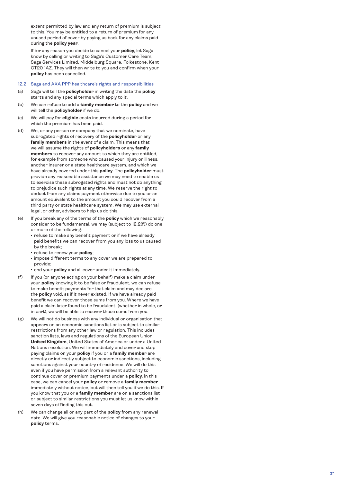extent permitted by law and any return of premium is subject to this. You may be entitled to a return of premium for any unused period of cover by paying us back for any claims paid during the **policy year** .

 If for any reason you decide to cancel your **policy**, let Saga know by calling or writing to Saga's Customer Care Team, Saga Services Limited, Middelburg Square, Folkestone, Kent CT20 1AZ. They will then write to you and confirm when your **policy** has been cancelled.

### 12.2 Saga and AXA PPP healthcare's rights and responsibilities

- (a) Saga will tell the **policyholder** in writing the date the **policy** starts and any special terms which apply to it.
- (b) We can refuse to add a **family member** to the **policy** and we will tell the **policyholder** if we do.
- (c) We will pay for **eligible** costs incurred during a period for which the premium has been paid.
- (d) We, or any person or company that we nominate, have subrogated rights of recovery of the **policyholder** or any **family members** in the event of a claim. This means that we will assume the rights of **policyholders** or any **family members** to recover any amount to which they are entitled, for example from someone who caused your injury or illness, another insurer or a state healthcare system, and which we have already covered under this **policy**. The **policyholder** must provide any reasonable assistance we may need to enable us to exercise these subrogated rights and must not do anything to prejudice such rights at any time. We reserve the right to deduct from any claims payment otherwise due to you or an amount equivalent to the amount you could recover from a third party or state healthcare system. We may use external legal, or other, advisors to help us do this.
- (e) If you break any of the terms of the **policy** which we reasonably consider to be fundamental, we may (subject to 12.2(f)) do one or more of the following:
	- refuse to make any benefit payment or if we have already paid benefits we can recover from you any loss to us caused by the break;
	- refuse to renew your **policy**;
	- $\cdot$  impose different terms to any cover we are prepared to provide;
	- **end your policy** and all cover under it immediately.
- (f) If you (or anyone acting on your behalf) make a claim under your **policy** knowing it to be false or fraudulent, we can refuse to make benefit payments for that claim and may declare the **policy** void, as if it never existed. If we have already paid benefit we can recover those sums from you. Where we have paid a claim later found to be fraudulent, (whether in whole, or in part), we will be able to recover those sums from you.
- (g) We will not do business with any individual or organisation that appears on an economic sanctions list or is subject to similar restrictions from any other law or regulation. This includes sanction lists, laws and regulations of the European Union, **United Kingdom**, United States of America or under a United Nations resolution. We will immediately end cover and stop paying claims on your **policy** if you or a **family member** are directly or indirectly subject to economic sanctions, including sanctions against your country of residence. We will do this even if you have permission from a relevant authority to continue cover or premium payments under a **policy**. In this case, we can cancel your **policy** or remove a **family member** immediately without notice, but will then tell you if we do this. If you know that you or a **family member** are on a sanctions list or subject to similar restrictions you must let us know within seven days of finding this out.
- (h) We can change all or any part of the **policy** from any renewal date. We will give you reasonable notice of changes to your **policy** terms.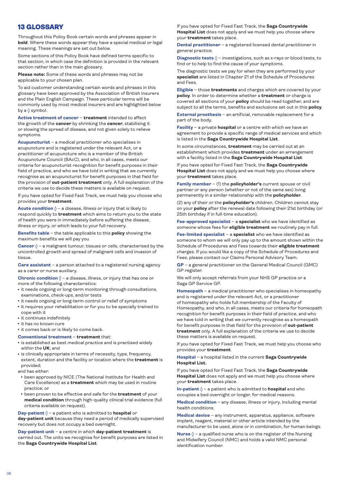# <span id="page-37-0"></span>13 GLOSSARY

Throughout this Policy Book certain words and phrases appear in **bold**. Where these words appear they have a special medical or legal meaning. These meanings are set out below.

Some sections of this Policy Book have defined terms specific to that section, in which case the definition is provided in the relevant section rather than in the main glossary.

**Please note:** Some of these words and phrases may not be applicable to your chosen plan.

To aid customer understanding certain words and phrases in this glossary have been approved by the Association of British Insurers and the Plain English Campaign. These particular terms will be commonly used by most medical insurers and are highlighted below by a  $\Diamond$  symbol.

**Active treatment of cancer** – **treatment** intended to affect the growth of the **cancer** by shrinking the **cancer**, stabilising it or slowing the spread of disease, and not given solely to relieve symptoms.

**Acupuncturist** – a medical practitioner who specialises in acupuncture and is registered under the relevant Act, or a practitioner of acupuncture who is a member of the British Acupuncture Council (BAcC), and who, in all cases, meets our criteria for acupuncturist recognition for benefit purposes in their field of practice, and who we have told in writing that we currently recognise as an acupuncturist for benefit purposes in that field for the provision of **out-patient treatment** only. A full explanation of the criteria we use to decide these matters is available on request.

If you have opted for Fixed Fast Track, we must help you choose who provides your **treatment**.

**Acute condition**  $\Diamond$  - a disease, illness or injury that is likely to respond quickly to **treatment** which aims to return you to the state of health you were in immediately before suffering the disease, illness or injury, or which leads to your full recovery.

**Benefits table** – the table applicable to this **policy** showing the maximum benefits we will pay you.

**Cancer**  $\Diamond$  – a malignant tumour, tissues or cells, characterised by the uncontrolled growth and spread of malignant cells and invasion of tissue.

**Care assistant** – a person attached to a registered nursing agency as a carer or nurse auxiliary.

**Chronic condition**  $\Diamond$  – a disease, illness, or injury that has one or more of the following characteristics:

- it needs ongoing or long-term monitoring through consultations, examinations, check-ups, and/or tests
- it needs ongoing or long-term control or relief of symptoms
- it requires your rehabilitation or for you to be specially trained to cope with it
- it continues indefinitely
- it has no known cure

• it comes back or is likely to come back.

#### **Conventional treatment** – **treatment** that:

- is established as best medical practice and is practised widely within the **UK**; and
- $\bullet$  is clinically appropriate in terms of necessity, type, frequency, extent, duration and the facility or location where the **treatment** is provided;

and has either:

- been approved by NICE (The National Institute for Health and Care Excellence) as a **treatment** which may be used in routine practice; or
- **been proven to be effective and safe for the treatment of your medical condition** through high-quality clinical trial evidence (full criteria available on request).

**Day-patient** – a patient who is admitted to **hospital** or **day-patient unit** because they need a period of medically supervised recovery but does not occupy a bed overnight.

**Day-patient unit** – a centre in which **day-patient treatment** is carried out. The units we recognise for benefit purposes are listed in the **Saga Countrywide Hospital List**.

If you have opted for Fixed Fast Track, the **Saga Countrywide Hospital List** does not apply and we must help you choose where your **treatment** takes place.

**Dental practitioner** – a registered licensed dental practitioner in general practice.

**Diagnostic tests**  $\Diamond$  – investigations, such as x-rays or blood tests, to find or to help to find the cause of your symptoms.

The diagnostic tests we pay for when they are performed by your **specialist** are listed in Chapter 21 of the Schedule of Procedures and Fees.

**Eligible** – those **treatments** and charges which are covered by your **policy**. In order to determine whether a **treatment** or charge is covered all sections of your **policy** should be read together, and are subject to all the terms, benefits and exclusions set out in this **policy**.

**External prosthesis** – an artificial, removable replacement for a part of the body.

**Facility** – a private **hospital** or a centre with which we have an agreement to provide a specific range of medical services and which is listed in the **Saga Countrywide Hospital List**.

In some circumstances, **treatment** may be carried out at an establishment which provides **treatment** under an arrangement with a facility listed in the **Saga Countrywide Hospital List**.

If you have opted for Fixed Fast Track, the **Saga Countrywide Hospital List** does not apply and we must help you choose where your **treatment** takes place.

**Family member** – (1) the **policyholder's** current spouse or civil partner or any person (whether or not of the same sex) living permanently in a similar relationship with the **policyholder**.

(2) any of their or the **policyholder's** children. Children cannot stay on your **policy** after the renewal date following their 21st birthday (or 25th birthday if in full-time education).

**Fee-approved specialist** – a **specialist** who we have identified as someone whose fees for **eligible treatment** we routinely pay in full.

**Fee-limited specialist** – a **specialist** who we have identified as someone to whom we will only pay up to the amount shown within the Schedule of Procedures and Fees towards their **eligible treatment** charges. If you would like a copy of the Schedule of Procedures and Fees, please contact our Claims Personal Advisory Team.

**GP** – a general practitioner on the General Medical Council (GMC) GP register.

We will only accept referrals from your NHS GP practice or a Saga GP Service GP.

**Homeopath** – a medical practitioner who specialises in homeopathy and is registered under the relevant Act, or a practitioner of homeopathy who holds full membership of the Faculty of Homeopathy, and who, in all cases, meets our criteria for homeopath recognition for benefit purposes in their field of practice, and who we have told in writing that we currently recognise as a homeopath for benefit purposes in that field for the provision of **out-patient treatment** only. A full explanation of the criteria we use to decide these matters is available on request.

If you have opted for Fixed Fast Track, we must help you choose who provides your **treatment**.

**Hospital** – a hospital listed in the current **Saga Countrywide Hospital List.**

If you have opted for Fixed Fast Track, the **Saga Countrywide Hospital List** does not apply and we must help you choose where your **treatment** takes place.

**In-patient**  $\Diamond$  – a patient who is admitted to **hospital** and who occupies a bed overnight or longer, for medical reasons.

**Medical condition** – any disease, illness or injury, including mental health conditions.

**Medical device** – any instrument, apparatus, appliance, software implant, reagent, material or other article intended by the manufacturer to be used, alone or in combination, for human beings.

**Nurse**  $\Diamond$  – a qualified nurse who is on the register of the Nursing and Midwifery Council (NMC) and holds a valid NMC personal identification number.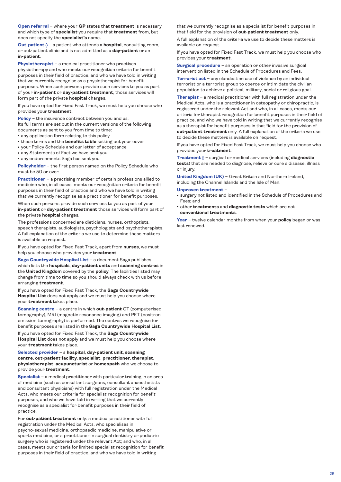**Open referral** – where your **GP** states that **treatment** is necessary and which type of **specialist** you require that **treatment** from, but does not specify the **specialist's** name.

**Out-patient**  $\lozenge$  - a patient who attends a **hospital**, consulting room, or out-patient clinic and is not admitted as a **day-patient** or an **in-patient**.

**Physiotherapist** – a medical practitioner who practises physiotherapy and who meets our recognition criteria for benefit purposes in their field of practice, and who we have told in writing that we currently recognise as a physiotherapist for benefit purposes. When such persons provide such services to you as part of your **in-patient** or **day-patient treatment**, those services will form part of the private **hospital** charges.

If you have opted for Fixed Fast Track, we must help you choose who provides your **treatment**.

**Policy** – the insurance contract between you and us.

Its full terms are set out in the current versions of the following documents as sent to you from time to time:

- any application form relating to this policy
- <sup>l</sup> these terms and the **benefits table** setting out your cover
- your Policy Schedule and our letter of acceptance
- any Statements of Fact we have sent you
- any endorsements Saga has sent you.

**Policyholder** – the first person named on the Policy Schedule who must be 50 or over.

**Practitioner** – a practising member of certain professions allied to medicine who, in all cases, meets our recognition criteria for benefit purposes in their field of practice and who we have told in writing that we currently recognise as a practitioner for benefit purposes.

When such persons provide such services to you as part of your **in-patient** or **day-patient treatment** those services will form part of the private **hospital** charges.

The professions concerned are dieticians, nurses, orthoptists, speech therapists, audiologists, psychologists and psychotherapists. A full explanation of the criteria we use to determine these matters is available on request.

If you have opted for Fixed Fast Track, apart from **nurses**, we must help you choose who provides your **treatment**.

**Saga Countrywide Hospital List** – a document Saga publishes which lists the **hospitals**, **day-patient units** and **scanning centres** in the **United Kingdom** covered by the **policy**. The facilities listed may change from time to time so you should always check with us before arranging **treatment**.

If you have opted for Fixed Fast Track, the **Saga Countrywide Hospital List** does not apply and we must help you choose where your **treatment** takes place.

**Scanning centre** – a centre in which **out-patient** CT (computerised tomography), MRI (magnetic resonance imaging) and PET (positron emission tomography) is performed. The centres we recognise for benefit purposes are listed in the **Saga Countrywide Hospital List**.

If you have opted for Fixed Fast Track, the **Saga Countrywide Hospital List** does not apply and we must help you choose where your **treatment** takes place.

### **Selected provider** – a **hospital**, **day-patient unit**, **scanning centre**, **out-patient facility**, **specialist**, **practitioner**, **therapist**, **physiotherapist**, **acupuncturist** or **homeopath** who we choose to provide your **treatment**.

**Specialist** – a medical practitioner with particular training in an area of medicine (such as consultant surgeons, consultant anaesthetists and consultant physicians) with full registration under the Medical Acts, who meets our criteria for specialist recognition for benefit purposes, and who we have told in writing that we currently recognise as a specialist for benefit purposes in their field of practice.

For **out-patient treatment** only: a medical practitioner with full registration under the Medical Acts, who specialises in psycho-sexual medicine, orthopaedic medicine, manipulative or sports medicine, or a practitioner in surgical dentistry or podiatric surgery who is registered under the relevant Act; and who, in all cases, meets our criteria for limited specialist recognition for benefit purposes in their field of practice, and who we have told in writing

that we currently recognise as a specialist for benefit purposes in that field for the provision of **out-patient treatment** only.

A full explanation of the criteria we use to decide these matters is available on request.

If you have opted for Fixed Fast Track, we must help you choose who provides your **treatment**.

**Surgical procedure** – an operation or other invasive surgical intervention listed in the Schedule of Procedures and Fees.

**Terrorist act** – any clandestine use of violence by an individual terrorist or a terrorist group to coerce or intimidate the civilian population to achieve a political, military, social or religious goal.

**Therapist** – a medical practitioner with full registration under the Medical Acts, who is a practitioner in osteopathy or chiropractic, is registered under the relevant Act and who, in all cases, meets our criteria for therapist recognition for benefit purposes in their field of practice, and who we have told in writing that we currently recognise as a therapist for benefit purposes in that field for the provision of **out-patient treatment** only. A full explanation of the criteria we use to decide these matters is available on request.

If you have opted for Fixed Fast Track, we must help you choose who provides your **treatment**.

**Treatment** – surgical or medical services (including **diagnostic tests**) that are needed to diagnose, relieve or cure a disease, illness or injury.

**United Kingdom (UK)** – Great Britain and Northern Ireland, including the Channel Islands and the Isle of Man.

#### **Unproven treatment** –

• surgery not listed and identified in the Schedule of Procedures and Fees; and

<sup>l</sup> other **treatments** and **diagnostic tests** which are not **conventional treatments**.

**Year** – twelve calendar months from when your **policy** began or was last renewed.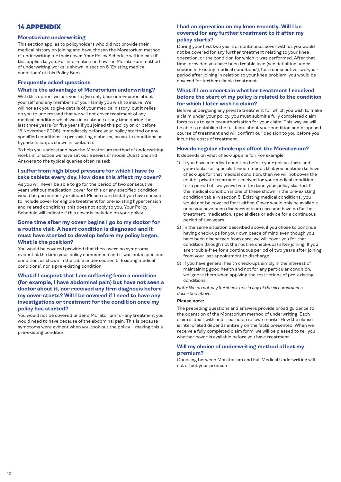# <span id="page-39-0"></span>14 APPENDIX

### **Moratorium underwriting**

This section applies to policyholders who did not provide their medical history on joining and have chosen the Moratorium method of underwriting for their cover. Your Policy Schedule will indicate if this applies to you. Full information on how the Moratorium method of underwriting works is shown in section 5 'Existing medical conditions' of this Policy Book.

# **Frequently asked questions**

### **What is the advantage of Moratorium underwriting?**

With this option, we ask you to give only basic information about yourself and any members of your family you wish to insure. We will not ask you to give details of your medical history, but it relies on you to understand that we will not cover treatment of any medical condition which was in existence at any time during the last three years (or five years if you joined this policy on or before 15 November 2005) immediately before your policy started or any specified conditions to pre-existing diabetes, prostate conditions or hypertension, as shown in section 5.

To help you understand how the Moratorium method of underwriting works in practice we have set out a series of model Questions and Answers to the typical queries often raised:

# **I suffer from high blood pressure for which I have to take tablets every day. How does this affect my cover?**

As you will never be able to go for the period of two consecutive years without medication, cover for this or any specified condition would be permanently excluded. Please note that if you have chosen to include cover for eligible treatment for pre-existing hypertension and related conditions, this does not apply to you. Your Policy Schedule will indicate if this cover is included on your policy.

# **Some time after my cover begins I go to my doctor for a routine visit. A heart condition is diagnosed and it must have started to develop before my policy began. What is the position?**

You would be covered provided that there were no symptoms evident at the time your policy commenced and it was not a specified condition, as shown in the table under section 5 'Existing medical conditions', nor a pre-existing condition.

# **What if I suspect that I am suffering from a condition (for example, I have abdominal pain) but have not seen a doctor about it, nor received any firm diagnosis before my cover starts? Will I be covered if I need to have any investigations or treatment for the condition once my policy has started?**

You would not be covered under a Moratorium for any treatment you would need to have because of the abdominal pain. This is because symptoms were evident when you took out the policy – making this a pre-existing condition.

# **I had an operation on my knee recently. Will I be covered for any further treatment to it after my policy starts?**

During your first two years of continuous cover with us you would not be covered for any further treatment relating to your knee operation, or the condition for which it was performed. After that time, provided you have been trouble free (see definition under section 5 'Existing medical conditions'), for a consecutive two-year period after joining in relation to your knee problem, you would be covered for further eligible treatment.

# **What if I am uncertain whether treatment I received before the start of my policy is related to the condition for which I later wish to claim?**

Before undergoing any private treatment for which you wish to make a claim under your policy, you must submit a fully completed claim form to us to gain preauthorisation for your claim. This way we will be able to establish the full facts about your condition and proposed course of treatment and will confirm our decision to you before you incur the costs of treatment.

### **How do regular check-ups affect the Moratorium?**

It depends on what check-ups are for. For example:

- 1) If you have a medical condition before your policy starts and your doctor or specialist recommends that you continue to have check-ups for that medical condition, then we will not cover the cost of private treatment received for your medical condition for a period of two years from the time your policy started. If the medical condition is one of these shown in the pre-existing condition table in section 5 'Existing medical conditions', you would not be covered for it either. Cover would only be available once you have been discharged from care and have no further treatment, medication, special diets or advice for a continuous period of two years.
- 2) In the same situation described above, if you chose to continue having check-ups for your own peace of mind even though you have been discharged from care, we will cover you for that condition (though not the routine check-ups) after joining. If you are trouble-free for a continuous period of two years after joining from your last appointment to discharge.
- 3) If you have general health check-ups simply in the interest of maintaining good health and not for any particular condition, we ignore them when applying the restrictions of pre-existing conditions.

*Note: We do not pay for check-ups in any of the circumstances described above.*

### **Please note:**

The preceding questions and answers provide broad guidance to the operation of the Moratorium method of underwriting. Each claim is dealt with and treated on its own merits. How the clause is interpreted depends entirely on the facts presented. When we receive a fully completed claim form, we will be pleased to tell you whether cover is available before you have treatment.

### **Will my choice of underwriting method affect my premium?**

Choosing between Moratorium and Full Medical Underwriting will not affect your premium.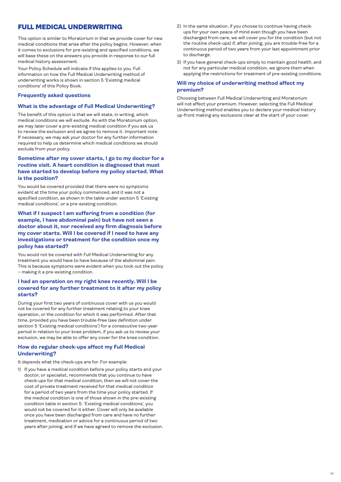# FULL MEDICAL UNDERWRITING

This option is similar to Moratorium in that we provide cover for new medical conditions that arise after the policy begins. However, when it comes to exclusions for pre-existing and specified conditions, we will base these on the answers you provide in response to our full medical history assessment.

Your Policy Schedule will indicate if this applies to you. Full information on how the Full Medical Underwriting method of underwriting works is shown in section 5 'Existing medical conditions' of this Policy Book.

### **Frequently asked questions**

### **What is the advantage of Full Medical Underwriting?**

The benefit of this option is that we will state, in writing, which medical conditions we will exclude. As with the Moratorium option, we may later cover a pre-existing medical condition if you ask us to review the exclusion and we agree to remove it. Important note: If necessary, we may ask your doctor for any further information required to help us determine which medical conditions we should exclude from your policy.

# **Sometime after my cover starts, I go to my doctor for a routine visit. A heart condition is diagnosed that must have started to develop before my policy started. What is the position?**

You would be covered provided that there were no symptoms evident at the time your policy commenced, and it was not a specified condition, as shown in the table under section 5 'Existing medical conditions', or a pre-existing condition.

# **What if I suspect I am suffering from a condition (for example, I have abdominal pain) but have not seen a doctor about it, nor received any firm diagnosis before my cover starts. Will I be covered if I need to have any investigations or treatment for the condition once my policy has started?**

You would not be covered with Full Medical Underwriting for any treatment you would have to have because of the abdominal pain. This is because symptoms were evident when you took out the policy – making it a pre-existing condition.

# **I had an operation on my right knee recently. Will I be covered for any further treatment to it after my policy starts?**

During your first two years of continuous cover with us you would not be covered for any further treatment relating to your knee operation, or the condition for which it was performed. After that time, provided you have been trouble-free (see definition under section 5 'Existing medical conditions') for a consecutive two-year period in relation to your knee problem, if you ask us to review your exclusion, we may be able to offer any cover for the knee condition.

### **How do regular check-ups affect my Full Medical Underwriting?**

It depends what the check-ups are for. For example:

1) If you have a medical condition before your policy starts and your doctor, or specialist, recommends that you continue to have check-ups for that medical condition, then we will not cover the cost of private treatment received for that medical condition for a period of two years from the time your policy started. If the medical condition is one of those shown in the pre-existing condition table in section 5: 'Existing medical conditions', you would not be covered for it either. Cover will only be available once you have been discharged from care and have no further treatment, medication or advice for a continuous period of two years after joining, and if we have agreed to remove the exclusion.

- 2) In the same situation, if you choose to continue having checkups for your own peace of mind even though you have been discharged from care, we will cover you for the condition (but not the routine check-ups) if, after joining, you are trouble-free for a continuous period of two years from your last appointment prior to discharge.
- 3) If you have general check-ups simply to maintain good health, and not for any particular medical condition, we ignore them when applying the restrictions for treatment of pre-existing conditions.

### **Will my choice of underwriting method affect my premium?**

Choosing between Full Medical Underwriting and Moratorium will not affect your premium. However, selecting the Full Medical Underwriting method enables you to declare your medical history up-front making any exclusions clear at the start of your cover.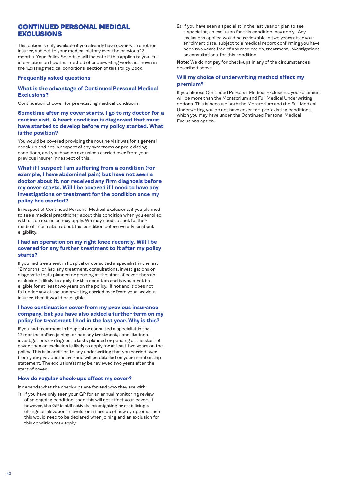# CONTINUED PERSONAL MEDICAL EXCLUSIONS

This option is only available if you already have cover with another insurer, subject to your medical history over the previous 12 months. Your Policy Schedule will indicate if this applies to you. Full information on how this method of underwriting works is shown in the 'Existing medical conditions' section of this Policy Book.

### **Frequently asked questions**

### **What is the advantage of Continued Personal Medical Exclusions?**

Continuation of cover for pre-existing medical conditions.

# **Sometime after my cover starts, I go to my doctor for a routine visit. A heart condition is diagnosed that must have started to develop before my policy started. What is the position?**

You would be covered providing the routine visit was for a general check-up and not in respect of any symptoms or pre-existing conditions, and you have no exclusions carried over from your previous insurer in respect of this.

# **What if I suspect I am suffering from a condition (for example, I have abdominal pain) but have not seen a doctor about it, nor received any firm diagnosis before my cover starts. Will I be covered if I need to have any investigations or treatment for the condition once my policy has started?**

In respect of Continued Personal Medical Exclusions, if you planned to see a medical practitioner about this condition when you enrolled with us, an exclusion may apply. We may need to seek further medical information about this condition before we advise about eligibility.

# **I had an operation on my right knee recently. Will I be covered for any further treatment to it after my policy starts?**

If you had treatment in hospital or consulted a specialist in the last 12 months, or had any treatment, consultations, investigations or diagnostic tests planned or pending at the start of cover, then an exclusion is likely to apply for this condition and it would not be eligible for at least two years on the policy. If not and it does not fall under any of the underwriting carried over from your previous insurer, then it would be eligible.

# **I have continuation cover from my previous insurance company, but you have also added a further term on my policy for treatment I had in the last year. Why is this?**

If you had treatment in hospital or consulted a specialist in the 12 months before joining, or had any treatment, consultations, investigations or diagnostic tests planned or pending at the start of cover, then an exclusion is likely to apply for at least two years on the policy. This is in addition to any underwriting that you carried over from your previous insurer and will be detailed on your membership statement. The exclusion(s) may be reviewed two years after the start of cover.

### **How do regular check-ups affect my cover?**

It depends what the check-ups are for and who they are with.

1) If you have only seen your GP for an annual monitoring review of an ongoing condition, then this will not affect your cover. If however, the GP is still actively investigating or stabilising a change or elevation in levels, or a flare up of new symptoms then this would need to be declared when joining and an exclusion for this condition may apply.

2) If you have seen a specialist in the last year or plan to see a specialist, an exclusion for this condition may apply. Any exclusions applied would be reviewable in two years after your enrolment date, subject to a medical report confirming you have been two years free of any medication, treatment, investigations or consultations for this condition.

**Note:** We do not pay for check-ups in any of the circumstances described above.

### **Will my choice of underwriting method affect my premium?**

If you choose Continued Personal Medical Exclusions, your premium will be more than the Moratorium and Full Medical Underwriting options. This is because both the Moratorium and the Full Medical Underwriting you do not have cover for pre-existing conditions, which you may have under the Continued Personal Medical Exclusions option.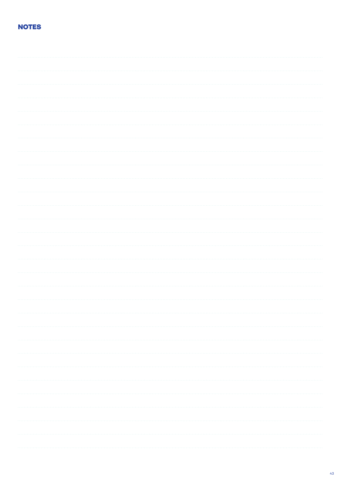# **NOTES**

|                   | $\label{eq:1} \begin{array}{lllllllllllllllll} \hline \textbf{1} & \textbf{1} & \textbf{1} & \textbf{1} & \textbf{1} & \textbf{1} & \textbf{1} & \textbf{1} & \textbf{1} & \textbf{1} & \textbf{1} & \textbf{1} & \textbf{1} & \textbf{1} & \textbf{1} & \textbf{1} & \textbf{1} & \textbf{1} & \textbf{1} & \textbf{1} & \textbf{1} & \textbf{1} & \textbf{1} & \textbf{1} & \textbf{1} & \textbf{1} & \textbf{1} & \textbf{1}$ |
|-------------------|----------------------------------------------------------------------------------------------------------------------------------------------------------------------------------------------------------------------------------------------------------------------------------------------------------------------------------------------------------------------------------------------------------------------------------|
|                   |                                                                                                                                                                                                                                                                                                                                                                                                                                  |
|                   |                                                                                                                                                                                                                                                                                                                                                                                                                                  |
|                   |                                                                                                                                                                                                                                                                                                                                                                                                                                  |
|                   |                                                                                                                                                                                                                                                                                                                                                                                                                                  |
|                   |                                                                                                                                                                                                                                                                                                                                                                                                                                  |
|                   |                                                                                                                                                                                                                                                                                                                                                                                                                                  |
|                   |                                                                                                                                                                                                                                                                                                                                                                                                                                  |
| <b>Contractor</b> |                                                                                                                                                                                                                                                                                                                                                                                                                                  |